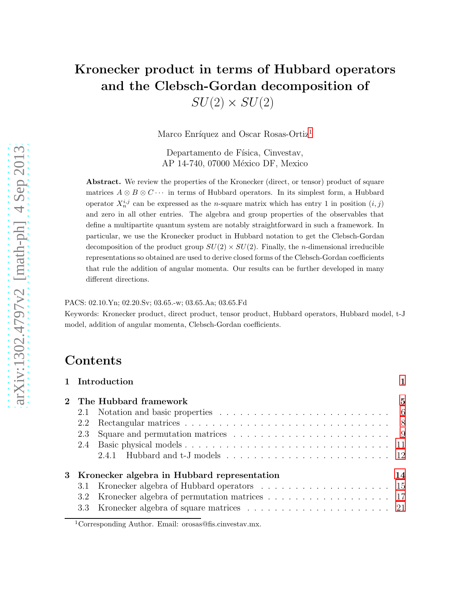# Kronecker product in terms of Hubbard operators and the Clebsch-Gordan decomposition of

 $SU(2) \times SU(2)$ 

Marco Enríquez and Oscar Rosas-Ortiz<sup>[1](#page-0-0)</sup>

Departamento de Física, Cinvestav, AP 14-740, 07000 México DF, Mexico

Abstract. We review the properties of the Kronecker (direct, or tensor) product of square matrices  $A \otimes B \otimes C \cdots$  in terms of Hubbard operators. In its simplest form, a Hubbard operator  $X_n^{i,j}$  can be expressed as the *n*-square matrix which has entry 1 in position  $(i, j)$ and zero in all other entries. The algebra and group properties of the observables that define a multipartite quantum system are notably straightforward in such a framework. In particular, we use the Kronecker product in Hubbard notation to get the Clebsch-Gordan decomposition of the product group  $SU(2) \times SU(2)$ . Finally, the *n*-dimensional irreducible representations so obtained are used to derive closed forms of the Clebsch-Gordan coefficients that rule the addition of angular momenta. Our results can be further developed in many different directions.

#### PACS: 02.10.Yn; 02.20.Sv; 03.65.-w; 03.65.Aa; 03.65.Fd

Keywords: Kronecker product, direct product, tensor product, Hubbard operators, Hubbard model, t-J model, addition of angular momenta, Clebsch-Gordan coefficients.

# Contents

|     | 1 Introduction                                   |    |
|-----|--------------------------------------------------|----|
|     | 2 The Hubbard framework                          | 5  |
|     |                                                  |    |
| 2.2 |                                                  |    |
| 2.3 |                                                  |    |
|     |                                                  |    |
|     |                                                  |    |
|     | 3 Kronecker algebra in Hubbard representation    | 14 |
|     |                                                  |    |
|     | 3.2 Kronecker algebra of permutation matrices 17 |    |
|     |                                                  |    |

<span id="page-0-0"></span><sup>1</sup>Corresponding Author. Email: orosas@fis.cinvestav.mx.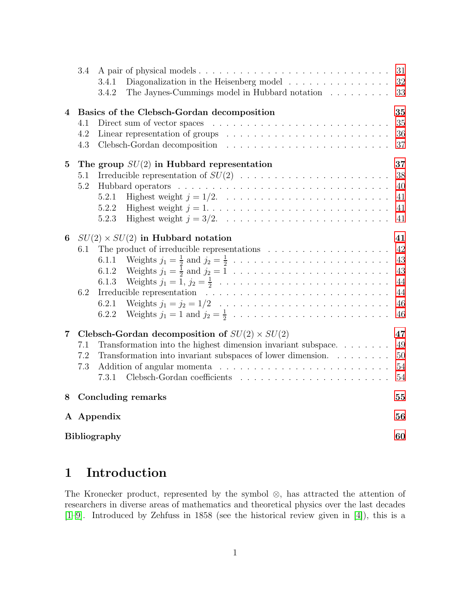|                | 3.4                                              |                                                                                                              | 31 |  |  |
|----------------|--------------------------------------------------|--------------------------------------------------------------------------------------------------------------|----|--|--|
|                |                                                  | Diagonalization in the Heisenberg model $\ldots \ldots \ldots \ldots \ldots$<br>3.4.1                        | 32 |  |  |
|                |                                                  | The Jaynes-Cummings model in Hubbard notation<br>3.4.2                                                       | 33 |  |  |
| 4              | 35<br>Basics of the Clebsch-Gordan decomposition |                                                                                                              |    |  |  |
|                | 4.1                                              | Direct sum of vector spaces $\ldots \ldots \ldots \ldots \ldots \ldots \ldots \ldots \ldots$                 | 35 |  |  |
|                | 4.2                                              | Linear representation of groups $\dots \dots \dots \dots \dots \dots \dots \dots \dots$                      | 36 |  |  |
|                | 4.3                                              |                                                                                                              | 37 |  |  |
| $\overline{5}$ |                                                  | The group $SU(2)$ in Hubbard representation                                                                  | 37 |  |  |
|                | 5.1                                              |                                                                                                              | 38 |  |  |
|                | 5.2                                              |                                                                                                              | 40 |  |  |
|                |                                                  | 5.2.1                                                                                                        | 41 |  |  |
|                |                                                  | Highest weight $j = 1, \ldots, \ldots, \ldots, \ldots, \ldots, \ldots, \ldots, \ldots$<br>5.2.2              | 41 |  |  |
|                |                                                  | 5.2.3                                                                                                        | 41 |  |  |
| 6              |                                                  | $SU(2) \times SU(2)$ in Hubbard notation                                                                     | 41 |  |  |
|                | 6.1                                              | The product of irreducible representations $\ldots \ldots \ldots \ldots \ldots \ldots$                       | 42 |  |  |
|                |                                                  | 6.1.1                                                                                                        | 43 |  |  |
|                |                                                  | 6.1.2                                                                                                        | 43 |  |  |
|                |                                                  | Weights $j_1 = 1, j_2 = \frac{1}{2} \ldots \ldots \ldots \ldots \ldots \ldots \ldots \ldots \ldots$<br>6.1.3 | 44 |  |  |
|                | 6.2                                              |                                                                                                              | 44 |  |  |
|                |                                                  | 6.2.1                                                                                                        | 46 |  |  |
|                |                                                  | 6.2.2                                                                                                        | 46 |  |  |
| $\overline{7}$ |                                                  | Clebsch-Gordan decomposition of $SU(2) \times SU(2)$                                                         | 47 |  |  |
|                | 7.1                                              | Transformation into the highest dimension invariant subspace.                                                | 49 |  |  |
|                | 7.2                                              | Transformation into invariant subspaces of lower dimension.                                                  | 50 |  |  |
|                | 7.3                                              |                                                                                                              | 54 |  |  |
|                |                                                  | 7.3.1                                                                                                        | 54 |  |  |
| 8              |                                                  | Concluding remarks                                                                                           | 55 |  |  |
|                |                                                  | A Appendix                                                                                                   | 56 |  |  |
|                |                                                  |                                                                                                              |    |  |  |
|                | <b>Bibliography</b>                              |                                                                                                              |    |  |  |

# <span id="page-1-0"></span>1 Introduction

The Kronecker product, represented by the symbol ⊗, has attracted the attention of researchers in diverse areas of mathematics and theoretical physics over the last decades [\[1](#page-60-1)[–9\]](#page-60-2). Introduced by Zehfuss in 1858 (see the historical review given in [\[4\]](#page-60-3)), this is a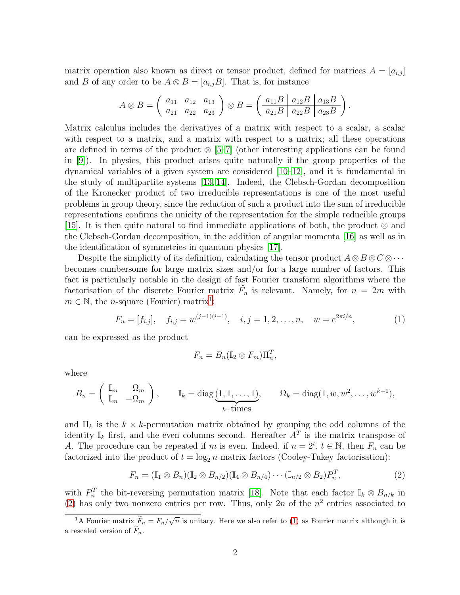matrix operation also known as direct or tensor product, defined for matrices  $A = [a_{i,j}]$ and B of any order to be  $A \otimes B = [a_{i,j}B]$ . That is, for instance

$$
A \otimes B = \begin{pmatrix} a_{11} & a_{12} & a_{13} \\ a_{21} & a_{22} & a_{23} \end{pmatrix} \otimes B = \begin{pmatrix} a_{11}B & a_{12}B & a_{13}B \\ a_{21}B & a_{22}B & a_{23}B \end{pmatrix}.
$$

Matrix calculus includes the derivatives of a matrix with respect to a scalar, a scalar with respect to a matrix, and a matrix with respect to a matrix; all these operations are defined in terms of the product  $\otimes$  [\[5](#page-60-4)[–7\]](#page-60-5) (other interesting applications can be found in [\[9\]](#page-60-2)). In physics, this product arises quite naturally if the group properties of the dynamical variables of a given system are considered  $[10-12]$  $[10-12]$ , and it is fundamental in the study of multipartite systems [\[13,](#page-60-8) [14\]](#page-60-9). Indeed, the Clebsch-Gordan decomposition of the Kronecker product of two irreducible representations is one of the most useful problems in group theory, since the reduction of such a product into the sum of irreducible representations confirms the unicity of the representation for the simple reducible groups [\[15\]](#page-60-10). It is then quite natural to find immediate applications of both, the product ⊗ and the Clebsch-Gordan decomposition, in the addition of angular momenta [\[16\]](#page-60-11) as well as in the identification of symmetries in quantum physics [\[17\]](#page-61-0).

Despite the simplicity of its definition, calculating the tensor product  $A \otimes B \otimes C \otimes \cdots$ becomes cumbersome for large matrix sizes and/or for a large number of factors. This fact is particularly notable in the design of fast Fourier transform algorithms where the factorisation of the discrete Fourier matrix  $F_n$  is relevant. Namely, for  $n = 2m$  with  $m \in \mathbb{N}$ , the *n*-square (Fourier) matrix<sup>[1](#page-2-0)</sup>:

<span id="page-2-2"></span>
$$
F_n = [f_{i,j}], \quad f_{i,j} = w^{(j-1)(i-1)}, \quad i, j = 1, 2, \dots, n, \quad w = e^{2\pi i/n}, \tag{1}
$$

can be expressed as the product

$$
F_n = B_n(\mathbb{I}_2 \otimes F_m) \Pi_n^T,
$$

where

$$
B_n = \begin{pmatrix} \mathbb{I}_m & \Omega_m \\ \mathbb{I}_m & -\Omega_m \end{pmatrix}, \qquad \mathbb{I}_k = \text{diag}(\underbrace{1, 1, \dots, 1}_{k-\text{times}}, \qquad \Omega_k = \text{diag}(1, w, w^2, \dots, w^{k-1}),
$$

and  $\Pi_k$  is the  $k \times k$ -permutation matrix obtained by grouping the odd columns of the identity  $\mathbb{I}_k$  first, and the even columns second. Hereafter  $A^T$  is the matrix transpose of A. The procedure can be repeated if m is even. Indeed, if  $n = 2^t$ ,  $t \in \mathbb{N}$ , then  $F_n$  can be factorized into the product of  $t = \log_2 n$  matrix factors (Cooley-Tukey factorisation):

<span id="page-2-1"></span>
$$
F_n = (\mathbb{I}_1 \otimes B_n)(\mathbb{I}_2 \otimes B_{n/2})(\mathbb{I}_4 \otimes B_{n/4}) \cdots (\mathbb{I}_{n/2} \otimes B_2) P_n^T,
$$
\n(2)

with  $P_n^T$  the bit-reversing permutation matrix [\[18\]](#page-61-1). Note that each factor  $\mathbb{I}_k \otimes B_{n/k}$  in [\(2\)](#page-2-1) has only two nonzero entries per row. Thus, only 2n of the  $n^2$  entries associated to

<span id="page-2-0"></span><sup>&</sup>lt;sup>1</sup>A Fourier matrix  $\widetilde{F}_n = F_n/\sqrt{n}$  is unitary. Here we also refer to [\(1\)](#page-2-2) as Fourier matrix although it is a rescaled version of  $\widetilde{F}_n$ .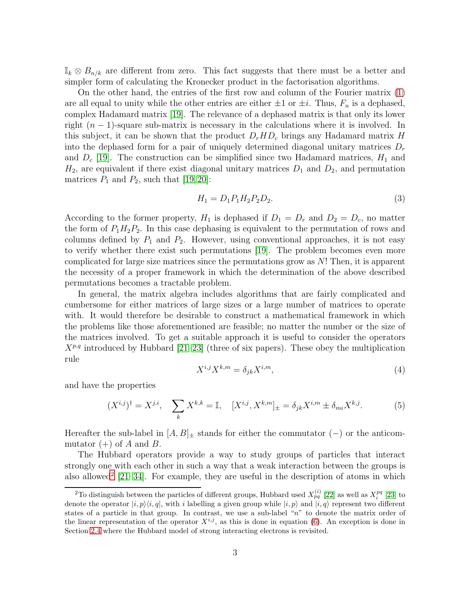$\mathbb{I}_k \otimes B_{n/k}$  are different from zero. This fact suggests that there must be a better and simpler form of calculating the Kronecker product in the factorisation algorithms.

On the other hand, the entries of the first row and column of the Fourier matrix [\(1\)](#page-2-2) are all equal to unity while the other entries are either  $\pm 1$  or  $\pm i$ . Thus,  $F_n$  is a dephased, complex Hadamard matrix [\[19\]](#page-61-2). The relevance of a dephased matrix is that only its lower right  $(n-1)$ -square sub-matrix is necessary in the calculations where it is involved. In this subject, it can be shown that the product  $D_r H D_c$  brings any Hadamard matrix H into the dephased form for a pair of uniquely determined diagonal unitary matrices  $D_r$ and  $D_c$  [\[19\]](#page-61-2). The construction can be simplified since two Hadamard matrices,  $H_1$  and  $H_2$ , are equivalent if there exist diagonal unitary matrices  $D_1$  and  $D_2$ , and permutation matrices  $P_1$  and  $P_2$ , such that [\[19,](#page-61-2) [20\]](#page-61-3):

<span id="page-3-1"></span>
$$
H_1 = D_1 P_1 H_2 P_2 D_2. \tag{3}
$$

According to the former property,  $H_1$  is dephased if  $D_1 = D_r$  and  $D_2 = D_c$ , no matter the form of  $P_1H_2P_2$ . In this case dephasing is equivalent to the permutation of rows and columns defined by  $P_1$  and  $P_2$ . However, using conventional approaches, it is not easy to verify whether there exist such permutations [\[19\]](#page-61-2). The problem becomes even more complicated for large size matrices since the permutations grow as N! Then, it is apparent the necessity of a proper framework in which the determination of the above described permutations becomes a tractable problem.

In general, the matrix algebra includes algorithms that are fairly complicated and cumbersome for either matrices of large sizes or a large number of matrices to operate with. It would therefore be desirable to construct a mathematical framework in which the problems like those aforementioned are feasible; no matter the number or the size of the matrices involved. To get a suitable approach it is useful to consider the operators  $X^{p,q}$  introduced by Hubbard [\[21](#page-61-4)[–23\]](#page-61-5) (three of six papers). These obey the multiplication rule

<span id="page-3-3"></span>
$$
X^{i,j}X^{k,m} = \delta_{jk}X^{i,m},\tag{4}
$$

and have the properties

<span id="page-3-2"></span>
$$
(X^{i,j})^{\dagger} = X^{j,i}, \quad \sum_{k} X^{k,k} = \mathbb{I}, \quad [X^{i,j}, X^{k,m}]_{\pm} = \delta_{jk} X^{i,m} \pm \delta_{mi} X^{k,j}.
$$
 (5)

Hereafter the sub-label in  $[A, B]_{\pm}$  stands for either the commutator (−) or the anticommutator  $(+)$  of A and B.

The Hubbard operators provide a way to study groups of particles that interact strongly one with each other in such a way that a weak interaction between the groups is also allowed<sup>[2](#page-3-0)</sup>  $[21-34]$  $[21-34]$ . For example, they are useful in the description of atoms in which

<span id="page-3-0"></span><sup>&</sup>lt;sup>2</sup>To distinguish between the particles of different groups, Hubbard used  $X_{pq}^{(i)}$  [\[22\]](#page-61-6) as well as  $X_i^{pq}$  [\[23\]](#page-61-5) to denote the operator  $|i, p\rangle\langle i, q|$ , with i labelling a given group while  $|i, p\rangle$  and  $|i, q\rangle$  represent two different states of a particle in that group. In contrast, we use a sub-label "n" to denote the matrix order of the linear representation of the operator  $X^{i,j}$ , as this is done in equation [\(6\)](#page-4-0). An exception is done in Section [2.4](#page-11-0) where the Hubbard model of strong interacting electrons is revisited.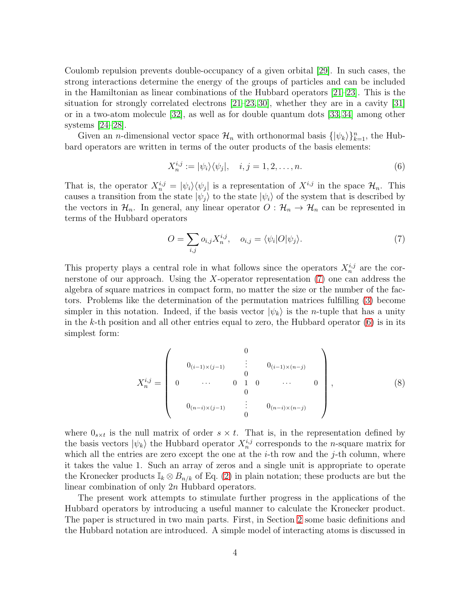Coulomb repulsion prevents double-occupancy of a given orbital [\[29\]](#page-61-7). In such cases, the strong interactions determine the energy of the groups of particles and can be included in the Hamiltonian as linear combinations of the Hubbard operators [\[21](#page-61-4)[–23\]](#page-61-5). This is the situation for strongly correlated electrons  $[21–23, 30]$  $[21–23, 30]$  $[21–23, 30]$ , whether they are in a cavity  $[31]$ or in a two-atom molecule [\[32\]](#page-61-10), as well as for double quantum dots [\[33,](#page-62-1) [34\]](#page-62-0) among other systems [\[24](#page-61-11)[–28\]](#page-61-12).

Given an *n*-dimensional vector space  $\mathcal{H}_n$  with orthonormal basis  $\{|\psi_k\rangle\}_{k=1}^n$ , the Hubbard operators are written in terms of the outer products of the basis elements:

<span id="page-4-0"></span>
$$
X_n^{i,j} := |\psi_i\rangle\langle\psi_j|, \quad i, j = 1, 2, \dots, n. \tag{6}
$$

That is, the operator  $X_n^{i,j} = |\psi_i\rangle\langle\psi_j|$  is a representation of  $X^{i,j}$  in the space  $\mathcal{H}_n$ . This causes a transition from the state  $|\psi_j\rangle$  to the state  $|\psi_i\rangle$  of the system that is described by the vectors in  $\mathcal{H}_n$ . In general, any linear operator  $O: \mathcal{H}_n \to \mathcal{H}_n$  can be represented in terms of the Hubbard operators

<span id="page-4-1"></span>
$$
O = \sum_{i,j} o_{i,j} X_n^{i,j}, \quad o_{i,j} = \langle \psi_i | O | \psi_j \rangle.
$$
 (7)

This property plays a central role in what follows since the operators  $X_n^{i,j}$  are the cornerstone of our approach. Using the X-operator representation [\(7\)](#page-4-1) one can address the algebra of square matrices in compact form, no matter the size or the number of the factors. Problems like the determination of the permutation matrices fulfilling [\(3\)](#page-3-1) become simpler in this notation. Indeed, if the basis vector  $|\psi_k\rangle$  is the *n*-tuple that has a unity in the k-th position and all other entries equal to zero, the Hubbard operator  $(6)$  is in its simplest form:

<span id="page-4-2"></span>
$$
X_n^{i,j} = \begin{pmatrix} 0 & 0 \\ 0_{(i-1)\times(j-1)} & \vdots & 0_{(i-1)\times(n-j)} \\ 0 & \cdots & 0 & 1 & 0 & \cdots & 0 \\ 0 & 0 & 1 & 0 & \cdots & 0 \\ 0 & 0 & \vdots & 0_{(n-i)\times(n-j)} & 0 \end{pmatrix},
$$
 (8)

where  $0_{s \times t}$  is the null matrix of order  $s \times t$ . That is, in the representation defined by the basis vectors  $|\psi_k\rangle$  the Hubbard operator  $X_n^{i,j}$  corresponds to the *n*-square matrix for which all the entries are zero except the one at the  $i$ -th row and the  $j$ -th column, where it takes the value 1. Such an array of zeros and a single unit is appropriate to operate the Kronecker products  $\mathbb{I}_k \otimes B_{n/k}$  of Eq. [\(2\)](#page-2-1) in plain notation; these products are but the linear combination of only 2n Hubbard operators.

The present work attempts to stimulate further progress in the applications of the Hubbard operators by introducing a useful manner to calculate the Kronecker product. The paper is structured in two main parts. First, in Section [2](#page-5-0) some basic definitions and the Hubbard notation are introduced. A simple model of interacting atoms is discussed in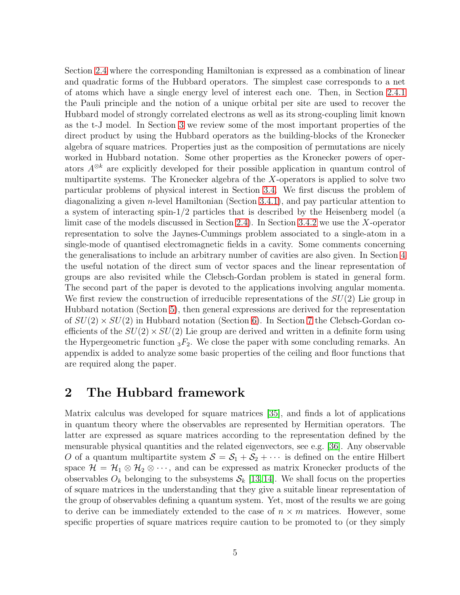Section [2.4](#page-11-0) where the corresponding Hamiltonian is expressed as a combination of linear and quadratic forms of the Hubbard operators. The simplest case corresponds to a net of atoms which have a single energy level of interest each one. Then, in Section [2.4.1](#page-12-0) the Pauli principle and the notion of a unique orbital per site are used to recover the Hubbard model of strongly correlated electrons as well as its strong-coupling limit known as the t-J model. In Section [3](#page-14-0) we review some of the most important properties of the direct product by using the Hubbard operators as the building-blocks of the Kronecker algebra of square matrices. Properties just as the composition of permutations are nicely worked in Hubbard notation. Some other properties as the Kronecker powers of operators A⊗<sup>k</sup> are explicitly developed for their possible application in quantum control of multipartite systems. The Kronecker algebra of the X-operators is applied to solve two particular problems of physical interest in Section [3.4.](#page-31-0) We first discuss the problem of diagonalizing a given n-level Hamiltonian (Section [3.4.1\)](#page-32-0), and pay particular attention to a system of interacting spin-1/2 particles that is described by the Heisenberg model (a limit case of the models discussed in Section [2.4\)](#page-11-0). In Section [3.4.2](#page-33-0) we use the X-operator representation to solve the Jaynes-Cummings problem associated to a single-atom in a single-mode of quantised electromagnetic fields in a cavity. Some comments concerning the generalisations to include an arbitrary number of cavities are also given. In Section [4](#page-35-0) the useful notation of the direct sum of vector spaces and the linear representation of groups are also revisited while the Clebsch-Gordan problem is stated in general form. The second part of the paper is devoted to the applications involving angular momenta. We first review the construction of irreducible representations of the  $SU(2)$  Lie group in Hubbard notation (Section [5\)](#page-37-1), then general expressions are derived for the representation of  $SU(2) \times SU(2)$  in Hubbard notation (Section [6\)](#page-41-3). In Section [7](#page-47-0) the Clebsch-Gordan coefficients of the  $SU(2) \times SU(2)$  Lie group are derived and written in a definite form using the Hypergeometric function  ${}_{3}F_2$ . We close the paper with some concluding remarks. An appendix is added to analyze some basic properties of the ceiling and floor functions that are required along the paper.

## <span id="page-5-0"></span>2 The Hubbard framework

Matrix calculus was developed for square matrices [\[35\]](#page-62-2), and finds a lot of applications in quantum theory where the observables are represented by Hermitian operators. The latter are expressed as square matrices according to the representation defined by the mensurable physical quantities and the related eigenvectors, see e.g. [\[36\]](#page-62-3). Any observable O of a quantum multipartite system  $S = S_1 + S_2 + \cdots$  is defined on the entire Hilbert space  $\mathcal{H} = \mathcal{H}_1 \otimes \mathcal{H}_2 \otimes \cdots$ , and can be expressed as matrix Kronecker products of the observables  $O_k$  belonging to the subsystems  $S_k$  [\[13,](#page-60-8) [14\]](#page-60-9). We shall focus on the properties of square matrices in the understanding that they give a suitable linear representation of the group of observables defining a quantum system. Yet, most of the results we are going to derive can be immediately extended to the case of  $n \times m$  matrices. However, some specific properties of square matrices require caution to be promoted to (or they simply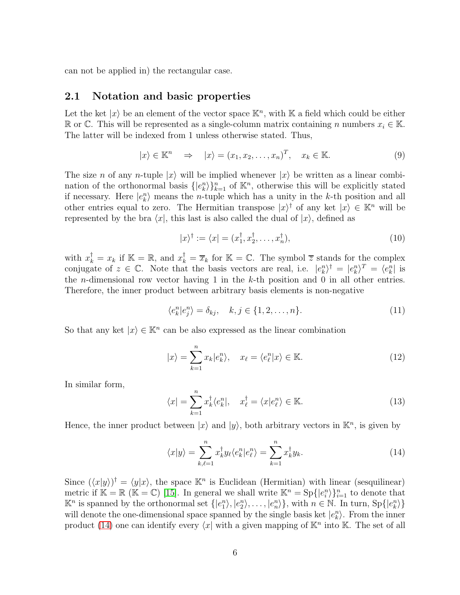<span id="page-6-0"></span>can not be applied in) the rectangular case.

## 2.1 Notation and basic properties

Let the ket  $|x\rangle$  be an element of the vector space  $\mathbb{K}^n$ , with  $\mathbb{K}$  a field which could be either R or ℂ. This will be represented as a single-column matrix containing n numbers  $x_i$  ∈ K. The latter will be indexed from 1 unless otherwise stated. Thus,

$$
|x\rangle \in \mathbb{K}^n \quad \Rightarrow \quad |x\rangle = (x_1, x_2, \dots, x_n)^T, \quad x_k \in \mathbb{K}.
$$

The size n of any n-tuple  $|x\rangle$  will be implied whenever  $|x\rangle$  be written as a linear combination of the orthonormal basis  $\{|e_k^n\rangle\}_{k=1}^n$  of  $\mathbb{K}^n$ , otherwise this will be explicitly stated if necessary. Here  $|e_k^n\rangle$  means the *n*-tuple which has a unity in the *k*-th position and all other entries equal to zero. The Hermitian transpose  $|x\rangle^{\dagger}$  of any ket  $|x\rangle \in \mathbb{K}^{n}$  will be represented by the bra  $\langle x|$ , this last is also called the dual of  $|x\rangle$ , defined as

<span id="page-6-3"></span>
$$
|x\rangle^{\dagger} := \langle x| = (x_1^{\dagger}, x_2^{\dagger}, \dots, x_n^{\dagger}), \tag{10}
$$

with  $x_k^{\dagger} = x_k$  if  $\mathbb{K} = \mathbb{R}$ , and  $x_k^{\dagger} = \overline{x}_k$  for  $\mathbb{K} = \mathbb{C}$ . The symbol  $\overline{z}$  stands for the complex conjugate of  $z \in \mathbb{C}$ . Note that the basis vectors are real, i.e.  $|e_k^n\rangle^{\dagger} = |e_k^n\rangle^T = \langle e_k^n|$  is the *n*-dimensional row vector having 1 in the  $k$ -th position and 0 in all other entries. Therefore, the inner product between arbitrary basis elements is non-negative

$$
\langle e_k^n | e_j^n \rangle = \delta_{kj}, \quad k, j \in \{1, 2, \dots, n\}.
$$
 (11)

So that any ket  $|x\rangle \in \mathbb{K}^n$  can be also expressed as the linear combination

<span id="page-6-2"></span>
$$
|x\rangle = \sum_{k=1}^{n} x_k |e_k^n\rangle, \quad x_\ell = \langle e_\ell^n | x \rangle \in \mathbb{K}.
$$
 (12)

In similar form,

$$
\langle x| = \sum_{k=1}^{n} x_k^{\dagger} \langle e_k^n|, \quad x_{\ell}^{\dagger} = \langle x|e_{\ell}^n \rangle \in \mathbb{K}.
$$
 (13)

Hence, the inner product between  $|x\rangle$  and  $|y\rangle$ , both arbitrary vectors in  $\mathbb{K}^n$ , is given by

<span id="page-6-1"></span>
$$
\langle x|y\rangle = \sum_{k,\ell=1}^{n} x_k^{\dagger} y_\ell \langle e_k^n | e_\ell^n \rangle = \sum_{k=1}^{n} x_k^{\dagger} y_k.
$$
 (14)

Since  $(\langle x|y\rangle)^{\dagger} = \langle y|x\rangle$ , the space  $\mathbb{K}^n$  is Euclidean (Hermitian) with linear (sesquilinear) metric if  $\mathbb{K} = \mathbb{R}$  ( $\mathbb{K} = \mathbb{C}$ ) [\[15\]](#page-60-10). In general we shall write  $\mathbb{K}^n = \text{Sp}\{|e_i^n\rangle\}_{i=1}^n$  to denote that  $\mathbb{K}^n$  is spanned by the orthonormal set  $\{|e_1^n\rangle, |e_2^n\rangle, \ldots, |e_n^n\rangle\}$ , with  $n \in \mathbb{N}$ . In turn,  $\text{Sp}\{|e_k^n\rangle\}$ will denote the one-dimensional space spanned by the single basis ket  $|e_k^n\rangle$ . From the inner product [\(14\)](#page-6-1) one can identify every  $\langle x |$  with a given mapping of  $\mathbb{K}^n$  into  $\mathbb{K}$ . The set of all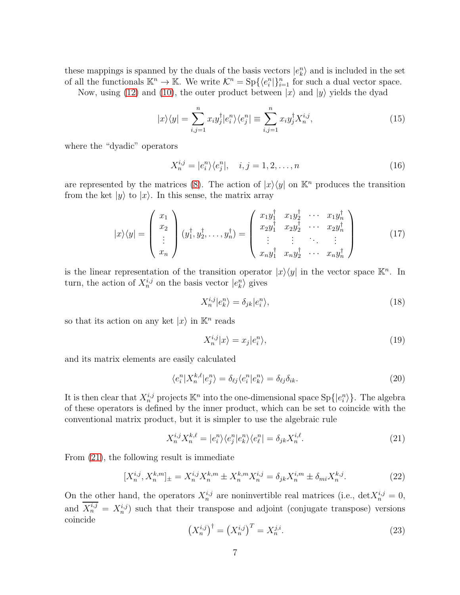these mappings is spanned by the duals of the basis vectors  $|e_k^n\rangle$  and is included in the set of all the functionals  $\mathbb{K}^n \to \mathbb{K}$ . We write  $\mathcal{K}^n = \text{Sp}\{\langle e_i^n | \}_{i=1}^n$  for such a dual vector space.

Now, using [\(12\)](#page-6-2) and [\(10\)](#page-6-3), the outer product between  $|x\rangle$  and  $|y\rangle$  yields the dyad

$$
|x\rangle\langle y| = \sum_{i,j=1}^{n} x_i y_j^{\dagger} |e_i^n\rangle\langle e_j^n| \equiv \sum_{i,j=1}^{n} x_i y_j^{\dagger} X_n^{i,j},\tag{15}
$$

where the "dyadic" operators

<span id="page-7-1"></span>
$$
X_n^{i,j} = |e_i^n\rangle\langle e_j^n|, \quad i, j = 1, 2, \dots, n
$$
\n
$$
(16)
$$

are represented by the matrices [\(8\)](#page-4-2). The action of  $|x\rangle\langle y|$  on  $\mathbb{K}^n$  produces the transition from the ket  $|y\rangle$  to  $|x\rangle$ . In this sense, the matrix array

$$
|x\rangle\langle y| = \begin{pmatrix} x_1 \\ x_2 \\ \vdots \\ x_n \end{pmatrix} (y_1^{\dagger}, y_2^{\dagger}, \dots, y_n^{\dagger}) = \begin{pmatrix} x_1 y_1^{\dagger} & x_1 y_2^{\dagger} & \cdots & x_1 y_n^{\dagger} \\ x_2 y_1^{\dagger} & x_2 y_2^{\dagger} & \cdots & x_2 y_n^{\dagger} \\ \vdots & \vdots & \ddots & \vdots \\ x_n y_1^{\dagger} & x_n y_2^{\dagger} & \cdots & x_n y_n^{\dagger} \end{pmatrix}
$$
(17)

is the linear representation of the transition operator  $|x\rangle\langle y|$  in the vector space  $\mathbb{K}^n$ . In turn, the action of  $X_n^{i,j}$  on the basis vector  $|e_k^n\rangle$  gives

<span id="page-7-2"></span>
$$
X_n^{i,j}|e_k^n\rangle = \delta_{jk}|e_i^n\rangle,\tag{18}
$$

so that its action on any ket  $|x\rangle$  in  $\mathbb{K}^n$  reads

$$
X_n^{i,j}|x\rangle = x_j|e_i^n\rangle,\tag{19}
$$

and its matrix elements are easily calculated

<span id="page-7-4"></span>
$$
\langle e_i^n | X_n^{k,\ell} | e_j^n \rangle = \delta_{\ell j} \langle e_i^n | e_k^n \rangle = \delta_{\ell j} \delta_{ik}.
$$
\n(20)

It is then clear that  $X_n^{i,j}$  projects  $\mathbb{K}^n$  into the one-dimensional space  $\text{Sp}\{|e_i^n\rangle\}$ . The algebra of these operators is defined by the inner product, which can be set to coincide with the conventional matrix product, but it is simpler to use the algebraic rule

<span id="page-7-0"></span>
$$
X_n^{i,j} X_n^{k,\ell} = |e_i^n\rangle\langle e_j^n |e_k^n\rangle\langle e_\ell^n| = \delta_{jk} X_n^{i,\ell}.\tag{21}
$$

From [\(21\)](#page-7-0), the following result is immediate

$$
[X_n^{i,j}, X_n^{k,m}]_{\pm} = X_n^{i,j} X_n^{k,m} \pm X_n^{k,m} X_n^{i,j} = \delta_{jk} X_n^{i,m} \pm \delta_{mi} X_n^{k,j}.
$$
 (22)

On the other hand, the operators  $X_n^{i,j}$  are noninvertible real matrices (i.e.,  $\det X_n^{i,j} = 0$ , and  $X_n^{i,j} = X_n^{i,j}$  such that their transpose and adjoint (conjugate transpose) versions coincide

<span id="page-7-3"></span>
$$
\left(X_n^{i,j}\right)^{\dagger} = \left(X_n^{i,j}\right)^T = X_n^{j,i}.\tag{23}
$$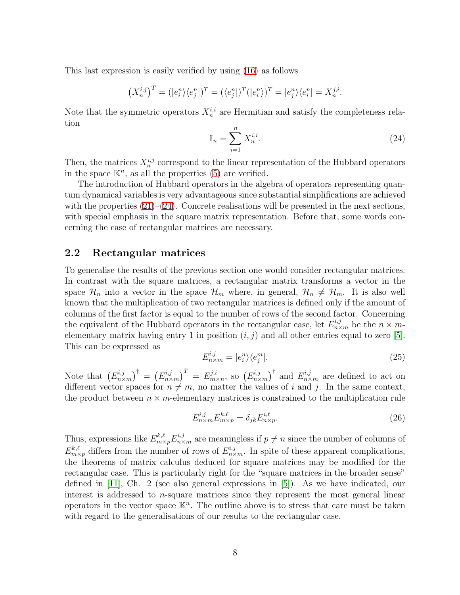This last expression is easily verified by using [\(16\)](#page-7-1) as follows

$$
(X_n^{i,j})^T = (|e_i^n\rangle\langle e_j^n|)^T = (\langle e_j^n|)^T(|e_i^n\rangle)^T = |e_j^n\rangle\langle e_i^n| = X_n^{j,i}.
$$

Note that the symmetric operators  $X_n^{i,i}$  are Hermitian and satisfy the completeness relation

<span id="page-8-1"></span>
$$
\mathbb{I}_n = \sum_{i=1}^n X_n^{i,i}.\tag{24}
$$

Then, the matrices  $X_n^{i,j}$  correspond to the linear representation of the Hubbard operators in the space  $\mathbb{K}^n$ , as all the properties [\(5\)](#page-3-2) are verified.

The introduction of Hubbard operators in the algebra of operators representing quantum dynamical variables is very advantageous since substantial simplifications are achieved with the properties  $(21)–(24)$  $(21)–(24)$ . Concrete realisations will be presented in the next sections, with special emphasis in the square matrix representation. Before that, some words concerning the case of rectangular matrices are necessary.

### <span id="page-8-0"></span>2.2 Rectangular matrices

To generalise the results of the previous section one would consider rectangular matrices. In contrast with the square matrices, a rectangular matrix transforms a vector in the space  $\mathcal{H}_n$  into a vector in the space  $\mathcal{H}_m$  where, in general,  $\mathcal{H}_n \neq \mathcal{H}_m$ . It is also well known that the multiplication of two rectangular matrices is defined only if the amount of columns of the first factor is equal to the number of rows of the second factor. Concerning the equivalent of the Hubbard operators in the rectangular case, let  $E_{n \times m}^{i,j}$  be the  $n \times m$ elementary matrix having entry 1 in position  $(i, j)$  and all other entries equal to zero [\[5\]](#page-60-4). This can be expressed as

$$
E_{n \times m}^{i,j} = |e_i^n\rangle\langle e_j^m|.\tag{25}
$$

Note that  $(E_n^{i,j})$  $\binom{n,j}{n \times m}^{\dagger} = \left(E_{n \times n}^{i,j}\right)$  $\left(\begin{smallmatrix} i,j \ n \times m \end{smallmatrix}\right)^T \ = \ E_m^{j,i}$  $_{m\times n}^{j,i}$ , so  $(E_{n\times n}^{i,j})$  $\left(n \times m\right)$ <sup>t</sup> and  $E^{i,j}_{n \times m}$  are defined to act on different vector spaces for  $n \neq m$ , no matter the values of i and j. In the same context, the product between  $n \times m$ -elementary matrices is constrained to the multiplication rule

$$
E_{n\times m}^{i,j} E_{m\times p}^{k,\ell} = \delta_{jk} E_{n\times p}^{i,\ell}.
$$
\n(26)

Thus, expressions like  $E_{m\times p}^{k,\ell} E_{n\times m}^{i,j}$  are meaningless if  $p \neq n$  since the number of columns of  $E_{m\times p}^{k,\ell}$  differs from the number of rows of  $E_{n\times m}^{i,j}$ . In spite of these apparent complications, the theorems of matrix calculus deduced for square matrices may be modified for the rectangular case. This is particularly right for the "square matrices in the broader sense" defined in [\[11\]](#page-60-12), Ch. 2 (see also general expressions in [\[5\]](#page-60-4)). As we have indicated, our interest is addressed to n-square matrices since they represent the most general linear operators in the vector space  $\mathbb{K}^n$ . The outline above is to stress that care must be taken with regard to the generalisations of our results to the rectangular case.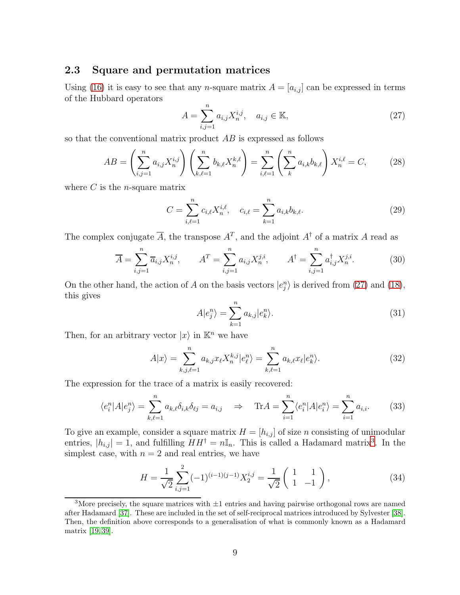## <span id="page-9-0"></span>2.3 Square and permutation matrices

Using [\(16\)](#page-7-1) it is easy to see that any *n*-square matrix  $A = [a_{i,j}]$  can be expressed in terms of the Hubbard operators

<span id="page-9-1"></span>
$$
A = \sum_{i,j=1}^{n} a_{i,j} X_n^{i,j}, \quad a_{i,j} \in \mathbb{K},
$$
\n(27)

so that the conventional matrix product AB is expressed as follows

<span id="page-9-4"></span>
$$
AB = \left(\sum_{i,j=1}^{n} a_{i,j} X_n^{i,j}\right) \left(\sum_{k,\ell=1}^{n} b_{k,\ell} X_n^{k,\ell}\right) = \sum_{i,\ell=1}^{n} \left(\sum_{k}^{n} a_{i,k} b_{k,\ell}\right) X_n^{i,\ell} = C,\tag{28}
$$

where  $C$  is the *n*-square matrix

$$
C = \sum_{i,\ell=1}^{n} c_{i,\ell} X_n^{i,\ell}, \quad c_{i,\ell} = \sum_{k=1}^{n} a_{i,k} b_{k,\ell}.
$$
 (29)

The complex conjugate  $\overline{A}$ , the transpose  $A^T$ , and the adjoint  $A^{\dagger}$  of a matrix A read as

<span id="page-9-5"></span>
$$
\overline{A} = \sum_{i,j=1}^{n} \overline{a}_{i,j} X_n^{i,j}, \qquad A^T = \sum_{i,j=1}^{n} a_{i,j} X_n^{j,i}, \qquad A^{\dagger} = \sum_{i,j=1}^{n} a_{i,j}^{\dagger} X_n^{j,i}.
$$
 (30)

On the other hand, the action of A on the basis vectors  $|e_j^n\rangle$  is derived from [\(27\)](#page-9-1) and [\(18\)](#page-7-2), this gives

<span id="page-9-7"></span>
$$
A|e_j^n\rangle = \sum_{k=1}^n a_{k,j} |e_k^n\rangle.
$$
\n(31)

Then, for an arbitrary vector  $|x\rangle$  in  $\mathbb{K}^n$  we have

<span id="page-9-3"></span>
$$
A|x\rangle = \sum_{k,j,\ell=1}^{n} a_{k,j} x_{\ell} X_n^{k,j} |e_{\ell}^n\rangle = \sum_{k,\ell=1}^{n} a_{k,\ell} x_{\ell} |e_k^n\rangle.
$$
 (32)

The expression for the trace of a matrix is easily recovered:

<span id="page-9-8"></span>
$$
\langle e_i^n | A | e_j^n \rangle = \sum_{k,\ell=1}^n a_{k,\ell} \delta_{i,k} \delta_{\ell j} = a_{i,j} \quad \Rightarrow \quad \text{Tr} A = \sum_{i=1}^n \langle e_i^n | A | e_i^n \rangle = \sum_{i=1}^n a_{i,i}.
$$
 (33)

To give an example, consider a square matrix  $H = [h_{i,j}]$  of size n consisting of unimodular entries,  $|h_{i,j}| = 1$ , and fulfilling  $HH^{\dagger} = n\mathbb{I}_n$ . This is called a Hadamard matrix<sup>[3](#page-9-2)</sup>. In the simplest case, with  $n = 2$  and real entries, we have

<span id="page-9-6"></span>
$$
H = \frac{1}{\sqrt{2}} \sum_{i,j=1}^{2} (-1)^{(i-1)(j-1)} X_2^{i,j} = \frac{1}{\sqrt{2}} \begin{pmatrix} 1 & 1 \ 1 & -1 \end{pmatrix},
$$
 (34)

<span id="page-9-2"></span><sup>&</sup>lt;sup>3</sup>More precisely, the square matrices with  $\pm 1$  entries and having pairwise orthogonal rows are named after Hadamard [\[37\]](#page-62-4). These are included in the set of self-reciprocal matrices introduced by Sylvester [\[38\]](#page-62-5). Then, the definition above corresponds to a generalisation of what is commonly known as a Hadamard matrix [\[19,](#page-61-2) [39\]](#page-62-6).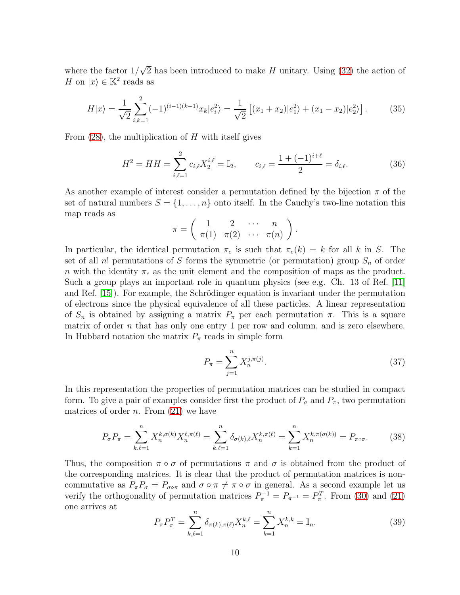where the factor  $1/\sqrt{2}$  has been introduced to make H unitary. Using [\(32\)](#page-9-3) the action of H on  $|x\rangle \in \mathbb{K}^2$  reads as

$$
H|x\rangle = \frac{1}{\sqrt{2}} \sum_{i,k=1}^{2} (-1)^{(i-1)(k-1)} x_k |e_i^2\rangle = \frac{1}{\sqrt{2}} \left[ (x_1 + x_2)|e_1^2\rangle + (x_1 - x_2)|e_2^2\rangle \right].
$$
 (35)

From  $(28)$ , the multiplication of H with itself gives

$$
H^{2} = HH = \sum_{i,\ell=1}^{2} c_{i,\ell} X_{2}^{i,\ell} = \mathbb{I}_{2}, \qquad c_{i,\ell} = \frac{1 + (-1)^{i+\ell}}{2} = \delta_{i,\ell}.
$$
 (36)

As another example of interest consider a permutation defined by the bijection  $\pi$  of the set of natural numbers  $S = \{1, \ldots, n\}$  onto itself. In the Cauchy's two-line notation this map reads as

$$
\pi = \left( \begin{array}{cccc} 1 & 2 & \cdots & n \\ \pi(1) & \pi(2) & \cdots & \pi(n) \end{array} \right).
$$

In particular, the identical permutation  $\pi_e$  is such that  $\pi_e(k) = k$  for all k in S. The set of all n! permutations of S forms the symmetric (or permutation) group  $S_n$  of order n with the identity  $\pi_e$  as the unit element and the composition of maps as the product. Such a group plays an important role in quantum physics (see e.g. Ch. 13 of Ref. [\[11\]](#page-60-12) and Ref.  $[15]$ . For example, the Schrödinger equation is invariant under the permutation of electrons since the physical equivalence of all these particles. A linear representation of  $S_n$  is obtained by assigning a matrix  $P_\pi$  per each permutation  $\pi$ . This is a square matrix of order  $n$  that has only one entry 1 per row and column, and is zero elsewhere. In Hubbard notation the matrix  $P_{\pi}$  reads in simple form

<span id="page-10-0"></span>
$$
P_{\pi} = \sum_{j=1}^{n} X_n^{j, \pi(j)}.
$$
 (37)

In this representation the properties of permutation matrices can be studied in compact form. To give a pair of examples consider first the product of  $P_{\sigma}$  and  $P_{\pi}$ , two permutation matrices of order *n*. From  $(21)$  we have

<span id="page-10-1"></span>
$$
P_{\sigma}P_{\pi} = \sum_{k,\ell=1}^{n} X_n^{k,\sigma(k)} X_n^{\ell,\pi(\ell)} = \sum_{k,\ell=1}^{n} \delta_{\sigma(k),\ell} X_n^{k,\pi(\ell)} = \sum_{k=1}^{n} X_n^{k,\pi(\sigma(k))} = P_{\pi \circ \sigma}.
$$
 (38)

Thus, the composition  $\pi \circ \sigma$  of permutations  $\pi$  and  $\sigma$  is obtained from the product of the corresponding matrices. It is clear that the product of permutation matrices is noncommutative as  $P_{\pi}P_{\sigma} = P_{\sigma \circ \pi}$  and  $\sigma \circ \pi \neq \pi \circ \sigma$  in general. As a second example let us verify the orthogonality of permutation matrices  $P_{\pi}^{-1} = P_{\pi^{-1}} = P_{\pi}^{T}$ . From [\(30\)](#page-9-5) and [\(21\)](#page-7-0) one arrives at

$$
P_{\pi}P_{\pi}^{T} = \sum_{k,\ell=1}^{n} \delta_{\pi(k),\pi(\ell)} X_{n}^{k,\ell} = \sum_{k=1}^{n} X_{n}^{k,k} = \mathbb{I}_{n}.
$$
 (39)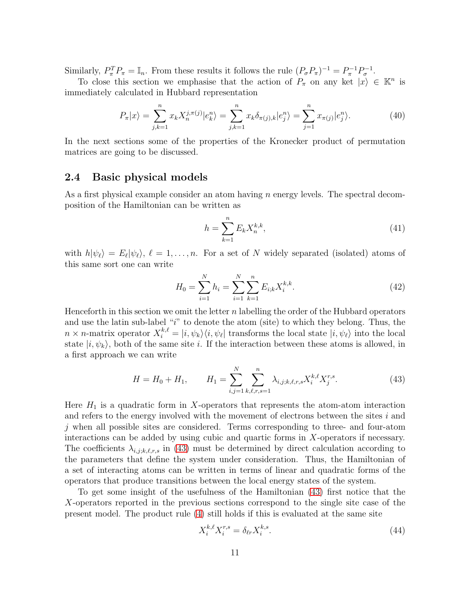Similarly,  $P_{\pi}^T P_{\pi} = \mathbb{I}_n$ . From these results it follows the rule  $(P_{\sigma} P_{\pi})^{-1} = P_{\pi}^{-1} P_{\sigma}^{-1}$ .

To close this section we emphasise that the action of  $P_{\pi}$  on any ket  $|x\rangle \in \mathbb{K}^{n}$  is immediately calculated in Hubbard representation

$$
P_{\pi}|x\rangle = \sum_{j,k=1}^{n} x_k X_n^{j,\pi(j)} |e_k^n\rangle = \sum_{j,k=1}^{n} x_k \delta_{\pi(j),k} |e_j^n\rangle = \sum_{j=1}^{n} x_{\pi(j)} |e_j^n\rangle.
$$
 (40)

In the next sections some of the properties of the Kronecker product of permutation matrices are going to be discussed.

## <span id="page-11-0"></span>2.4 Basic physical models

As a first physical example consider an atom having  $n$  energy levels. The spectral decomposition of the Hamiltonian can be written as

$$
h = \sum_{k=1}^{n} E_k X_n^{k,k},
$$
\n(41)

with  $h|\psi_{\ell}\rangle = E_{\ell}|\psi_{\ell}\rangle, \ell = 1,\ldots,n.$  For a set of N widely separated (isolated) atoms of this same sort one can write

$$
H_0 = \sum_{i=1}^{N} h_i = \sum_{i=1}^{N} \sum_{k=1}^{n} E_{i;k} X_i^{k,k}.
$$
 (42)

Henceforth in this section we omit the letter n labelling the order of the Hubbard operators and use the latin sub-label "i" to denote the atom (site) to which they belong. Thus, the  $n \times n$ -matrix operator  $X_i^{k,\ell} = |i,\psi_k\rangle\langle i,\psi_\ell|$  transforms the local state  $|i,\psi_\ell\rangle$  into the local state  $|i, \psi_k\rangle$ , both of the same site i. If the interaction between these atoms is allowed, in a first approach we can write

<span id="page-11-1"></span>
$$
H = H_0 + H_1, \qquad H_1 = \sum_{i,j=1}^{N} \sum_{k,\ell,r,s=1}^{n} \lambda_{i,j;k,\ell,r,s} X_i^{k,\ell} X_j^{r,s}.
$$
 (43)

Here  $H_1$  is a quadratic form in X-operators that represents the atom-atom interaction and refers to the energy involved with the movement of electrons between the sites  $i$  and j when all possible sites are considered. Terms corresponding to three- and four-atom interactions can be added by using cubic and quartic forms in X-operators if necessary. The coefficients  $\lambda_{i,j;k,\ell,r,s}$  in [\(43\)](#page-11-1) must be determined by direct calculation according to the parameters that define the system under consideration. Thus, the Hamiltonian of a set of interacting atoms can be written in terms of linear and quadratic forms of the operators that produce transitions between the local energy states of the system.

To get some insight of the usefulness of the Hamiltonian [\(43\)](#page-11-1) first notice that the X-operators reported in the previous sections correspond to the single site case of the present model. The product rule [\(4\)](#page-3-3) still holds if this is evaluated at the same site

<span id="page-11-2"></span>
$$
X_i^{k,\ell} X_i^{r,s} = \delta_{\ell r} X_i^{k,s}.\tag{44}
$$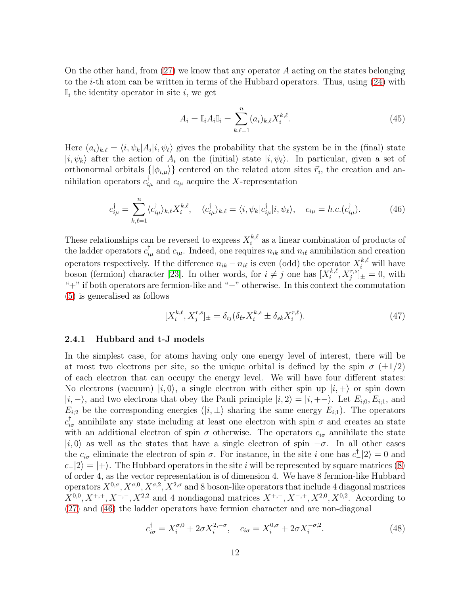On the other hand, from  $(27)$  we know that any operator A acting on the states belonging to the *i*-th atom can be written in terms of the Hubbard operators. Thus, using  $(24)$  with  $\mathbb{I}_i$  the identity operator in site i, we get

$$
A_i = \mathbb{I}_i A_i \mathbb{I}_i = \sum_{k,\ell=1}^n (a_i)_{k,\ell} X_i^{k,\ell}.
$$
 (45)

Here  $(a_i)_{k,\ell} = \langle i, \psi_k | A_i | i, \psi_\ell \rangle$  gives the probability that the system be in the (final) state  $|i, \psi_k\rangle$  after the action of  $A_i$  on the (initial) state  $|i, \psi_\ell\rangle$ . In particular, given a set of orthonormal orbitals  $\{ | \phi_{i,\mu} \rangle \}$  centered on the related atom sites  $\vec{r}_i$ , the creation and annihilation operators  $c_{i\mu}^{\dagger}$  and  $c_{i\mu}$  acquire the X-representation

<span id="page-12-1"></span>
$$
c_{i\mu}^{\dagger} = \sum_{k,\ell=1}^{n} \langle c_{i\mu}^{\dagger} \rangle_{k,\ell} X_{i}^{k,\ell}, \quad \langle c_{i\mu}^{\dagger} \rangle_{k,\ell} = \langle i, \psi_k | c_{i\mu}^{\dagger} | i, \psi_\ell \rangle, \quad c_{i\mu} = h.c.(c_{i\mu}^{\dagger}). \tag{46}
$$

These relationships can be reversed to express  $X_i^{k,\ell}$  $i^{k,\ell}$  as a linear combination of products of the ladder operators  $c_{i\mu}^{\dagger}$  and  $c_{i\mu}$ . Indeed, one requires  $n_{ik}$  and  $n_{i\ell}$  annihilation and creation operators respectively. If the difference  $n_{ik} - n_{i\ell}$  is even (odd) the operator  $X_i^{k,\ell}$  will have boson (fermion) character [\[23\]](#page-61-5). In other words, for  $i \neq j$  one has  $[X_i^{k,\ell}]$  $\left[ \begin{array}{c} k,\ell, X_j^{r,s} \end{array} \right]_{\pm} = 0$ , with "+" if both operators are fermion-like and "−" otherwise. In this context the commutation [\(5\)](#page-3-2) is generalised as follows

<span id="page-12-3"></span>
$$
[X_i^{k,\ell}, X_j^{r,s}]_{\pm} = \delta_{ij} (\delta_{\ell r} X_i^{k,s} \pm \delta_{sk} X_i^{r,\ell}). \tag{47}
$$

#### <span id="page-12-0"></span>2.4.1 Hubbard and t-J models

In the simplest case, for atoms having only one energy level of interest, there will be at most two electrons per site, so the unique orbital is defined by the spin  $\sigma$  ( $\pm 1/2$ ) of each electron that can occupy the energy level. We will have four different states: No electrons (vacuum)  $|i, 0\rangle$ , a single electron with either spin up  $|i, +\rangle$  or spin down  $|i, -\rangle$ , and two electrons that obey the Pauli principle  $|i, 2\rangle = |i, +-\rangle$ . Let  $E_{i,0}, E_{i,1}$ , and  $E_{i,2}$  be the corresponding energies  $(|i, \pm \rangle)$  sharing the same energy  $E_{i,1}$ ). The operators  $c_{i\sigma}^{\dagger}$  annihilate any state including at least one electron with spin  $\sigma$  and creates an state with an additional electron of spin  $\sigma$  otherwise. The operators  $c_{i\sigma}$  annihilate the state  $|i, 0\rangle$  as well as the states that have a single electron of spin  $-\sigma$ . In all other cases the  $c_{i\sigma}$  eliminate the electron of spin  $\sigma$ . For instance, in the site i one has  $c^{\dagger}$  |2) = 0 and  $c_{-}|2\rangle = |+\rangle$ . The Hubbard operators in the site i will be represented by square matrices [\(8\)](#page-4-2) of order 4, as the vector representation is of dimension 4. We have 8 fermion-like Hubbard operators  $X^{0,\sigma}$ ,  $X^{\sigma,0}$ ,  $X^{\sigma,2}$ ,  $X^{2,\sigma}$  and 8 boson-like operators that include 4 diagonal matrices  $X^{0,0}, X^{+,+}, X^{-,-}, X^{2,2}$  and 4 nondiagonal matrices  $X^{+,-}, X^{-,+}, X^{2,0}, X^{0,2}$ . According to [\(27\)](#page-9-1) and [\(46\)](#page-12-1) the ladder operators have fermion character and are non-diagonal

<span id="page-12-2"></span>
$$
c_{i\sigma}^{\dagger} = X_i^{\sigma,0} + 2\sigma X_i^{2,-\sigma}, \quad c_{i\sigma} = X_i^{0,\sigma} + 2\sigma X_i^{-\sigma,2}.
$$
 (48)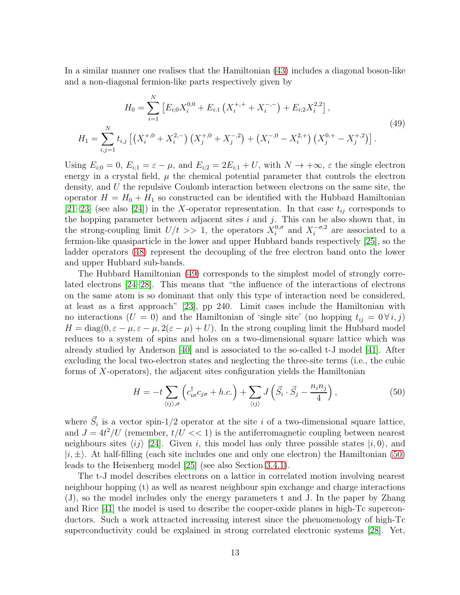In a similar manner one realises that the Hamiltonian [\(43\)](#page-11-1) includes a diagonal boson-like and a non-diagonal fermion-like parts respectively given by

<span id="page-13-0"></span>
$$
H_0 = \sum_{i=1}^{N} \left[ E_{i,0} X_i^{0,0} + E_{i,1} \left( X_i^{+,+} + X_i^{-,-} \right) + E_{i,2} X_i^{2,2} \right],
$$
  
\n
$$
H_1 = \sum_{i,j=1}^{N} t_{i,j} \left[ \left( X_i^{+,0} + X_i^{2,-} \right) \left( X_j^{+,0} + X_j^{-,2} \right) + \left( X_i^{-,0} - X_i^{2,+} \right) \left( X_j^{0,+} - X_j^{+,2} \right) \right].
$$
\n(49)

Using  $E_{i;0} = 0$ ,  $E_{i;1} = \varepsilon - \mu$ , and  $E_{i;2} = 2E_{i;1} + U$ , with  $N \to +\infty$ ,  $\varepsilon$  the single electron energy in a crystal field,  $\mu$  the chemical potential parameter that controls the electron density, and U the repulsive Coulomb interaction between electrons on the same site, the operator  $H = H_0 + H_1$  so constructed can be identified with the Hubbard Hamiltonian [\[21](#page-61-4)[–23\]](#page-61-5) (see also [\[24\]](#page-61-11)) in the X-operator representation. In that case  $t_{ij}$  corresponds to the hopping parameter between adjacent sites  $i$  and  $j$ . This can be also shown that, in the strong-coupling limit  $U/t \gg 1$ , the operators  $X_i^{0,\sigma}$  $i_i^{0,\sigma}$  and  $X_i^{-\sigma,2}$  are associated to a fermion-like quasiparticle in the lower and upper Hubbard bands respectively [\[25\]](#page-61-13), so the ladder operators [\(48\)](#page-12-2) represent the decoupling of the free electron band onto the lower and upper Hubbard sub-bands.

The Hubbard Hamiltonian [\(49\)](#page-13-0) corresponds to the simplest model of strongly correlated electrons [\[24](#page-61-11)[–28\]](#page-61-12). This means that "the influence of the interactions of electrons on the same atom is so dominant that only this type of interaction need be considered, at least as a first approach" [\[23\]](#page-61-5), pp 240. Limit cases include the Hamiltonian with no interactions (U = 0) and the Hamiltonian of 'single site' (no hopping  $t_{ij} = 0 \forall i, j$ )  $H = \text{diag}(0, \varepsilon - \mu, \varepsilon - \mu, 2(\varepsilon - \mu) + U)$ . In the strong coupling limit the Hubbard model reduces to a system of spins and holes on a two-dimensional square lattice which was already studied by Anderson [\[40\]](#page-62-7) and is associated to the so-called t-J model [\[41\]](#page-62-8). After excluding the local two-electron states and neglecting the three-site terms (i.e., the cubic forms of X-operators), the adjacent sites configuration yields the Hamiltonian

<span id="page-13-1"></span>
$$
H = -t \sum_{\langle ij \rangle,\sigma} \left( c_{i\sigma}^{\dagger} c_{j\sigma} + h.c. \right) + \sum_{\langle ij \rangle} J \left( \vec{S}_i \cdot \vec{S}_j - \frac{n_i n_j}{4} \right), \tag{50}
$$

where  $\vec{S}_i$  is a vector spin-1/2 operator at the site i of a two-dimensional square lattice, and  $J = 4t^2/U$  (remember,  $t/U \ll 1$ ) is the antiferromagnetic coupling between nearest neighbours sites  $\langle ij \rangle$  [\[24\]](#page-61-11). Given i, this model has only three possible states  $|i, 0\rangle$ , and  $|i, \pm\rangle$ . At half-filling (each site includes one and only one electron) the Hamiltonian [\(50\)](#page-13-1) leads to the Heisenberg model [\[25\]](#page-61-13) (see also Section [3.4.1\)](#page-32-0).

The t-J model describes electrons on a lattice in correlated motion involving nearest neighbour hopping (t) as well as nearest neighbour spin exchange and charge interactions (J), so the model includes only the energy parameters t and J. In the paper by Zhang and Rice [\[41\]](#page-62-8) the model is used to describe the cooper-oxide planes in high-Tc superconductors. Such a work attracted increasing interest since the phenomenology of high-Tc superconductivity could be explained in strong correlated electronic systems [\[28\]](#page-61-12). Yet,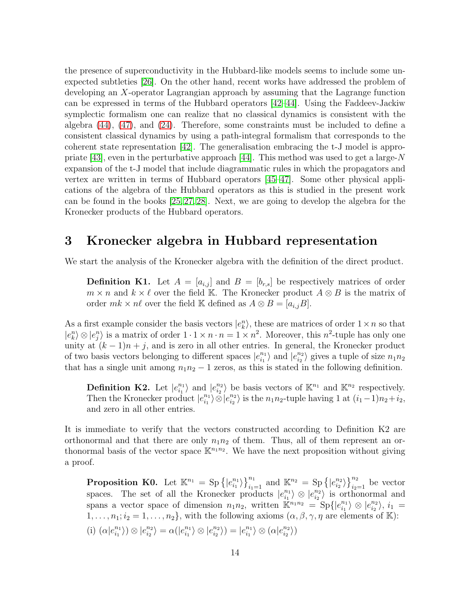the presence of superconductivity in the Hubbard-like models seems to include some unexpected subtleties [\[26\]](#page-61-14). On the other hand, recent works have addressed the problem of developing an X-operator Lagrangian approach by assuming that the Lagrange function can be expressed in terms of the Hubbard operators [\[42–](#page-62-9)[44\]](#page-62-10). Using the Faddeev-Jackiw symplectic formalism one can realize that no classical dynamics is consistent with the algebra [\(44\)](#page-11-2), [\(47\)](#page-12-3), and [\(24\)](#page-8-1). Therefore, some constraints must be included to define a consistent classical dynamics by using a path-integral formalism that corresponds to the coherent state representation [\[42\]](#page-62-9). The generalisation embracing the t-J model is appro-priate [\[43\]](#page-62-11), even in the perturbative approach [\[44\]](#page-62-10). This method was used to get a large-N expansion of the t-J model that include diagrammatic rules in which the propagators and vertex are written in terms of Hubbard operators [\[45](#page-62-12)[–47\]](#page-63-0). Some other physical applications of the algebra of the Hubbard operators as this is studied in the present work can be found in the books [\[25,](#page-61-13) [27,](#page-61-15) [28\]](#page-61-12). Next, we are going to develop the algebra for the Kronecker products of the Hubbard operators.

## <span id="page-14-0"></span>3 Kronecker algebra in Hubbard representation

We start the analysis of the Kronecker algebra with the definition of the direct product.

**Definition K1.** Let  $A = [a_{i,j}]$  and  $B = [b_{r,s}]$  be respectively matrices of order  $m \times n$  and  $k \times \ell$  over the field K. The Kronecker product  $A \otimes B$  is the matrix of order  $mk \times n\ell$  over the field K defined as  $A \otimes B = [a_{i,j}B]$ .

As a first example consider the basis vectors  $|e_k^n\rangle$ , these are matrices of order  $1 \times n$  so that  $|e_k^n\rangle \otimes |e_j^n\rangle$  is a matrix of order  $1 \cdot 1 \times n \cdot n = 1 \times n^2$ . Moreover, this  $n^2$ -tuple has only one unity at  $(k-1)n + j$ , and is zero in all other entries. In general, the Kronecker product % of two basis vectors belonging to different spaces  $\left|e_{i_1}^{n_1}\right|$  $\binom{n_1}{i_1}$  and  $|e_{i_2}^{n_2}$  $\binom{n_2}{i_2}$  gives a tuple of size  $n_1n_2$ that has a single unit among  $n_1n_2 - 1$  zeros, as this is stated in the following definition.

Definition K2. Let  $|e_{i_1}^{n_1}|$  $\binom{n_1}{i_1}$  and  $\binom{e^{n_2}}{i_2}$  $\binom{n_2}{i_2}$  be basis vectors of  $\mathbb{K}^{n_1}$  and  $\mathbb{K}^{n_2}$  respectively. Then the Kronecker product  $|e_{i_1}^{n_1}|$  $\ket{\widetilde{e}_{i_1}^{n_1}}\otimes\ket{e_{i_2}^{n_2}}$  $\binom{n_2}{i_2}$  is the  $n_1n_2$ -tuple having 1 at  $(i_1-1)n_2+i_2$ , and zero in all other entries.

It is immediate to verify that the vectors constructed according to Definition K2 are orthonormal and that there are only  $n_1n_2$  of them. Thus, all of them represent an orthonormal basis of the vector space  $\mathbb{K}^{n_1 n_2}$ . We have the next proposition without giving a proof.

**Proposition K0.** Let  $\mathbb{K}^{n_1} = \text{Sp}\left\{ |e_{i_1}^{n_1} \right\}$  $\binom{n_1}{i_1}$ ,  $\binom{n_1}{i_1=1}$  and  $\mathbb{K}^{n_2} = \text{Sp}\left\{ |e_{i_2}^{n_2}\right\}$  $\binom{n_2}{i_2}$  $\binom{n_2}{i_2=1}$  be vector spaces. The set of all the Kronecker products  $|e_{i_1}^{n_1}|$  $\binom{n_1}{i_1} \otimes \big| e_{i_2}^{n_2}$  $\binom{n_2}{i_2}$  is orthonormal and spans a vector space of dimension  $n_1n_2$ , written  $\mathbb{K}^{n_1n_2} = \text{Sp}\{|e_{i_1}^{n_1}\}\$  $\binom{n_1}{i_1} \otimes \lfloor e^{n_2}_{i_2} \rfloor$  $\langle \frac{n_2}{i_2} \rangle, \, i_1 =$  $1, \ldots, n_1; i_2 = 1, \ldots, n_2$ , with the following axioms  $(\alpha, \beta, \gamma, \eta)$  are elements of K): (i)  $(\alpha|e_{i_1}^{n_1}$  $\binom{n_1}{i_1} \otimes \lfloor e^{n_2}_{i_2} \rfloor$  $\binom{n_2}{i_2} = \alpha(|e_{i_1}^{n_1})$  $\binom{n_1}{i_1} \otimes \big| e_{i_2}^{n_2}$  $\binom{n_2}{i_2}$  =  $|e_{i_1}^{n_1}|$  $\binom{n_1}{i_1}\otimes (\alpha|e_{i_2}^{n_2})$  $\left.\begin{array}{c} n_2\!\!\!_{i_2}\end{array}\right\rangle\big)$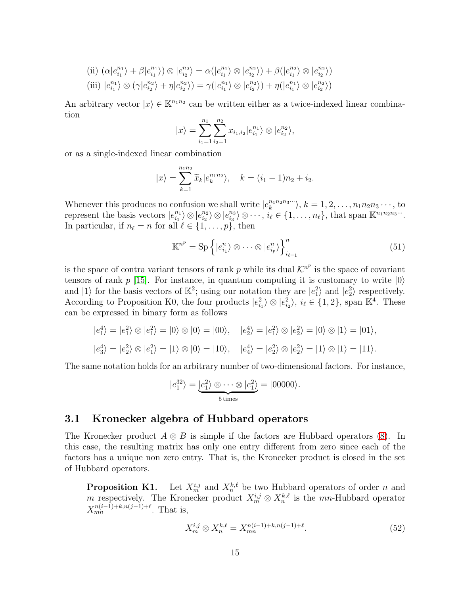(ii) 
$$
(\alpha|e_{i_1}^{n_1}\rangle + \beta|e_{i_1}^{n_1}\rangle) \otimes |e_{i_2}^{n_2}\rangle = \alpha(|e_{i_1}^{n_1}\rangle \otimes |e_{i_2}^{n_2}\rangle) + \beta(|e_{i_1}^{n_2}\rangle \otimes |e_{i_2}^{n_2}\rangle)
$$
  
(iii)  $|e_{i_1}^{n_1}\rangle \otimes (\gamma|e_{i_2}^{n_2}\rangle + \eta|e_{i_2}^{n_2}\rangle) = \gamma(|e_{i_1}^{n_1}\rangle \otimes |e_{i_2}^{n_2}\rangle) + \eta(|e_{i_1}^{n_1}\rangle \otimes |e_{i_2}^{n_2}\rangle)$ 

An arbitrary vector  $|x\rangle \in \mathbb{K}^{n_1 n_2}$  can be written either as a twice-indexed linear combination

$$
|x\rangle = \sum_{i_1=1}^{n_1} \sum_{i_2=1}^{n_2} x_{i_1, i_2} |e_{i_1}^{n_1}\rangle \otimes |e_{i_2}^{n_2}\rangle,
$$

or as a single-indexed linear combination

$$
|x\rangle = \sum_{k=1}^{n_1 n_2} \widetilde{x}_k |e_k^{n_1 n_2}\rangle, \quad k = (i_1 - 1)n_2 + i_2.
$$

Whenever this produces no confusion we shall write  $|e_k^{n_1 n_2 n_3 \cdots} \rangle$ ,  $k = 1, 2, \ldots, n_1 n_2 n_3 \cdots$ , to represent the basis vectors  $|e_{i_1}^{n_1}|$  $\binom{n_1}{i_1}\otimes \lfloor e^{n_2}_{i_2}$  $\binom{n_2}{i_2} \otimes \lfloor e^{n_3}_{i_3} \rfloor$  $\langle n_3 \rangle \otimes \cdots, i_\ell \in \{1, \ldots, n_\ell\},\$  that span  $\mathbb{K}^{n_1 n_2 n_3 \cdots}$ . In particular, if  $n_{\ell} = n$  for all  $\ell \in \{1, \ldots, p\}$ , then

<span id="page-15-2"></span>
$$
\mathbb{K}^{n^p} = \text{Sp}\left\{|e_{i_1}^n\rangle \otimes \cdots \otimes |e_{i_p}^n\rangle\right\}_{i_{\ell=1}}^n
$$
\n(51)

is the space of contra variant tensors of rank p while its dual  $\mathcal{K}^{n^p}$  is the space of covariant tensors of rank  $p$  [\[15\]](#page-60-10). For instance, in quantum computing it is customary to write  $|0\rangle$ and  $|1\rangle$  for the basis vectors of  $\mathbb{K}^2$ ; using our notation they are  $|e_1^2\rangle$  and  $|e_2^2\rangle$  respectively. According to Proposition K0, the four products  $|e_{i_1}^2\rangle \otimes |e_{i_2}^2\rangle$ ,  $i_\ell \in \{1,2\}$ , span  $\mathbb{K}^4$ . These can be expressed in binary form as follows

$$
|e_1^4\rangle = |e_1^2\rangle \otimes |e_1^2\rangle = |0\rangle \otimes |0\rangle = |00\rangle, \quad |e_2^4\rangle = |e_1^2\rangle \otimes |e_2^2\rangle = |0\rangle \otimes |1\rangle = |01\rangle,
$$
  
 $|e_3^4\rangle = |e_2^2\rangle \otimes |e_1^2\rangle = |1\rangle \otimes |0\rangle = |10\rangle, \quad |e_4^4\rangle = |e_2^2\rangle \otimes |e_2^2\rangle = |1\rangle \otimes |1\rangle = |11\rangle.$ 

The same notation holds for an arbitrary number of two-dimensional factors. For instance,

$$
|e_1^{32}\rangle = \underbrace{|e_1^2\rangle \otimes \cdots \otimes |e_1^2\rangle}_{5 \text{ times}} = |00000\rangle.
$$

## <span id="page-15-0"></span>3.1 Kronecker algebra of Hubbard operators

The Kronecker product  $A \otimes B$  is simple if the factors are Hubbard operators [\(8\)](#page-4-2). In this case, the resulting matrix has only one entry different from zero since each of the factors has a unique non zero entry. That is, the Kronecker product is closed in the set of Hubbard operators.

**Proposition K1.** Let  $X_m^{i,j}$  and  $X_n^{k,\ell}$  be two Hubbard operators of order n and m respectively. The Kronecker product  $X_m^{i,j} \otimes X_n^{k,\ell}$  is the mn-Hubbard operator  $X_{mn}^{n(i-1)+k,n(j-1)+\ell}$ . That is,

<span id="page-15-1"></span>
$$
X_m^{i,j} \otimes X_n^{k,\ell} = X_{mn}^{n(i-1)+k,n(j-1)+\ell}.
$$
\n(52)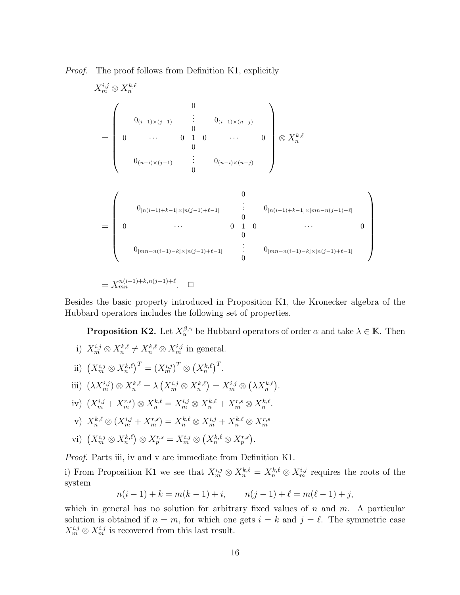*Proof.* The proof follows from Definition K1, explicitly

X i,j <sup>m</sup> ⊗ X k,ℓ n = 0 0(i−1)×(j−1) . . . 0(i−1)×(n−j) 0 0 · · · 0 1 0 · · · 0 0 0(n−i)×(j−1) . . . 0(n−i)×(n−j) 0 ⊗ Xk,ℓ n = 0 0[n(i−1)+k−1]×[n(j−1)+ℓ−1] . . . 0[n(i−1)+k−1]×[mn−n(j−1)−ℓ] 0 0 · · · 0 1 0 · · · 0 0 0[mn−n(i−1)−k]×[n(j−1)+ℓ−1] . . . 0[mn−n(i−1)−k]×[n(j−1)+ℓ−1] 0 = X n(i−1)+k,n(j−1)+ℓ mn . ✷

Besides the basic property introduced in Proposition K1, the Kronecker algebra of the Hubbard operators includes the following set of properties.

**Proposition K2.** Let  $X_{\alpha}^{\beta,\gamma}$  be Hubbard operators of order  $\alpha$  and take  $\lambda \in \mathbb{K}$ . Then

- i)  $X_m^{i,j} \otimes X_n^{k,\ell} \neq X_n^{k,\ell} \otimes X_m^{i,j}$  in general.
- ii)  $(X_m^{i,j} \otimes X_n^{k,\ell})^T = (X_m^{i,j})^T \otimes (X_n^{k,\ell})^T$ .
- iii)  $(\lambda X_m^{i,j}) \otimes X_n^{k,\ell} = \lambda \left( X_m^{i,j} \otimes X_n^{k,\ell} \right) = X_m^{i,j} \otimes \left( \lambda X_n^{k,\ell} \right).$
- iv)  $(X_m^{i,j} + X_m^{r,s}) \otimes X_n^{k,\ell} = X_m^{i,j} \otimes X_n^{k,\ell} + X_m^{r,s} \otimes X_n^{k,\ell}.$
- v)  $X_n^{k,\ell} \otimes (X_m^{i,j} + X_m^{r,s}) = X_n^{k,\ell} \otimes X_m^{i,j} + X_n^{k,\ell} \otimes X_m^{r,s}$
- vi)  $(X_m^{i,j} \otimes X_n^{k,\ell}) \otimes X_p^{r,s} = X_m^{i,j} \otimes (X_n^{k,\ell} \otimes X_p^{r,s}).$

*Proof*. Parts iii, iv and v are immediate from Definition K1.

i) From Proposition K1 we see that  $X_m^{i,j} \otimes X_n^{k,\ell} = X_n^{k,\ell} \otimes X_m^{i,j}$  requires the roots of the system

$$
n(i-1) + k = m(k-1) + i, \qquad n(j-1) + \ell = m(\ell - 1) + j,
$$

which in general has no solution for arbitrary fixed values of  $n$  and  $m$ . A particular solution is obtained if  $n = m$ , for which one gets  $i = k$  and  $j = \ell$ . The symmetric case  $X_m^{i,j} \otimes X_m^{i,j}$  is recovered from this last result.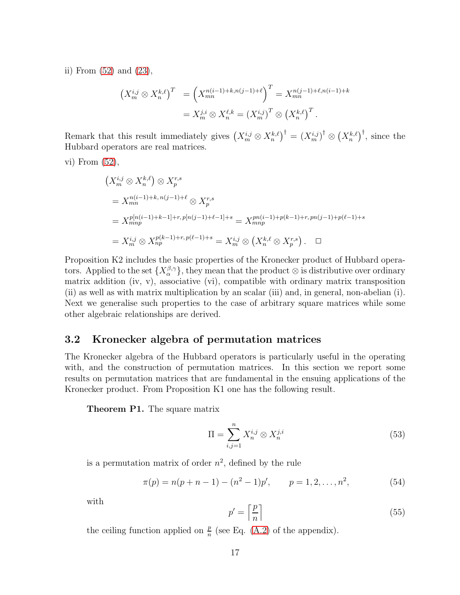ii) From [\(52\)](#page-15-1) and [\(23\)](#page-7-3),

$$
\begin{aligned} \left(X_m^{i,j} \otimes X_n^{k,\ell}\right)^T &= \left(X_{mn}^{n(i-1)+k,n(j-1)+\ell}\right)^T = X_{mn}^{n(j-1)+\ell,n(i-1)+k} \\ &= X_m^{j,i} \otimes X_n^{\ell,k} = \left(X_m^{i,j}\right)^T \otimes \left(X_n^{k,\ell}\right)^T. \end{aligned}
$$

Remark that this result immediately gives  $(X_m^{i,j} \otimes X_n^{k,\ell})^{\dagger} = (X_m^{i,j})^{\dagger} \otimes (X_n^{k,\ell})^{\dagger}$ , since the Hubbard operators are real matrices.

vi) From [\(52\)](#page-15-1),

$$
\begin{aligned}\n(X_m^{i,j} \otimes X_n^{k,\ell}) &\otimes X_p^{r,s} \\
&= X_{mn}^{n(i-1)+k, n(j-1)+\ell} \otimes X_p^{r,s} \\
&= X_{mnp}^{p[n(i-1)+k-1]+r, p[n(j-1)+\ell-1]+s} = X_{mnp}^{pn(i-1)+p(k-1)+r, pn(j-1)+p(\ell-1)+s} \\
&= X_{m}^{i,j} \otimes X_{np}^{p(k-1)+r, p(\ell-1)+s} = X_m^{i,j} \otimes \left(X_n^{k,\ell} \otimes X_p^{r,s}\right). \quad \Box\n\end{aligned}
$$

Proposition K2 includes the basic properties of the Kronecker product of Hubbard operators. Applied to the set  $\{X_{\alpha}^{\beta,\gamma}\}\,$  they mean that the product  $\otimes$  is distributive over ordinary matrix addition (iv, v), associative (vi), compatible with ordinary matrix transposition (ii) as well as with matrix multiplication by an scalar (iii) and, in general, non-abelian (i). Next we generalise such properties to the case of arbitrary square matrices while some other algebraic relationships are derived.

## <span id="page-17-0"></span>3.2 Kronecker algebra of permutation matrices

The Kronecker algebra of the Hubbard operators is particularly useful in the operating with, and the construction of permutation matrices. In this section we report some results on permutation matrices that are fundamental in the ensuing applications of the Kronecker product. From Proposition K1 one has the following result.

Theorem P1. The square matrix

<span id="page-17-2"></span>
$$
\Pi = \sum_{i,j=1}^{n} X_n^{i,j} \otimes X_n^{j,i}
$$
\n(53)

is a permutation matrix of order  $n^2$ , defined by the rule

<span id="page-17-1"></span>
$$
\pi(p) = n(p+n-1) - (n^2 - 1)p', \qquad p = 1, 2, \dots, n^2,
$$
\n(54)

with

$$
p' = \left\lceil \frac{p}{n} \right\rceil \tag{55}
$$

the ceiling function applied on  $\frac{p}{n}$  (see Eq. [\(A.2\)](#page-56-1) of the appendix).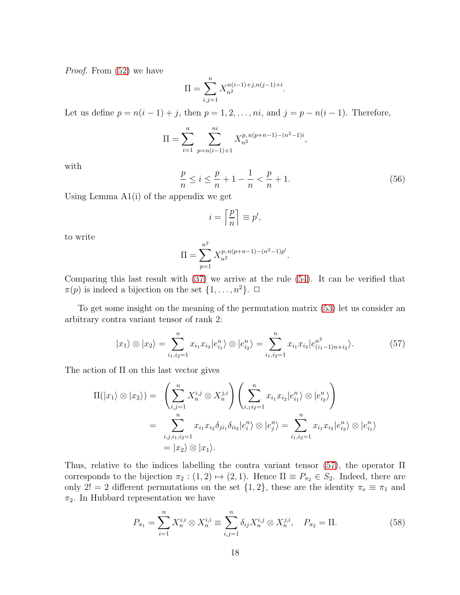*Proof*. From [\(52\)](#page-15-1) we have

$$
\Pi = \sum_{i,j=1}^{n} X_{n^2}^{n(i-1)+j,n(j-1)+i}.
$$

Let us define  $p = n(i - 1) + j$ , then  $p = 1, 2, \ldots, ni$ , and  $j = p - n(i - 1)$ . Therefore,

$$
\Pi = \sum_{i=1}^{n} \sum_{p=n(i-1)+1}^{ni} X_{n^2}^{p, n(p+n-1)-(n^2-1)i},
$$

with

<span id="page-18-1"></span>
$$
\frac{p}{n} \le i \le \frac{p}{n} + 1 - \frac{1}{n} < \frac{p}{n} + 1. \tag{56}
$$

Using Lemma A1(i) of the appendix we get

$$
i = \left\lceil \frac{p}{n} \right\rceil \equiv p',
$$

to write

$$
\Pi = \sum_{p=1}^{n^2} X_{n^2}^{p, n(p+n-1) - (n^2 - 1)p'}.
$$

Comparing this last result with [\(37\)](#page-10-0) we arrive at the rule [\(54\)](#page-17-1). It can be verified that  $\pi(p)$  is indeed a bijection on the set  $\{1, \ldots, n^2\}$ .  $\Box$ 

To get some insight on the meaning of the permutation matrix [\(53\)](#page-17-2) let us consider an arbitrary contra variant tensor of rank 2:

<span id="page-18-0"></span>
$$
|x_1\rangle \otimes |x_2\rangle = \sum_{i_1,i_2=1}^n x_{i_1} x_{i_2} |e_{i_1}^n\rangle \otimes |e_{i_2}^n\rangle = \sum_{i_1,i_2=1}^n x_{i_1} x_{i_2} |e_{(i_1-1)n+i_2}^{n^2}\rangle.
$$
 (57)

The action of Π on this last vector gives

$$
\Pi(|x_1\rangle \otimes |x_2\rangle) = \left(\sum_{i,j=1}^n X_n^{i,j} \otimes X_n^{j,i}\right) \left(\sum_{i,1}^n x_{i1} x_{i2} |e_{i1}^n\rangle \otimes |e_{i2}^n\rangle\right)
$$
  

$$
= \sum_{i,j,i_1,i_2=1}^n x_{i1} x_{i2} \delta_{ji1} \delta_{ii2} |e_i^n\rangle \otimes |e_j^n\rangle = \sum_{i_1,i_2=1}^n x_{i1} x_{i2} |e_{i2}^n\rangle \otimes |e_{i1}^n\rangle
$$
  

$$
= |x_2\rangle \otimes |x_1\rangle.
$$

Thus, relative to the indices labelling the contra variant tensor [\(57\)](#page-18-0), the operator Π corresponds to the bijection  $\pi_2 : (1, 2) \mapsto (2, 1)$ . Hence  $\Pi \equiv P_{\pi_2} \in S_2$ . Indeed, there are only 2! = 2 different permutations on the set  $\{1, 2\}$ , these are the identity  $\pi_e \equiv \pi_1$  and  $\pi_2$ . In Hubbard representation we have

$$
P_{\pi_1} = \sum_{i=1}^n X_n^{i,i} \otimes X_n^{i,i} \equiv \sum_{i,j=1}^n \delta_{ij} X_n^{i,j} \otimes X_n^{j,i}, \quad P_{\pi_2} = \Pi. \tag{58}
$$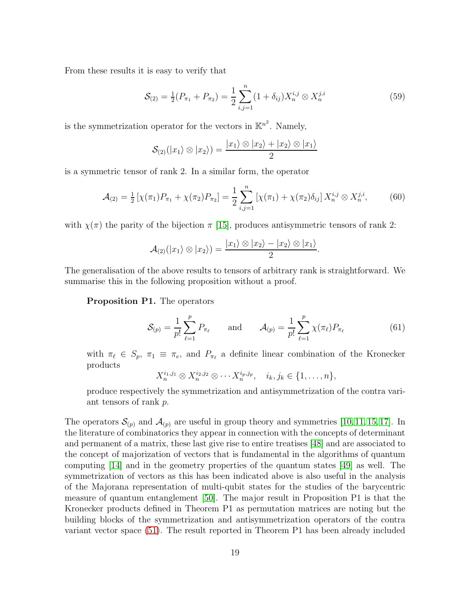From these results it is easy to verify that

$$
S_{(2)} = \frac{1}{2}(P_{\pi_1} + P_{\pi_2}) = \frac{1}{2} \sum_{i,j=1}^n (1 + \delta_{ij}) X_n^{i,j} \otimes X_n^{j,i}
$$
(59)

is the symmetrization operator for the vectors in  $\mathbb{K}^{n^2}$ . Namely,

$$
\mathcal{S}_{(2)}(|x_1\rangle \otimes |x_2\rangle) = \frac{|x_1\rangle \otimes |x_2\rangle + |x_2\rangle \otimes |x_1\rangle}{2}
$$

is a symmetric tensor of rank 2. In a similar form, the operator

<span id="page-19-0"></span>
$$
\mathcal{A}_{(2)} = \frac{1}{2} \left[ \chi(\pi_1) P_{\pi_1} + \chi(\pi_2) P_{\pi_2} \right] = \frac{1}{2} \sum_{i,j=1}^n \left[ \chi(\pi_1) + \chi(\pi_2) \delta_{ij} \right] X_n^{i,j} \otimes X_n^{j,i}, \tag{60}
$$

with  $\chi(\pi)$  the parity of the bijection  $\pi$  [\[15\]](#page-60-10), produces antisymmetric tensors of rank 2:

$$
\mathcal{A}_{(2)}(|x_1\rangle \otimes |x_2\rangle) = \frac{|x_1\rangle \otimes |x_2\rangle - |x_2\rangle \otimes |x_1\rangle}{2}.
$$

The generalisation of the above results to tensors of arbitrary rank is straightforward. We summarise this in the following proposition without a proof.

Proposition P1. The operators

$$
S_{(p)} = \frac{1}{p!} \sum_{\ell=1}^{p} P_{\pi_{\ell}} \quad \text{and} \quad \mathcal{A}_{(p)} = \frac{1}{p!} \sum_{\ell=1}^{p} \chi(\pi_{\ell}) P_{\pi_{\ell}} \tag{61}
$$

with  $\pi_{\ell} \in S_p$ ,  $\pi_1 \equiv \pi_e$ , and  $P_{\pi_{\ell}}$  a definite linear combination of the Kronecker products

$$
X_n^{i_1,j_1} \otimes X_n^{i_2,j_2} \otimes \cdots X_n^{i_p,j_p}, \quad i_k, j_k \in \{1, \ldots, n\},\
$$

produce respectively the symmetrization and antisymmetrization of the contra variant tensors of rank p.

The operators  $\mathcal{S}_{(p)}$  and  $\mathcal{A}_{(p)}$  are useful in group theory and symmetries [\[10,](#page-60-6) [11,](#page-60-12) [15,](#page-60-10) [17\]](#page-61-0). In the literature of combinatorics they appear in connection with the concepts of determinant and permanent of a matrix, these last give rise to entire treatises [\[48\]](#page-63-1) and are associated to the concept of majorization of vectors that is fundamental in the algorithms of quantum computing [\[14\]](#page-60-9) and in the geometry properties of the quantum states [\[49\]](#page-63-2) as well. The symmetrization of vectors as this has been indicated above is also useful in the analysis of the Majorana representation of multi-qubit states for the studies of the barycentric measure of quantum entanglement [\[50\]](#page-63-3). The major result in Proposition P1 is that the Kronecker products defined in Theorem P1 as permutation matrices are noting but the building blocks of the symmetrization and antisymmetrization operators of the contra variant vector space [\(51\)](#page-15-2). The result reported in Theorem P1 has been already included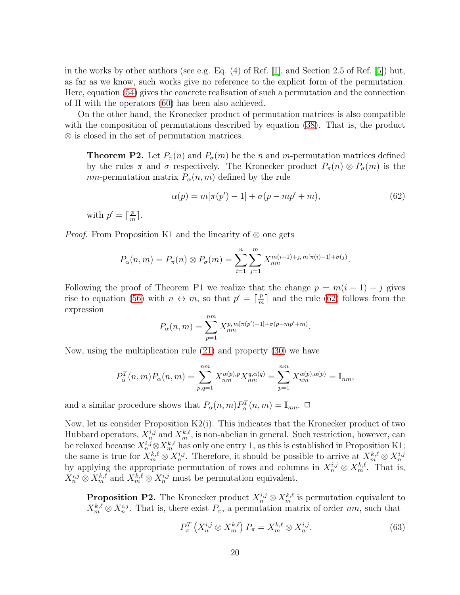in the works by other authors (see e.g. Eq.  $(4)$  of Ref. [\[1\]](#page-60-1), and Section 2.5 of Ref. [\[5\]](#page-60-4)) but, as far as we know, such works give no reference to the explicit form of the permutation. Here, equation [\(54\)](#page-17-1) gives the concrete realisation of such a permutation and the connection of  $\Pi$  with the operators [\(60\)](#page-19-0) has been also achieved.

On the other hand, the Kronecker product of permutation matrices is also compatible with the composition of permutations described by equation [\(38\)](#page-10-1). That is, the product ⊗ is closed in the set of permutation matrices.

**Theorem P2.** Let  $P_{\pi}(n)$  and  $P_{\sigma}(m)$  be the n and m-permutation matrices defined by the rules  $\pi$  and  $\sigma$  respectively. The Kronecker product  $P_{\pi}(n) \otimes P_{\sigma}(m)$  is the nm-permutation matrix  $P_{\alpha}(n,m)$  defined by the rule

<span id="page-20-0"></span>
$$
\alpha(p) = m[\pi(p') - 1] + \sigma(p - mp' + m), \tag{62}
$$

with  $p' = \lceil \frac{p}{m} \rceil$  $\frac{p}{m}$ .

*Proof.* From Proposition K1 and the linearity of ⊗ one gets

$$
P_{\alpha}(n,m) = P_{\pi}(n) \otimes P_{\sigma}(m) = \sum_{i=1}^{n} \sum_{j=1}^{m} X_{nm}^{m(i-1)+j, m[\pi(i)-1]+\sigma(j)}.
$$

Following the proof of Theorem P1 we realize that the change  $p = m(i - 1) + j$  gives rise to equation [\(56\)](#page-18-1) with  $n \leftrightarrow m$ , so that  $p' = \lceil \frac{p}{m} \rceil$  $\frac{p}{m}$  and the rule [\(62\)](#page-20-0) follows from the expression

$$
P_{\alpha}(n,m) = \sum_{p=1}^{nm} X_{nm}^{p,m[\pi(p')-1]+\sigma(p-mp'+m)}.
$$

Now, using the multiplication rule [\(21\)](#page-7-0) and property [\(30\)](#page-9-5) we have

$$
P_{\alpha}^{T}(n,m)P_{\alpha}(n,m) = \sum_{p,q=1}^{nm} X_{nm}^{\alpha(p),p} X_{nm}^{q,\alpha(q)} = \sum_{p=1}^{nm} X_{nm}^{\alpha(p),\alpha(p)} = \mathbb{I}_{nm},
$$

and a similar procedure shows that  $P_{\alpha}(n,m)P_{\alpha}^{T}(n,m) = \mathbb{I}_{nm}$ .  $\Box$ 

Now, let us consider Proposition K2(i). This indicates that the Kronecker product of two Hubbard operators,  $X_n^{i,j}$  and  $X_m^{k,\ell}$ , is non-abelian in general. Such restriction, however, can be relaxed because  $X_n^{i,j} \otimes X_n^{k,\ell}$  has only one entry 1, as this is established in Proposition K1; the same is true for  $X_m^{k,\ell} \otimes X_n^{i,j}$ . Therefore, it should be possible to arrive at  $X_m^{k,\ell} \otimes X_m^{i,j}$ <br>by applying the appropriate permutation of rows and columns in  $X_n^{i,j} \otimes X_m^{k,\ell}$ . That is,  $X_n^{i,j} \otimes X_m^{k,\ell}$  and  $X_m^{k,\ell} \otimes X_n^{i,j}$  must be permutation equivalent.

**Proposition P2.** The Kronecker product  $X_n^{i,j} \otimes X_m^{k,\ell}$  is permutation equivalent to  $X_m^{k,\ell} \otimes X_n^{i,j}$ . That is, there exist  $P_\pi$ , a permutation matrix of order nm, such that

<span id="page-20-1"></span>
$$
P_{\pi}^{T}\left(X_{n}^{i,j}\otimes X_{m}^{k,\ell}\right)P_{\pi}=X_{m}^{k,\ell}\otimes X_{n}^{i,j}.\tag{63}
$$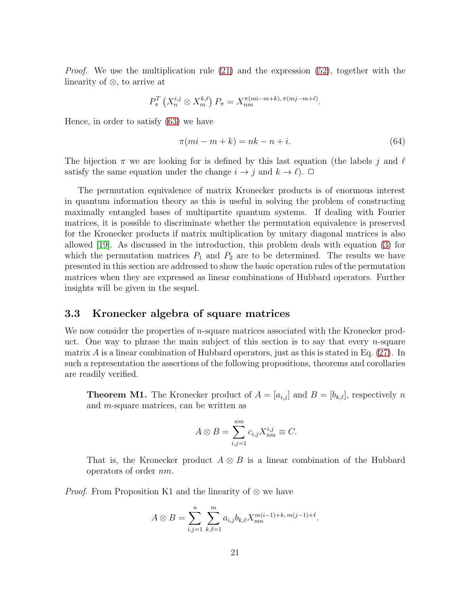*Proof.* We use the multiplication rule [\(21\)](#page-7-0) and the expression [\(52\)](#page-15-1), together with the linearity of ⊗, to arrive at

$$
P_{\pi}^{T}\left(X_{n}^{i,j}\otimes X_{m}^{k,\ell}\right)P_{\pi}=X_{nm}^{\pi(m_{i}-m+k),\pi(m_{j}-m+\ell)}.
$$

Hence, in order to satisfy [\(63\)](#page-20-1) we have

$$
\pi(mi - m + k) = nk - n + i.\tag{64}
$$

The bijection  $\pi$  we are looking for is defined by this last equation (the labels j and  $\ell$ satisfy the same equation under the change  $i \to j$  and  $k \to \ell$ ).  $\Box$ 

The permutation equivalence of matrix Kronecker products is of enormous interest in quantum information theory as this is useful in solving the problem of constructing maximally entangled bases of multipartite quantum systems. If dealing with Fourier matrices, it is possible to discriminate whether the permutation equivalence is preserved for the Kronecker products if matrix multiplication by unitary diagonal matrices is also allowed [\[19\]](#page-61-2). As discussed in the introduction, this problem deals with equation [\(3\)](#page-3-1) for which the permutation matrices  $P_1$  and  $P_2$  are to be determined. The results we have presented in this section are addressed to show the basic operation rules of the permutation matrices when they are expressed as linear combinations of Hubbard operators. Further insights will be given in the sequel.

#### <span id="page-21-0"></span>3.3 Kronecker algebra of square matrices

We now consider the properties of  $n$ -square matrices associated with the Kronecker product. One way to phrase the main subject of this section is to say that every  $n$ -square matrix  $\hat{A}$  is a linear combination of Hubbard operators, just as this is stated in Eq. [\(27\)](#page-9-1). In such a representation the assertions of the following propositions, theorems and corollaries are readily verified.

**Theorem M1.** The Kronecker product of  $A = [a_{i,j}]$  and  $B = [b_{k,\ell}]$ , respectively n and m-square matrices, can be written as

$$
A \otimes B = \sum_{i,j=1}^{nm} c_{i,j} X_{nm}^{i,j} \equiv C.
$$

That is, the Kronecker product  $A \otimes B$  is a linear combination of the Hubbard operators of order nm.

*Proof.* From Proposition K1 and the linearity of ⊗ we have

$$
A \otimes B = \sum_{i,j=1}^{n} \sum_{k,\ell=1}^{m} a_{i,j} b_{k,\ell} X_{mn}^{m(i-1)+k, m(j-1)+\ell}.
$$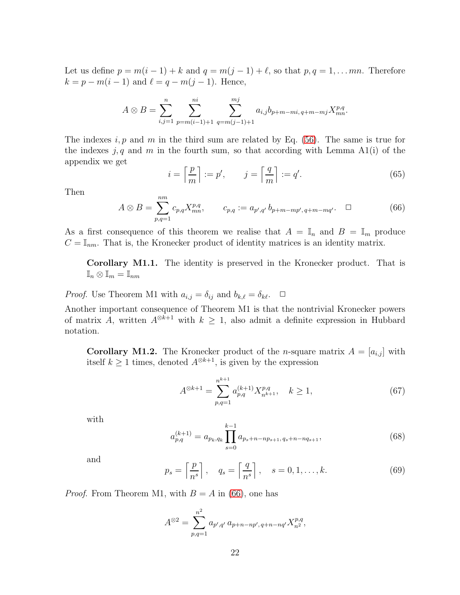Let us define  $p = m(i - 1) + k$  and  $q = m(j - 1) + \ell$ , so that  $p, q = 1, \ldots mn$ . Therefore  $k = p - m(i - 1)$  and  $\ell = q - m(j - 1)$ . Hence,

$$
A \otimes B = \sum_{i,j=1}^{n} \sum_{p=m(i-1)+1}^{ni} \sum_{q=m(j-1)+1}^{mj} a_{i,j} b_{p+m-mi, q+m-mj} X_{mn}^{p,q}.
$$

The indexes  $i, p$  and m in the third sum are related by Eq. [\(56\)](#page-18-1). The same is true for the indexes  $j, q$  and m in the fourth sum, so that according with Lemma A1(i) of the appendix we get

<span id="page-22-1"></span>
$$
i = \left\lceil \frac{p}{m} \right\rceil := p', \qquad j = \left\lceil \frac{q}{m} \right\rceil := q'. \tag{65}
$$

Then

<span id="page-22-0"></span>
$$
A \otimes B = \sum_{p,q=1}^{nm} c_{p,q} X_{mn}^{p,q}, \qquad c_{p,q} := a_{p',q'} b_{p+m-mp',q+m-mq'}.\quad \Box \tag{66}
$$

As a first consequence of this theorem we realise that  $A = \mathbb{I}_n$  and  $B = \mathbb{I}_m$  produce  $C = \mathbb{I}_{nm}$ . That is, the Kronecker product of identity matrices is an identity matrix.

Corollary M1.1. The identity is preserved in the Kronecker product. That is  $\mathbb{I}_n \otimes \mathbb{I}_m = \mathbb{I}_{nm}$ 

*Proof.* Use Theorem M1 with  $a_{i,j} = \delta_{ij}$  and  $b_{k,\ell} = \delta_{k\ell}$ .  $\Box$ 

Another important consequence of Theorem M1 is that the nontrivial Kronecker powers of matrix A, written  $A^{\otimes k+1}$  with  $k \geq 1$ , also admit a definite expression in Hubbard notation.

**Corollary M1.2.** The Kronecker product of the *n*-square matrix  $A = [a_{i,j}]$  with itself  $k \ge 1$  times, denoted  $A^{\otimes k+1}$ , is given by the expression

<span id="page-22-3"></span>
$$
A^{\otimes k+1} = \sum_{p,q=1}^{n^{k+1}} a_{p,q}^{(k+1)} X_{n^{k+1}}^{p,q}, \quad k \ge 1,
$$
 (67)

with

<span id="page-22-4"></span>
$$
a_{p,q}^{(k+1)} = a_{p_k, q_k} \prod_{s=0}^{k-1} a_{p_s + n - np_{s+1}, q_s + n - nq_{s+1}},
$$
\n(68)

and

<span id="page-22-2"></span>
$$
p_s = \left\lceil \frac{p}{n^s} \right\rceil, \quad q_s = \left\lceil \frac{q}{n^s} \right\rceil, \quad s = 0, 1, \dots, k. \tag{69}
$$

*Proof.* From Theorem M1, with  $B = A$  in [\(66\)](#page-22-0), one has

$$
A^{\otimes 2} = \sum_{p,q=1}^{n^2} a_{p',q'} a_{p+n-np',q+n-nq'} X_{n^2}^{p,q},
$$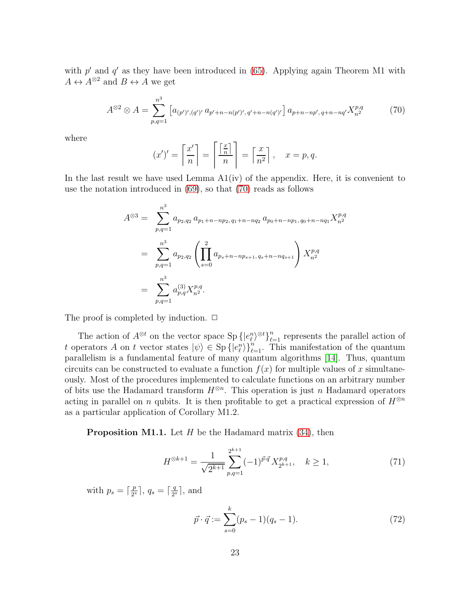with  $p'$  and  $q'$  as they have been introduced in [\(65\)](#page-22-1). Applying again Theorem M1 with  $A \leftrightarrow A^{\otimes 2}$  and  $B \leftrightarrow A$  we get

<span id="page-23-0"></span>
$$
A^{\otimes 2} \otimes A = \sum_{p,q=1}^{n^3} \left[ a_{(p')',(q')'} a_{p'+n-n(p')',q'+n-n(q')'} \right] a_{p+n-np',q+n-nq'} X_{n^2}^{p,q} \tag{70}
$$

where

$$
(x')' = \left\lceil \frac{x'}{n} \right\rceil = \left\lceil \frac{\left\lceil \frac{x}{n} \right\rceil}{n} \right\rceil = \left\lceil \frac{x}{n^2} \right\rceil, \quad x = p, q.
$$

In the last result we have used Lemma  $A1(iv)$  of the appendix. Here, it is convenient to use the notation introduced in [\(69\)](#page-22-2), so that [\(70\)](#page-23-0) reads as follows

$$
A^{\otimes 3} = \sum_{p,q=1}^{n^3} a_{p_2,q_2} a_{p_1+n-np_2,q_1+n-nq_2} a_{p_0+n-np_1,q_0+n-nq_1} X_{n^2}^{p,q}
$$
  
= 
$$
\sum_{p,q=1}^{n^3} a_{p_2,q_2} \left( \prod_{s=0}^2 a_{p_s+n-np_{s+1},q_s+n-nq_{s+1}} \right) X_{n^2}^{p,q}
$$
  
= 
$$
\sum_{p,q=1}^{n^3} a_{p,q}^{(3)} X_{n^2}^{p,q}.
$$

The proof is completed by induction.  $\Box$ 

The action of  $A^{\otimes t}$  on the vector space  $\text{Sp} \left\{ |e_{\ell}^n \right\}^{\otimes t} \}_{\ell=1}^n$  represents the parallel action of t operators A on t vector states  $|\psi\rangle \in \mathrm{Sp} \left\{ |e_{\ell}^{n} \rangle \right\}_{\ell=1}^{n}$ . This manifestation of the quantum parallelism is a fundamental feature of many quantum algorithms [\[14\]](#page-60-9). Thus, quantum circuits can be constructed to evaluate a function  $f(x)$  for multiple values of x simultaneously. Most of the procedures implemented to calculate functions on an arbitrary number of bits use the Hadamard transform  $H^{\otimes n}$ . This operation is just n Hadamard operators acting in parallel on n qubits. It is then profitable to get a practical expression of  $H^{\otimes n}$ as a particular application of Corollary M1.2.

**Proposition M1.1.** Let  $H$  be the Hadamard matrix  $(34)$ , then

<span id="page-23-1"></span>
$$
H^{\otimes k+1} = \frac{1}{\sqrt{2^{k+1}}} \sum_{p,q=1}^{2^{k+1}} (-1)^{\vec{p}\cdot\vec{q}} X_{2^{k+1}}^{p,q}, \quad k \ge 1,
$$
 (71)

with  $p_s = \lceil \frac{p}{2^s} \rceil$  $\frac{p}{2^s}$ ,  $q_s = \lceil \frac{q}{2^s} \rceil$  $\frac{q}{2^s}$ , and

$$
\vec{p} \cdot \vec{q} := \sum_{s=0}^{k} (p_s - 1)(q_s - 1). \tag{72}
$$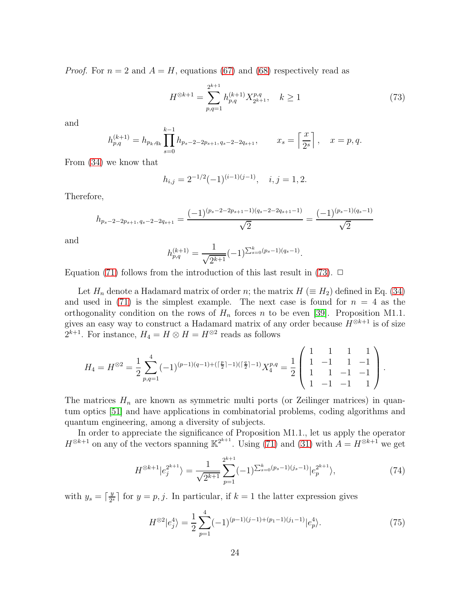*Proof.* For  $n = 2$  and  $A = H$ , equations [\(67\)](#page-22-3) and [\(68\)](#page-22-4) respectively read as

<span id="page-24-0"></span>
$$
H^{\otimes k+1} = \sum_{p,q=1}^{2^{k+1}} h_{p,q}^{(k+1)} X_{2^{k+1}}^{p,q}, \quad k \ge 1
$$
 (73)

and

$$
h_{p,q}^{(k+1)} = h_{p_k,q_k} \prod_{s=0}^{k-1} h_{p_s-2-2p_{s+1},q_s-2-2q_{s+1}}, \qquad x_s = \left\lceil \frac{x}{2^s} \right\rceil, \quad x = p, q.
$$

From [\(34\)](#page-9-6) we know that

$$
h_{i,j} = 2^{-1/2}(-1)^{(i-1)(j-1)}, \quad i, j = 1, 2.
$$

Therefore,

$$
h_{p_s-2-2p_{s+1},q_s-2-2q_{s+1}} = \frac{(-1)^{(p_s-2-2p_{s+1}-1)(q_s-2-2q_{s+1}-1)}}{\sqrt{2}} = \frac{(-1)^{(p_s-1)(q_s-1)}}{\sqrt{2}}
$$

and

$$
h_{p,q}^{(k+1)} = \frac{1}{\sqrt{2^{k+1}}}(-1)^{\sum_{s=0}^{k} (ps-1)(qs-1)}.
$$

Equation [\(71\)](#page-23-1) follows from the introduction of this last result in [\(73\)](#page-24-0).  $\Box$ 

Let  $H_n$  denote a Hadamard matrix of order n; the matrix  $H \text{ } (\equiv H_2)$  defined in Eq. [\(34\)](#page-9-6) and used in [\(71\)](#page-23-1) is the simplest example. The next case is found for  $n = 4$  as the orthogonality condition on the rows of  $H_n$  forces n to be even [\[39\]](#page-62-6). Proposition M1.1. gives an easy way to construct a Hadamard matrix of any order because  $H^{\otimes k+1}$  is of size  $2^{k+1}$ . For instance,  $H_4 = H \otimes H = H^{\otimes 2}$  reads as follows

$$
H_4 = H^{\otimes 2} = \frac{1}{2} \sum_{p,q=1}^4 (-1)^{(p-1)(q-1)+( \lceil \frac{p}{2} \rceil -1)( \lceil \frac{q}{2} \rceil -1)} X_4^{p,q} = \frac{1}{2} \begin{pmatrix} 1 & 1 & 1 & 1 \\ 1 & -1 & 1 & -1 \\ 1 & 1 & -1 & -1 \\ 1 & -1 & -1 & 1 \end{pmatrix}.
$$

The matrices  $H_n$  are known as symmetric multi ports (or Zeilinger matrices) in quantum optics [\[51\]](#page-63-4) and have applications in combinatorial problems, coding algorithms and quantum engineering, among a diversity of subjects.

In order to appreciate the significance of Proposition M1.1., let us apply the operator  $H^{\otimes k+1}$  on any of the vectors spanning  $\mathbb{K}^{2^{k+1}}$ . Using [\(71\)](#page-23-1) and [\(31\)](#page-9-7) with  $A = H^{\otimes k+1}$  we get

<span id="page-24-1"></span>
$$
H^{\otimes k+1}|e_j^{2^{k+1}}\rangle = \frac{1}{\sqrt{2^{k+1}}} \sum_{p=1}^{2^{k+1}} (-1)^{\sum_{s=0}^k (p_s-1)(j_s-1)} |e_p^{2^{k+1}}\rangle, \tag{74}
$$

with  $y_s = \lceil \frac{y}{2^s} \rceil$  $\frac{y}{2^{s}}$  for  $y = p, j$ . In particular, if  $k = 1$  the latter expression gives

$$
H^{\otimes 2}|e_j^4\rangle = \frac{1}{2} \sum_{p=1}^4 (-1)^{(p-1)(j-1)+(p_1-1)(j_1-1)} |e_p^4\rangle.
$$
 (75)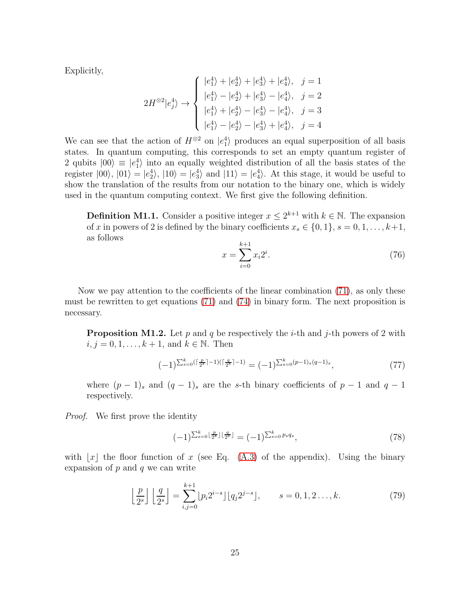Explicitly,

$$
2H^{\otimes 2}|e_j^4\rangle \rightarrow \begin{cases} |e_1^4\rangle + |e_2^4\rangle + |e_3^4\rangle + |e_4^4\rangle, & j = 1\\ |e_1^4\rangle - |e_2^4\rangle + |e_3^4\rangle - |e_4^4\rangle, & j = 2\\ |e_1^4\rangle + |e_2^4\rangle - |e_3^4\rangle - |e_4^4\rangle, & j = 3\\ |e_1^4\rangle - |e_2^4\rangle - |e_3^4\rangle + |e_4^4\rangle, & j = 4 \end{cases}
$$

We can see that the action of  $H^{\otimes 2}$  on  $|e_1^4\rangle$  produces an equal superposition of all basis states. In quantum computing, this corresponds to set an empty quantum register of 2 qubits  $|00\rangle \equiv |e_1|^2$  into an equally weighted distribution of all the basis states of the register  $|00\rangle$ ,  $|01\rangle = |e_2^4\rangle$ ,  $|10\rangle = |e_3^4\rangle$  and  $|11\rangle = |e_4^4\rangle$ . At this stage, it would be useful to show the translation of the results from our notation to the binary one, which is widely used in the quantum computing context. We first give the following definition.

**Definition M1.1.** Consider a positive integer  $x \leq 2^{k+1}$  with  $k \in \mathbb{N}$ . The expansion of x in powers of 2 is defined by the binary coefficients  $x_s \in \{0, 1\}$ ,  $s = 0, 1, \ldots, k+1$ , as follows

$$
x = \sum_{i=0}^{k+1} x_i 2^i.
$$
 (76)

Now we pay attention to the coefficients of the linear combination [\(71\)](#page-23-1), as only these must be rewritten to get equations [\(71\)](#page-23-1) and [\(74\)](#page-24-1) in binary form. The next proposition is necessary.

**Proposition M1.2.** Let p and q be respectively the *i*-th and j-th powers of 2 with  $i, j = 0, 1, ..., k + 1$ , and  $k \in \mathbb{N}$ . Then

<span id="page-25-2"></span>
$$
(-1)^{\sum_{s=0}^{k} (\lceil \frac{p}{2^s} \rceil - 1)(\lceil \frac{q}{2^s} \rceil - 1)} = (-1)^{\sum_{s=0}^{k} (p-1)_s (q-1)_s},\tag{77}
$$

where  $(p-1)$ <sub>s</sub> and  $(q-1)$ <sub>s</sub> are the s-th binary coefficients of  $p-1$  and  $q-1$ respectively.

*Proof.* We first prove the identity

<span id="page-25-1"></span>
$$
(-1)^{\sum_{s=0}^k \lfloor \frac{p}{2^s} \rfloor \lfloor \frac{q}{2^s} \rfloor} = (-1)^{\sum_{s=0}^k p_s q_s},\tag{78}
$$

with  $|x|$  the floor function of x (see Eq. [\(A.3\)](#page-56-2) of the appendix). Using the binary expansion of  $p$  and  $q$  we can write

<span id="page-25-0"></span>
$$
\left\lfloor \frac{p}{2^s} \right\rfloor \left\lfloor \frac{q}{2^s} \right\rfloor = \sum_{i,j=0}^{k+1} \lfloor p_i 2^{i-s} \rfloor \lfloor q_j 2^{j-s} \rfloor, \qquad s = 0, 1, 2, \dots, k. \tag{79}
$$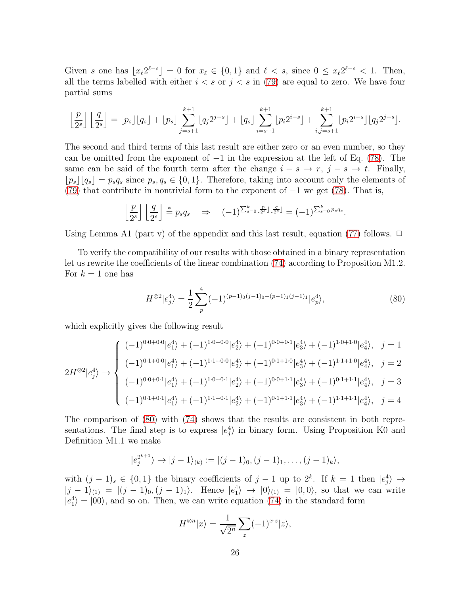Given s one has  $\lfloor x_{\ell} 2^{\ell-s} \rfloor = 0$  for  $x_{\ell} \in \{0,1\}$  and  $\ell < s$ , since  $0 \le x_{\ell} 2^{\ell-s} < 1$ . Then, all the terms labelled with either  $i < s$  or  $j < s$  in [\(79\)](#page-25-0) are equal to zero. We have four partial sums

$$
\left\lfloor \frac{p}{2^s} \right\rfloor \left\lfloor \frac{q}{2^s} \right\rfloor = \left\lfloor p_s \right\rfloor \left\lfloor q_s \right\rfloor + \left\lfloor p_s \right\rfloor \sum_{j=s+1}^{k+1} \left\lfloor q_j 2^{j-s} \right\rfloor + \left\lfloor q_s \right\rfloor \sum_{i=s+1}^{k+1} \left\lfloor p_i 2^{i-s} \right\rfloor + \sum_{i,j=s+1}^{k+1} \left\lfloor p_i 2^{i-s} \right\rfloor \left\lfloor q_j 2^{j-s} \right\rfloor.
$$

The second and third terms of this last result are either zero or an even number, so they can be omitted from the exponent of  $-1$  in the expression at the left of Eq. [\(78\)](#page-25-1). The same can be said of the fourth term after the change  $i - s \rightarrow r$ ,  $j - s \rightarrow t$ . Finally,  $\lfloor p_s \rfloor |q_s| = p_s q_s$  since  $p_s, q_s \in \{0, 1\}$ . Therefore, taking into account only the elements of [\(79\)](#page-25-0) that contribute in nontrivial form to the exponent of  $-1$  we get [\(78\)](#page-25-1). That is,

$$
\left\lfloor \frac{p}{2^s} \right\rfloor \left\lfloor \frac{q}{2^s} \right\rfloor = p_s q_s \quad \Rightarrow \quad (-1)^{\sum_{s=0}^k \left\lfloor \frac{p}{2^s} \right\rfloor \left\lfloor \frac{q}{2^s} \right\rfloor} = (-1)^{\sum_{s=0}^k p_s q_s}.
$$

Using Lemma A1 (part v) of the appendix and this last result, equation [\(77\)](#page-25-2) follows.  $\Box$ 

To verify the compatibility of our results with those obtained in a binary representation let us rewrite the coefficients of the linear combination [\(74\)](#page-24-1) according to Proposition M1.2. For  $k = 1$  one has

<span id="page-26-0"></span>
$$
H^{\otimes 2}|e_j^4\rangle = \frac{1}{2} \sum_p^4 (-1)^{(p-1)_0(j-1)_0 + (p-1)_1(j-1)_1} |e_p^4\rangle, \tag{80}
$$

which explicitly gives the following result

$$
2H^{\otimes 2}|e_j^4\rangle \rightarrow \begin{cases} (-1)^{0\cdot 0+0\cdot 0}|e_1^4\rangle + (-1)^{1\cdot 0+0\cdot 0}|e_2^4\rangle + (-1)^{0\cdot 0+0\cdot 1}|e_3^4\rangle + (-1)^{1\cdot 0+1\cdot 0}|e_4^4\rangle, & j=1\\ (-1)^{0\cdot 1+0\cdot 0}|e_1^4\rangle + (-1)^{1\cdot 1+0\cdot 0}|e_2^4\rangle + (-1)^{0\cdot 1+1\cdot 0}|e_3^4\rangle + (-1)^{1\cdot 1+1\cdot 0}|e_4^4\rangle, & j=2\\ (-1)^{0\cdot 0+0\cdot 1}|e_1^4\rangle + (-1)^{1\cdot 0+0\cdot 1}|e_2^4\rangle + (-1)^{0\cdot 0+1\cdot 1}|e_3^4\rangle + (-1)^{0\cdot 1+1\cdot 1}|e_4^4\rangle, & j=3\\ (-1)^{0\cdot 1+0\cdot 1}|e_1^4\rangle + (-1)^{1\cdot 1+0\cdot 1}|e_2^4\rangle + (-1)^{0\cdot 1+1\cdot 1}|e_3^4\rangle + (-1)^{1\cdot 1+1\cdot 1}|e_4^4\rangle, & j=4 \end{cases}
$$

The comparison of [\(80\)](#page-26-0) with [\(74\)](#page-24-1) shows that the results are consistent in both representations. The final step is to express  $|e_j^4\rangle$  in binary form. Using Proposition K0 and Definition M1.1 we make

$$
|e_j^{2^{k+1}}\rangle \to |j-1\rangle_{(k)} := |(j-1)_0, (j-1)_1, \ldots, (j-1)_k\rangle,
$$

with  $(j-1)_s \in \{0,1\}$  the binary coefficients of  $j-1$  up to  $2^k$ . If  $k=1$  then  $|e_j^4\rangle \rightarrow$  $|j - 1\rangle_{(1)} = |(j - 1)_0, (j - 1)_1\rangle$ . Hence  $|e_1|^2 \rightarrow |0\rangle_{(1)} = |0, 0\rangle$ , so that we can write  $|e_1^4\rangle = |00\rangle$ , and so on. Then, we can write equation [\(74\)](#page-24-1) in the standard form

$$
H^{\otimes n}|x\rangle = \frac{1}{\sqrt{2^n}} \sum_{z} (-1)^{x \cdot z} |z\rangle,
$$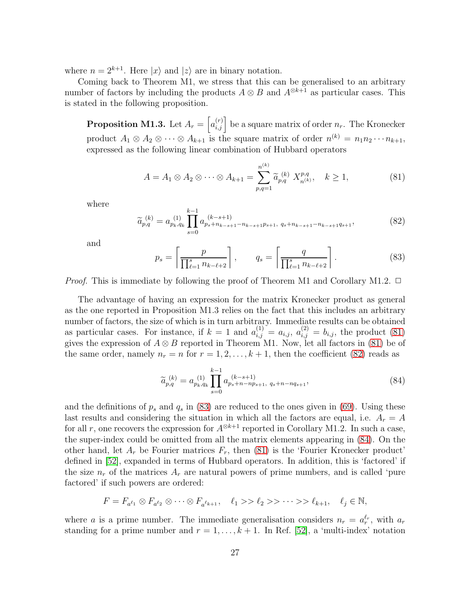where  $n = 2^{k+1}$ . Here  $|x\rangle$  and  $|z\rangle$  are in binary notation.

Coming back to Theorem M1, we stress that this can be generalised to an arbitrary number of factors by including the products  $A \otimes B$  and  $A^{\otimes k+1}$  as particular cases. This is stated in the following proposition.

**Proposition M1.3.** Let  $A_r = \left[a_{i,j}^{(r)}\right]$  be a square matrix of order  $n_r$ . The Kronecker product  $A_1 \otimes A_2 \otimes \cdots \otimes A_{k+1}$  is the square matrix of order  $n^{(k)} = n_1 n_2 \cdots n_{k+1}$ , expressed as the following linear combination of Hubbard operators

<span id="page-27-0"></span>
$$
A = A_1 \otimes A_2 \otimes \cdots \otimes A_{k+1} = \sum_{p,q=1}^{n^{(k)}} \widetilde{a}_{p,q}^{(k)} X_{n^{(k)}}^{p,q}, \quad k \ge 1,
$$
 (81)

where

<span id="page-27-1"></span>
$$
\widetilde{a}_{p,q}^{(k)} = a_{p_k,q_k}^{(1)} \prod_{s=0}^{k-1} a_{p_s + n_{k-s+1} - n_{k-s+1}p_{s+1}, q_s + n_{k-s+1} - n_{k-s+1}q_{s+1}},
$$
\n(82)

and

<span id="page-27-2"></span>
$$
p_s = \left\lceil \frac{p}{\prod_{\ell=1}^s n_{k-\ell+2}} \right\rceil, \qquad q_s = \left\lceil \frac{q}{\prod_{\ell=1}^s n_{k-\ell+2}} \right\rceil. \tag{83}
$$

*Proof.* This is immediate by following the proof of Theorem M1 and Corollary M1.2.  $\Box$ 

The advantage of having an expression for the matrix Kronecker product as general as the one reported in Proposition M1.3 relies on the fact that this includes an arbitrary number of factors, the size of which is in turn arbitrary. Immediate results can be obtained as particular cases. For instance, if  $k = 1$  and  $a_{i,j}^{(1)} = a_{i,j}$ ,  $a_{i,j}^{(2)} = b_{i,j}$ , the product [\(81\)](#page-27-0) gives the expression of  $A \otimes B$  reported in Theorem M1. Now, let all factors in [\(81\)](#page-27-0) be of the same order, namely  $n_r = n$  for  $r = 1, 2, ..., k + 1$ , then the coefficient [\(82\)](#page-27-1) reads as

<span id="page-27-3"></span>
$$
\widetilde{a}_{p,q}^{(k)} = a_{p_k, q_k}^{(1)} \prod_{s=0}^{k-1} a_{p_s + n - np_{s+1}, q_s + n - nq_{s+1}},
$$
\n(84)

and the definitions of  $p_s$  and  $q_s$  in [\(83\)](#page-27-2) are reduced to the ones given in [\(69\)](#page-22-2). Using these last results and considering the situation in which all the factors are equal, i.e.  $A_r = A$ for all r, one recovers the expression for  $A^{\otimes k+1}$  reported in Corollary M1.2. In such a case, the super-index could be omitted from all the matrix elements appearing in [\(84\)](#page-27-3). On the other hand, let  $A_r$  be Fourier matrices  $F_r$ , then [\(81\)](#page-27-0) is the 'Fourier Kronecker product' defined in [\[52\]](#page-63-5), expanded in terms of Hubbard operators. In addition, this is 'factored' if the size  $n_r$  of the matrices  $A_r$  are natural powers of prime numbers, and is called 'pure factored' if such powers are ordered:

$$
F = F_{a^{\ell_1}} \otimes F_{a^{\ell_2}} \otimes \cdots \otimes F_{a^{\ell_{k+1}}}, \quad \ell_1 >> \ell_2 >> \cdots >> \ell_{k+1}, \quad \ell_j \in \mathbb{N},
$$

where a is a prime number. The immediate generalisation considers  $n_r = a_r^{\ell_r}$ , with  $a_r$ standing for a prime number and  $r = 1, \ldots, k + 1$ . In Ref. [\[52\]](#page-63-5), a 'multi-index' notation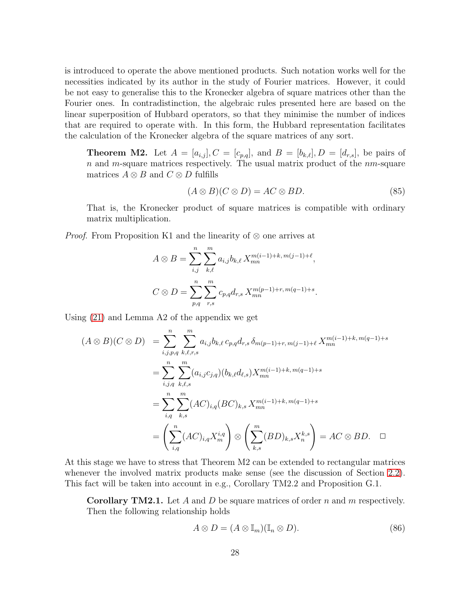is introduced to operate the above mentioned products. Such notation works well for the necessities indicated by its author in the study of Fourier matrices. However, it could be not easy to generalise this to the Kronecker algebra of square matrices other than the Fourier ones. In contradistinction, the algebraic rules presented here are based on the linear superposition of Hubbard operators, so that they minimise the number of indices that are required to operate with. In this form, the Hubbard representation facilitates the calculation of the Kronecker algebra of the square matrices of any sort.

**Theorem M2.** Let  $A = [a_{i,j}], C = [c_{p,q}],$  and  $B = [b_{k,\ell}], D = [d_{r,s}],$  be pairs of  $n$  and m-square matrices respectively. The usual matrix product of the  $nm$ -square matrices  $A \otimes B$  and  $C \otimes D$  fulfills

$$
(A \otimes B)(C \otimes D) = AC \otimes BD. \tag{85}
$$

That is, the Kronecker product of square matrices is compatible with ordinary matrix multiplication.

*Proof.* From Proposition K1 and the linearity of ⊗ one arrives at

$$
A \otimes B = \sum_{i,j}^{n} \sum_{k,\ell}^{m} a_{i,j} b_{k,\ell} X_{mn}^{m(i-1)+k, m(j-1)+\ell},
$$
  

$$
C \otimes D = \sum_{p,q}^{n} \sum_{r,s}^{m} c_{p,q} d_{r,s} X_{mn}^{m(p-1)+r, m(q-1)+s}.
$$

Using [\(21\)](#page-7-0) and Lemma A2 of the appendix we get

$$
(A \otimes B)(C \otimes D) = \sum_{i,j,p,q}^{n} \sum_{k,\ell,r,s}^{m} a_{i,j} b_{k,\ell} c_{p,q} d_{r,s} \, \delta_{m(p-1)+r,m(j-1)+\ell} X_{mn}^{m(i-1)+k,m(q-1)+s}
$$
  

$$
= \sum_{i,j,q}^{n} \sum_{k,\ell,s}^{m} (a_{i,j} c_{j,q}) (b_{k,\ell} d_{\ell,s}) X_{mn}^{m(i-1)+k,m(q-1)+s}
$$
  

$$
= \sum_{i,q}^{n} \sum_{k,s}^{m} (AC)_{i,q} (BC)_{k,s} X_{mn}^{m(i-1)+k,m(q-1)+s}
$$
  

$$
= \left( \sum_{i,q}^{n} (AC)_{i,q} X_{m}^{i,q} \right) \otimes \left( \sum_{k,s}^{m} (BD)_{k,s} X_{n}^{k,s} \right) = AC \otimes BD. \quad \Box
$$

At this stage we have to stress that Theorem M2 can be extended to rectangular matrices whenever the involved matrix products make sense (see the discussion of Section [2.2\)](#page-8-0). This fact will be taken into account in e.g., Corollary TM2.2 and Proposition G.1.

**Corollary TM2.1.** Let A and D be square matrices of order n and m respectively. Then the following relationship holds

$$
A \otimes D = (A \otimes \mathbb{I}_m)(\mathbb{I}_n \otimes D). \tag{86}
$$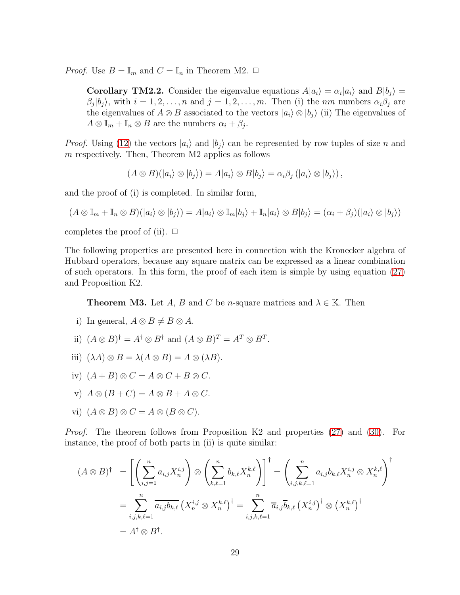*Proof.* Use  $B = \mathbb{I}_m$  and  $C = \mathbb{I}_n$  in Theorem M2.  $\Box$ 

**Corollary TM2.2.** Consider the eigenvalue equations  $A|a_i\rangle = \alpha_i|a_i\rangle$  and  $B|b_j\rangle = \alpha_i|a_i\rangle$  $\beta_j|b_j\rangle$ , with  $i=1,2,\ldots,n$  and  $j=1,2,\ldots,m$ . Then (i) the nm numbers  $\alpha_i\beta_j$  are the eigenvalues of  $A \otimes B$  associated to the vectors  $|a_i\rangle \otimes |b_i\rangle$  (ii) The eigenvalues of  $A \otimes \mathbb{I}_m + \mathbb{I}_n \otimes B$  are the numbers  $\alpha_i + \beta_j$ .

*Proof.* Using [\(12\)](#page-6-2) the vectors  $|a_i\rangle$  and  $|b_i\rangle$  can be represented by row tuples of size n and  $m$  respectively. Then, Theorem M2 applies as follows

 $(A \otimes B)(|a_i\rangle \otimes |b_i\rangle) = A|a_i\rangle \otimes B|b_i\rangle = \alpha_i \beta_i (|a_i\rangle \otimes |b_i\rangle),$ 

and the proof of (i) is completed. In similar form,

$$
(A \otimes \mathbb{I}_m + \mathbb{I}_n \otimes B)(|a_i\rangle \otimes |b_j\rangle) = A|a_i\rangle \otimes \mathbb{I}_m|b_j\rangle + \mathbb{I}_n|a_i\rangle \otimes B|b_j\rangle = (\alpha_i + \beta_j)(|a_i\rangle \otimes |b_j\rangle)
$$

completes the proof of (ii).  $\Box$ 

The following properties are presented here in connection with the Kronecker algebra of Hubbard operators, because any square matrix can be expressed as a linear combination of such operators. In this form, the proof of each item is simple by using equation [\(27\)](#page-9-1) and Proposition K2.

**Theorem M3.** Let A, B and C be n-square matrices and  $\lambda \in \mathbb{K}$ . Then

- i) In general,  $A \otimes B \neq B \otimes A$ .
- ii)  $(A \otimes B)^{\dagger} = A^{\dagger} \otimes B^{\dagger}$  and  $(A \otimes B)^{T} = A^{T} \otimes B^{T}$ .
- iii)  $(\lambda A) \otimes B = \lambda (A \otimes B) = A \otimes (\lambda B).$
- iv)  $(A + B) \otimes C = A \otimes C + B \otimes C$ .
- v)  $A \otimes (B + C) = A \otimes B + A \otimes C$ .
- vi)  $(A \otimes B) \otimes C = A \otimes (B \otimes C)$ .

*Proof*. The theorem follows from Proposition K2 and properties [\(27\)](#page-9-1) and [\(30\)](#page-9-5). For instance, the proof of both parts in (ii) is quite similar:

$$
(A \otimes B)^{\dagger} = \left[ \left( \sum_{i,j=1}^{n} a_{i,j} X_n^{i,j} \right) \otimes \left( \sum_{k,\ell=1}^{n} b_{k,\ell} X_n^{k,\ell} \right) \right]^{\dagger} = \left( \sum_{i,j,k,\ell=1}^{n} a_{i,j} b_{k,\ell} X_n^{i,j} \otimes X_n^{k,\ell} \right)^{\dagger}
$$

$$
= \sum_{i,j,k,\ell=1}^{n} \overline{a_{i,j} b_{k,\ell}} \left( X_n^{i,j} \otimes X_n^{k,\ell} \right)^{\dagger} = \sum_{i,j,k,\ell=1}^{n} \overline{a}_{i,j} \overline{b}_{k,\ell} \left( X_n^{i,j} \right)^{\dagger} \otimes \left( X_n^{k,\ell} \right)^{\dagger}
$$

$$
= A^{\dagger} \otimes B^{\dagger}.
$$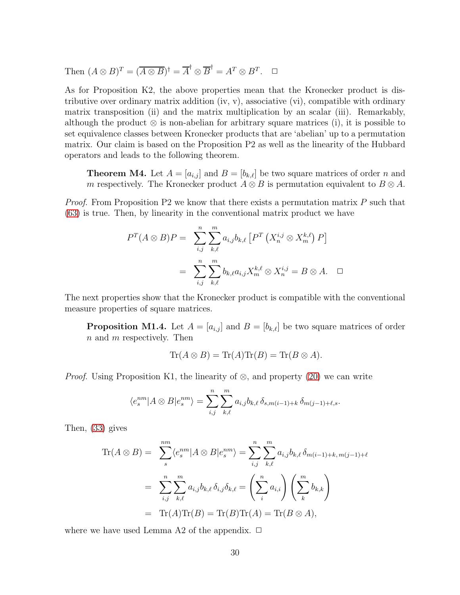Then  $(A \otimes B)^{T} = (\overline{A \otimes B})^{\dagger} = \overline{A}^{\dagger} \otimes \overline{B}^{\dagger} = A^{T} \otimes B^{T}$ .  $\Box$ 

As for Proposition K2, the above properties mean that the Kronecker product is distributive over ordinary matrix addition  $(iv, v)$ , associative  $(vi)$ , compatible with ordinary matrix transposition (ii) and the matrix multiplication by an scalar (iii). Remarkably, although the product  $\otimes$  is non-abelian for arbitrary square matrices (i), it is possible to set equivalence classes between Kronecker products that are 'abelian' up to a permutation matrix. Our claim is based on the Proposition P2 as well as the linearity of the Hubbard operators and leads to the following theorem.

**Theorem M4.** Let  $A = [a_{i,j}]$  and  $B = [b_{k,\ell}]$  be two square matrices of order n and m respectively. The Kronecker product  $A \otimes B$  is permutation equivalent to  $B \otimes A$ .

*Proof*. From Proposition P2 we know that there exists a permutation matrix P such that [\(63\)](#page-20-1) is true. Then, by linearity in the conventional matrix product we have

$$
P^{T}(A \otimes B)P = \sum_{i,j}^{n} \sum_{k,\ell}^{m} a_{i,j} b_{k,\ell} \left[ P^{T} \left( X_{n}^{i,j} \otimes X_{m}^{k,\ell} \right) P \right]
$$

$$
= \sum_{i,j}^{n} \sum_{k,\ell}^{m} b_{k,\ell} a_{i,j} X_{m}^{k,\ell} \otimes X_{n}^{i,j} = B \otimes A. \quad \Box
$$

The next properties show that the Kronecker product is compatible with the conventional measure properties of square matrices.

**Proposition M1.4.** Let  $A = [a_{i,j}]$  and  $B = [b_{k,\ell}]$  be two square matrices of order  $n$  and  $m$  respectively. Then

$$
\operatorname{Tr}(A \otimes B) = \operatorname{Tr}(A)\operatorname{Tr}(B) = \operatorname{Tr}(B \otimes A).
$$

*Proof.* Using Proposition K1, the linearity of ⊗, and property [\(20\)](#page-7-4) we can write

$$
\langle e_s^{nm} | A \otimes B | e_s^{nm} \rangle = \sum_{i,j}^n \sum_{k,\ell}^m a_{i,j} b_{k,\ell} \, \delta_{s,m(i-1)+k} \, \delta_{m(j-1)+\ell,s}.
$$

Then, [\(33\)](#page-9-8) gives

$$
\text{Tr}(A \otimes B) = \sum_{s}^{nm} \langle e_s^{nm} | A \otimes B | e_s^{nm} \rangle = \sum_{i,j}^{n} \sum_{k,\ell}^{m} a_{i,j} b_{k,\ell} \, \delta_{m(i-1) + k, m(j-1) + \ell}
$$
\n
$$
= \sum_{i,j}^{n} \sum_{k,\ell}^{m} a_{i,j} b_{k,\ell} \, \delta_{i,j} \delta_{k,\ell} = \left(\sum_{i}^{n} a_{i,i}\right) \left(\sum_{k}^{m} b_{k,k}\right)
$$
\n
$$
= \text{Tr}(A) \text{Tr}(B) = \text{Tr}(B) \text{Tr}(A) = \text{Tr}(B \otimes A),
$$

where we have used Lemma A2 of the appendix.  $\Box$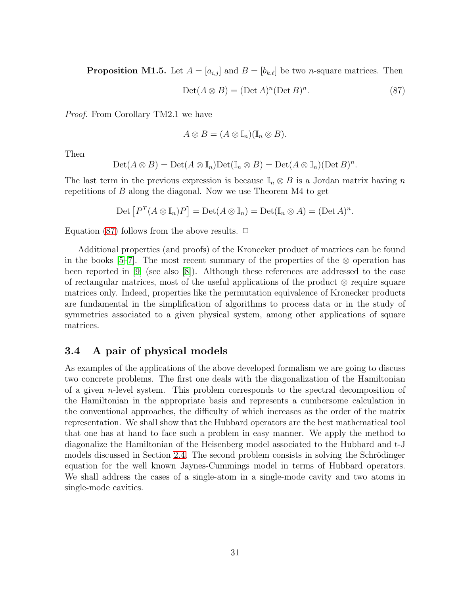**Proposition M1.5.** Let  $A = [a_{i,j}]$  and  $B = [b_{k,\ell}]$  be two *n*-square matrices. Then

<span id="page-31-1"></span>
$$
Det(A \otimes B) = (Det A)^{n} (Det B)^{n}.
$$
 (87)

.

*Proof*. From Corollary TM2.1 we have

$$
A\otimes B=(A\otimes \mathbb{I}_n)(\mathbb{I}_n\otimes B).
$$

Then

$$
\mathrm{Det}(A \otimes B) = \mathrm{Det}(A \otimes \mathbb{I}_n) \mathrm{Det}(\mathbb{I}_n \otimes B) = \mathrm{Det}(A \otimes \mathbb{I}_n) (\mathrm{Det}\,B)^n
$$

The last term in the previous expression is because  $\mathbb{I}_n \otimes B$  is a Jordan matrix having n repetitions of B along the diagonal. Now we use Theorem M4 to get

$$
\mathrm{Det}\left[P^T(A\otimes \mathbb{I}_n)P\right]=\mathrm{Det}(A\otimes \mathbb{I}_n)=\mathrm{Det}(\mathbb{I}_n\otimes A)=(\mathrm{Det}\,A)^n.
$$

Equation [\(87\)](#page-31-1) follows from the above results.  $\Box$ 

Additional properties (and proofs) of the Kronecker product of matrices can be found in the books [\[5–](#page-60-4)[7\]](#page-60-5). The most recent summary of the properties of the  $\otimes$  operation has been reported in [\[9\]](#page-60-2) (see also [\[8\]](#page-60-13)). Although these references are addressed to the case of rectangular matrices, most of the useful applications of the product  $\otimes$  require square matrices only. Indeed, properties like the permutation equivalence of Kronecker products are fundamental in the simplification of algorithms to process data or in the study of symmetries associated to a given physical system, among other applications of square matrices.

## <span id="page-31-0"></span>3.4 A pair of physical models

As examples of the applications of the above developed formalism we are going to discuss two concrete problems. The first one deals with the diagonalization of the Hamiltonian of a given n-level system. This problem corresponds to the spectral decomposition of the Hamiltonian in the appropriate basis and represents a cumbersome calculation in the conventional approaches, the difficulty of which increases as the order of the matrix representation. We shall show that the Hubbard operators are the best mathematical tool that one has at hand to face such a problem in easy manner. We apply the method to diagonalize the Hamiltonian of the Heisenberg model associated to the Hubbard and t-J models discussed in Section [2.4.](#page-11-0) The second problem consists in solving the Schrödinger equation for the well known Jaynes-Cummings model in terms of Hubbard operators. We shall address the cases of a single-atom in a single-mode cavity and two atoms in single-mode cavities.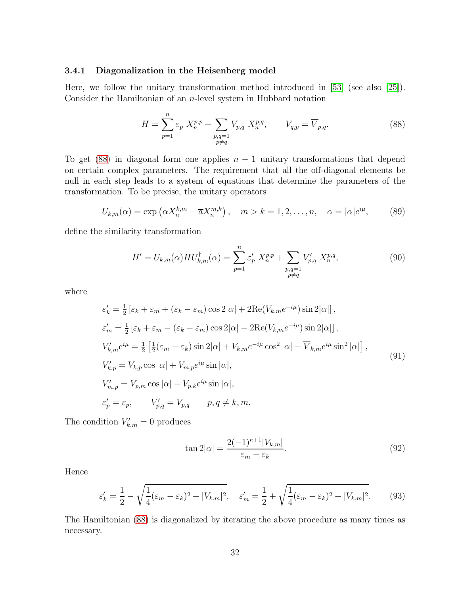#### <span id="page-32-0"></span>3.4.1 Diagonalization in the Heisenberg model

Here, we follow the unitary transformation method introduced in [\[53\]](#page-63-6) (see also [\[25\]](#page-61-13)). Consider the Hamiltonian of an n-level system in Hubbard notation

<span id="page-32-1"></span>
$$
H = \sum_{p=1}^{n} \varepsilon_p X_n^{p,p} + \sum_{\substack{p,q=1 \ p \neq q}} V_{p,q} X_n^{p,q}, \qquad V_{q,p} = \overline{V}_{p,q}.
$$
 (88)

To get [\(88\)](#page-32-1) in diagonal form one applies  $n-1$  unitary transformations that depend on certain complex parameters. The requirement that all the off-diagonal elements be null in each step leads to a system of equations that determine the parameters of the transformation. To be precise, the unitary operators

$$
U_{k,m}(\alpha) = \exp\left(\alpha X_n^{k,m} - \overline{\alpha} X_n^{m,k}\right), \quad m > k = 1, 2, \dots, n, \quad \alpha = |\alpha|e^{i\mu}, \tag{89}
$$

define the similarity transformation

$$
H' = U_{k,m}(\alpha) H U_{k,m}^{\dagger}(\alpha) = \sum_{p=1}^{n} \varepsilon'_p X_n^{p,p} + \sum_{\substack{p,q=1 \ p \neq q}} V'_{p,q} X_n^{p,q}, \tag{90}
$$

where

<span id="page-32-2"></span>
$$
\varepsilon'_{k} = \frac{1}{2} \left[ \varepsilon_{k} + \varepsilon_{m} + (\varepsilon_{k} - \varepsilon_{m}) \cos 2|\alpha| + 2\text{Re}(V_{k,m}e^{-i\mu}) \sin 2|\alpha| \right],
$$
  
\n
$$
\varepsilon'_{m} = \frac{1}{2} \left[ \varepsilon_{k} + \varepsilon_{m} - (\varepsilon_{k} - \varepsilon_{m}) \cos 2|\alpha| - 2\text{Re}(V_{k,m}e^{-i\mu}) \sin 2|\alpha| \right],
$$
  
\n
$$
V'_{k,m}e^{i\mu} = \frac{1}{2} \left[ \frac{1}{2} (\varepsilon_{m} - \varepsilon_{k}) \sin 2|\alpha| + V_{k,m}e^{-i\mu} \cos^{2}|\alpha| - \overline{V}_{k,m}e^{i\mu} \sin^{2}|\alpha| \right],
$$
  
\n
$$
V'_{k,p} = V_{k,p} \cos |\alpha| + V_{m,p}e^{i\mu} \sin |\alpha|,
$$
  
\n
$$
V'_{m,p} = V_{p,m} \cos |\alpha| - V_{p,k}e^{i\mu} \sin |\alpha|,
$$
  
\n
$$
\varepsilon'_{p} = \varepsilon_{p}, \qquad V'_{p,q} = V_{p,q} \qquad p, q \neq k, m.
$$
\n(91)

The condition  $V'_{k,m} = 0$  produces

$$
\tan 2|\alpha| = \frac{2(-1)^{\kappa+1}|V_{k,m}|}{\varepsilon_m - \varepsilon_k}.\tag{92}
$$

Hence

$$
\varepsilon'_{k} = \frac{1}{2} - \sqrt{\frac{1}{4}(\varepsilon_m - \varepsilon_k)^2 + |V_{k,m}|^2}, \quad \varepsilon'_{m} = \frac{1}{2} + \sqrt{\frac{1}{4}(\varepsilon_m - \varepsilon_k)^2 + |V_{k,m}|^2}.\tag{93}
$$

The Hamiltonian [\(88\)](#page-32-1) is diagonalized by iterating the above procedure as many times as necessary.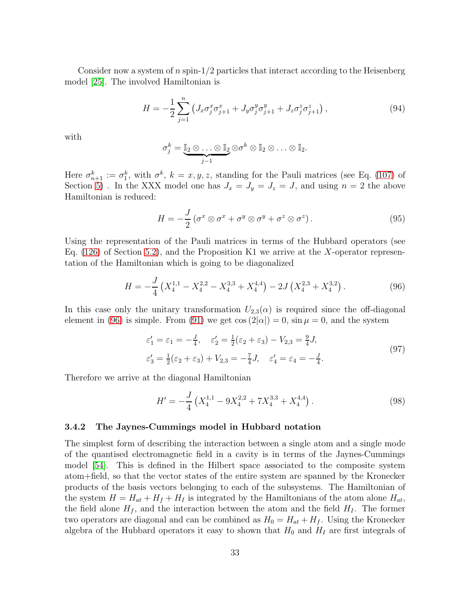Consider now a system of n spin- $1/2$  particles that interact according to the Heisenberg model [\[25\]](#page-61-13). The involved Hamiltonian is

$$
H = -\frac{1}{2} \sum_{j=1}^{n} \left( J_x \sigma_j^x \sigma_{j+1}^x + J_y \sigma_j^y \sigma_{j+1}^y + J_z \sigma_j^z \sigma_{j+1}^z \right), \tag{94}
$$

with

$$
\sigma_j^k = \underbrace{\mathbb{I}_2 \otimes \ldots \otimes \mathbb{I}_2}_{j-1} \otimes \sigma^k \otimes \mathbb{I}_2 \otimes \ldots \otimes \mathbb{I}_2.
$$

Here  $\sigma_{n+1}^k := \sigma_1^k$ , with  $\sigma^k$ ,  $k = x, y, z$ , standing for the Pauli matrices (see Eq. [\(107\)](#page-37-2) of Section [5\)](#page-37-1). In the XXX model one has  $J_x = J_y = J_z = J$ , and using  $n = 2$  the above Hamiltonian is reduced:

$$
H = -\frac{J}{2} \left( \sigma^x \otimes \sigma^x + \sigma^y \otimes \sigma^y + \sigma^z \otimes \sigma^z \right).
$$
 (95)

Using the representation of the Pauli matrices in terms of the Hubbard operators (see Eq.  $(126)$  of Section [5.2\)](#page-40-0), and the Proposition K1 we arrive at the X-operator representation of the Hamiltonian which is going to be diagonalized

<span id="page-33-1"></span>
$$
H = -\frac{J}{4} \left( X_4^{1,1} - X_4^{2,2} - X_4^{3,3} + X_4^{4,4} \right) - 2J \left( X_4^{2,3} + X_4^{3,2} \right). \tag{96}
$$

In this case only the unitary transformation  $U_{2,3}(\alpha)$  is required since the off-diagonal element in [\(96\)](#page-33-1) is simple. From [\(91\)](#page-32-2) we get  $\cos(2|\alpha|) = 0$ ,  $\sin \mu = 0$ , and the system

$$
\varepsilon_1' = \varepsilon_1 = -\frac{J}{4}, \quad \varepsilon_2' = \frac{1}{2}(\varepsilon_2 + \varepsilon_3) - V_{2,3} = \frac{9}{4}J,
$$
  

$$
\varepsilon_3' = \frac{1}{2}(\varepsilon_2 + \varepsilon_3) + V_{2,3} = -\frac{7}{4}J, \quad \varepsilon_4' = \varepsilon_4 = -\frac{J}{4}.
$$
 (97)

Therefore we arrive at the diagonal Hamiltonian

$$
H' = -\frac{J}{4} \left( X_4^{1,1} - 9X_4^{2,2} + 7X_4^{3,3} + X_4^{4,4} \right). \tag{98}
$$

#### <span id="page-33-0"></span>3.4.2 The Jaynes-Cummings model in Hubbard notation

The simplest form of describing the interaction between a single atom and a single mode of the quantised electromagnetic field in a cavity is in terms of the Jaynes-Cummings model [\[54\]](#page-63-7). This is defined in the Hilbert space associated to the composite system atom+field, so that the vector states of the entire system are spanned by the Kronecker products of the basis vectors belonging to each of the subsystems. The Hamiltonian of the system  $H = H_{at} + H_f + H_I$  is integrated by the Hamiltonians of the atom alone  $H_{at}$ , the field alone  $H_f$ , and the interaction between the atom and the field  $H_I$ . The former two operators are diagonal and can be combined as  $H_0 = H_{at} + H_f$ . Using the Kronecker algebra of the Hubbard operators it easy to shown that  $H_0$  and  $H_I$  are first integrals of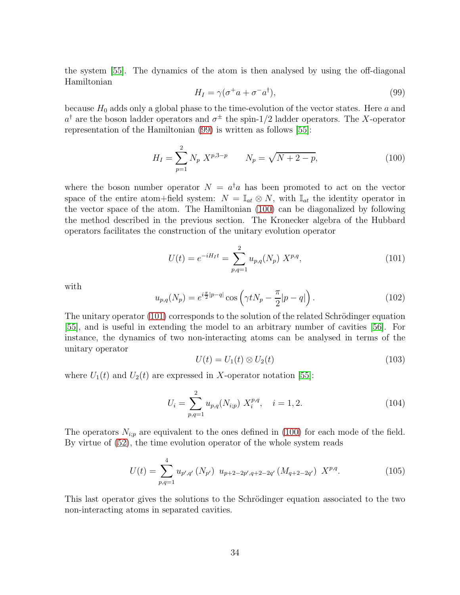the system [\[55\]](#page-63-8). The dynamics of the atom is then analysed by using the off-diagonal Hamiltonian

<span id="page-34-0"></span>
$$
H_I = \gamma(\sigma^+ a + \sigma^- a^\dagger),\tag{99}
$$

because  $H_0$  adds only a global phase to the time-evolution of the vector states. Here a and  $a^{\dagger}$  are the boson ladder operators and  $\sigma^{\pm}$  the spin-1/2 ladder operators. The X-operator representation of the Hamiltonian [\(99\)](#page-34-0) is written as follows [\[55\]](#page-63-8):

<span id="page-34-1"></span>
$$
H_I = \sum_{p=1}^{2} N_p X^{p,3-p} \qquad N_p = \sqrt{N+2-p}, \tag{100}
$$

where the boson number operator  $N = a^{\dagger} a$  has been promoted to act on the vector space of the entire atom+field system:  $N = \mathbb{I}_{at} \otimes N$ , with  $\mathbb{I}_{at}$  the identity operator in the vector space of the atom. The Hamiltonian [\(100\)](#page-34-1) can be diagonalized by following the method described in the previous section. The Kronecker algebra of the Hubbard operators facilitates the construction of the unitary evolution operator

<span id="page-34-2"></span>
$$
U(t) = e^{-iH_It} = \sum_{p,q=1}^{2} u_{p,q}(N_p) X^{p,q},
$$
\n(101)

with

$$
u_{p,q}(N_p) = e^{i\frac{\pi}{2}|p-q|} \cos\left(\gamma t N_p - \frac{\pi}{2}|p-q|\right). \tag{102}
$$

The unitary operator  $(101)$  corresponds to the solution of the related Schrödinger equation [\[55\]](#page-63-8), and is useful in extending the model to an arbitrary number of cavities [\[56\]](#page-63-9). For instance, the dynamics of two non-interacting atoms can be analysed in terms of the unitary operator

$$
U(t) = U_1(t) \otimes U_2(t) \tag{103}
$$

where  $U_1(t)$  and  $U_2(t)$  are expressed in X-operator notation [\[55\]](#page-63-8):

$$
U_i = \sum_{p,q=1}^{2} u_{p,q}(N_{i;p}) X_i^{p,q}, \quad i = 1, 2.
$$
 (104)

The operators  $N_{i,p}$  are equivalent to the ones defined in [\(100\)](#page-34-1) for each mode of the field. By virtue of [\(52\)](#page-15-1), the time evolution operator of the whole system reads

$$
U(t) = \sum_{p,q=1}^{4} u_{p',q'}(N_{p'}) \ u_{p+2-2p',q+2-2q'}(M_{q+2-2q'}) \ X^{p,q}.
$$
 (105)

This last operator gives the solutions to the Schrödinger equation associated to the two non-interacting atoms in separated cavities.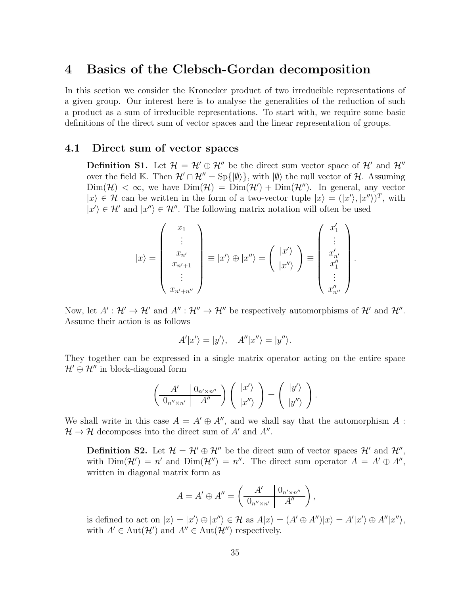## <span id="page-35-0"></span>4 Basics of the Clebsch-Gordan decomposition

In this section we consider the Kronecker product of two irreducible representations of a given group. Our interest here is to analyse the generalities of the reduction of such a product as a sum of irreducible representations. To start with, we require some basic definitions of the direct sum of vector spaces and the linear representation of groups.

#### <span id="page-35-1"></span>4.1 Direct sum of vector spaces

**Definition S1.** Let  $\mathcal{H} = \mathcal{H}' \oplus \mathcal{H}''$  be the direct sum vector space of  $\mathcal{H}'$  and  $\mathcal{H}''$ over the field K. Then  $\mathcal{H}' \cap \mathcal{H}'' = Sp\{|\emptyset\rangle\}$ , with  $|\emptyset\rangle$  the null vector of  $\mathcal{H}$ . Assuming  $\text{Dim}(\mathcal{H}) < \infty$ , we have  $\text{Dim}(\mathcal{H}) = \text{Dim}(\mathcal{H}') + \text{Dim}(\mathcal{H}'')$ . In general, any vector  $|x\rangle \in \mathcal{H}$  can be written in the form of a two-vector tuple  $|x\rangle = (|x'\rangle, |x''\rangle)^T$ , with  $|x'\rangle \in \mathcal{H}'$  and  $|x''\rangle \in \mathcal{H}''$ . The following matrix notation will often be used

$$
|x\rangle = \begin{pmatrix} x_1 \\ \vdots \\ x_{n'} \\ x_{n'+1} \\ \vdots \\ x_{n'+n''} \end{pmatrix} \equiv |x'\rangle \oplus |x''\rangle = \begin{pmatrix} |x'\rangle \\ |x''\rangle \\ \vdots \\ |x''\rangle \end{pmatrix} \equiv \begin{pmatrix} x'_1 \\ \vdots \\ x'_{n'} \\ x''_1 \\ \vdots \\ x''_{n''} \end{pmatrix}
$$

.

.

Now, let  $A' : \mathcal{H}' \to \mathcal{H}'$  and  $A'' : \mathcal{H}'' \to \mathcal{H}''$  be respectively automorphisms of  $\mathcal{H}'$  and  $\mathcal{H}''$ . Assume their action is as follows

$$
A'|x'\rangle = |y'\rangle, \quad A''|x''\rangle = |y''\rangle.
$$

They together can be expressed in a single matrix operator acting on the entire space  $\mathcal{H}' \oplus \mathcal{H}''$  in block-diagonal form

$$
\left(\begin{array}{c|c} A' & 0_{n' \times n''} \\ \hline 0_{n'' \times n'} & A'' \end{array}\right) \left(\begin{array}{c} |x'\rangle \\ |x''\rangle \end{array}\right) = \left(\begin{array}{c} |y'\rangle \\ |y''\rangle \end{array}\right)
$$

We shall write in this case  $A = A' \oplus A''$ , and we shall say that the automorphism A:  $\mathcal{H} \to \mathcal{H}$  decomposes into the direct sum of  $A'$  and  $A''$ .

**Definition S2.** Let  $\mathcal{H} = \mathcal{H}' \oplus \mathcal{H}''$  be the direct sum of vector spaces  $\mathcal{H}'$  and  $\mathcal{H}''$ , with  $\text{Dim}(\mathcal{H}') = n'$  and  $\text{Dim}(\mathcal{H}'') = n''$ . The direct sum operator  $A = A' \oplus A''$ , written in diagonal matrix form as

$$
A = A' \oplus A'' = \left(\begin{array}{c|c} A' & 0_{n' \times n''} \\ \hline 0_{n'' \times n'} & A'' \end{array}\right),
$$

is defined to act on  $|x\rangle = |x'\rangle \oplus |x''\rangle \in \mathcal{H}$  as  $A|x\rangle = (A' \oplus A'')|x\rangle = A'|x'\rangle \oplus A''|x''\rangle$ , with  $A' \in \text{Aut}(\mathcal{H}')$  and  $A'' \in \text{Aut}(\mathcal{H}'')$  respectively.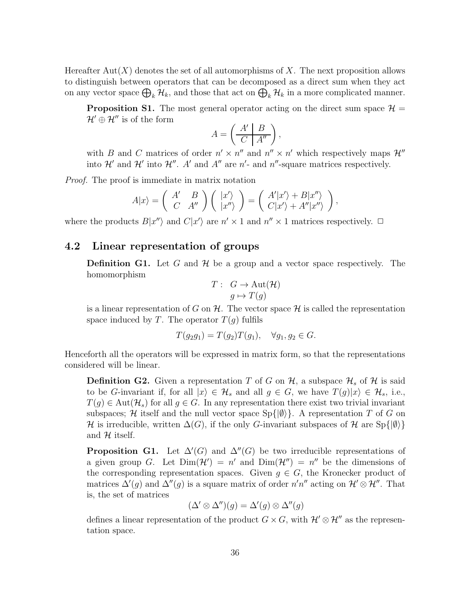Hereafter  $\text{Aut}(X)$  denotes the set of all automorphisms of X. The next proposition allows to distinguish between operators that can be decomposed as a direct sum when they act on any vector space  $\bigoplus_k \mathcal{H}_k$ , and those that act on  $\bigoplus_k \mathcal{H}_k$  in a more complicated manner.

**Proposition S1.** The most general operator acting on the direct sum space  $\mathcal{H} =$  $\mathcal{H}' \oplus \mathcal{H}''$  is of the form

$$
A = \left(\begin{array}{c|c} A' & B \\ \hline C & A'' \end{array}\right),
$$

with B and C matrices of order  $n' \times n''$  and  $n'' \times n'$  which respectively maps  $\mathcal{H}''$ into  $\mathcal{H}'$  and  $\mathcal{H}''$  and  $\mathcal{H}''$  are  $n'$ - and  $n''$ -square matrices respectively.

*Proof.* The proof is immediate in matrix notation

$$
A|x\rangle = \begin{pmatrix} A' & B \\ C & A'' \end{pmatrix} \begin{pmatrix} |x'\rangle \\ |x''\rangle \end{pmatrix} = \begin{pmatrix} A'|x'\rangle + B|x''\rangle \\ C|x'\rangle + A''|x''\rangle \end{pmatrix},
$$

where the products  $B|x''\rangle$  and  $C|x'\rangle$  are  $n' \times 1$  and  $n'' \times 1$  matrices respectively.  $\Box$ 

## <span id="page-36-0"></span>4.2 Linear representation of groups

**Definition G1.** Let G and  $\mathcal{H}$  be a group and a vector space respectively. The homomorphism

$$
T: G \to \text{Aut}(\mathcal{H})
$$

$$
g \mapsto T(g)
$$

is a linear representation of G on  $\mathcal{H}$ . The vector space  $\mathcal{H}$  is called the representation space induced by T. The operator  $T(q)$  fulfils

$$
T(g_2g_1) = T(g_2)T(g_1), \quad \forall g_1, g_2 \in G.
$$

Henceforth all the operators will be expressed in matrix form, so that the representations considered will be linear.

**Definition G2.** Given a representation T of G on  $\mathcal{H}$ , a subspace  $\mathcal{H}_s$  of  $\mathcal{H}$  is said to be G-invariant if, for all  $|x\rangle \in \mathcal{H}_s$  and all  $g \in G$ , we have  $T(g)|x\rangle \in \mathcal{H}_s$ , i.e.,  $T(g) \in \text{Aut}(\mathcal{H}_s)$  for all  $g \in G$ . In any representation there exist two trivial invariant subspaces; H itself and the null vector space  $Sp{(\emptyset)}$ . A representation T of G on H is irreducible, written  $\Delta(G)$ , if the only G-invariant subspaces of H are Sp{ $|\emptyset\rangle$ } and  $H$  itself.

**Proposition G1.** Let  $\Delta'(G)$  and  $\Delta''(G)$  be two irreducible representations of a given group G. Let  $\text{Dim}(\mathcal{H}') = n'$  and  $\text{Dim}(\mathcal{H}'') = n''$  be the dimensions of the corresponding representation spaces. Given  $q \in G$ , the Kronecker product of matrices  $\Delta'(g)$  and  $\Delta''(g)$  is a square matrix of order  $n'n''$  acting on  $\mathcal{H}' \otimes \mathcal{H}''$ . That is, the set of matrices

$$
(\Delta' \otimes \Delta'')(g) = \Delta'(g) \otimes \Delta''(g)
$$

defines a linear representation of the product  $G \times G$ , with  $\mathcal{H}' \otimes \mathcal{H}''$  as the representation space.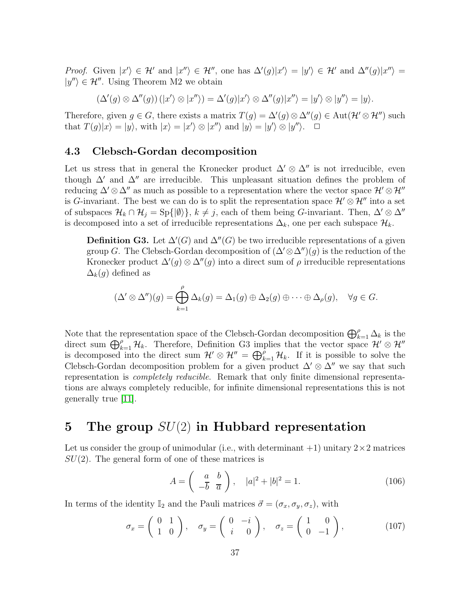*Proof.* Given  $|x'\rangle \in \mathcal{H}'$  and  $|x''\rangle \in \mathcal{H}''$ , one has  $\Delta'(g)|x'\rangle = |y'\rangle \in \mathcal{H}'$  and  $\Delta''(g)|x''\rangle =$  $|y''\rangle \in \mathcal{H}''$ . Using Theorem M2 we obtain

$$
(\Delta'(g) \otimes \Delta''(g))(|x'\rangle \otimes |x''\rangle) = \Delta'(g)|x'\rangle \otimes \Delta''(g)|x''\rangle = |y'\rangle \otimes |y''\rangle = |y\rangle.
$$

Therefore, given  $g \in G$ , there exists a matrix  $T(g) = \Delta'(g) \otimes \Delta''(g) \in \text{Aut}(\mathcal{H}' \otimes \mathcal{H}'')$  such that  $T(g)|x\rangle = |y\rangle$ , with  $|x\rangle = |x'\rangle \otimes |x''\rangle$  and  $|y\rangle = |y'\rangle \otimes |y''\rangle$ .

#### <span id="page-37-0"></span>4.3 Clebsch-Gordan decomposition

Let us stress that in general the Kronecker product  $\Delta' \otimes \Delta''$  is not irreducible, even though  $\Delta'$  and  $\Delta''$  are irreducible. This unpleasant situation defines the problem of reducing  $\Delta' \otimes \Delta''$  as much as possible to a representation where the vector space  $\mathcal{H}' \otimes \mathcal{H}''$ is G-invariant. The best we can do is to split the representation space  $\mathcal{H}' \otimes \mathcal{H}''$  into a set of subspaces  $\mathcal{H}_k \cap \mathcal{H}_j = \text{Sp}\{|\emptyset\rangle\}, k \neq j$ , each of them being G-invariant. Then,  $\Delta' \otimes \Delta''$ is decomposed into a set of irreducible representations  $\Delta_k$ , one per each subspace  $\mathcal{H}_k$ .

**Definition G3.** Let  $\Delta'(G)$  and  $\Delta''(G)$  be two irreducible representations of a given group G. The Clebsch-Gordan decomposition of  $(\Delta' \otimes \Delta'')(q)$  is the reduction of the Kronecker product  $\Delta'(g) \otimes \Delta''(g)$  into a direct sum of  $\rho$  irreducible representations  $\Delta_k(q)$  defined as

$$
(\Delta' \otimes \Delta'')(g) = \bigoplus_{k=1}^{\rho} \Delta_k(g) = \Delta_1(g) \oplus \Delta_2(g) \oplus \cdots \oplus \Delta_{\rho}(g), \quad \forall g \in G.
$$

Note that the representation space of the Clebsch-Gordan decomposition  $\bigoplus_{k=1}^{\rho} \Delta_k$  is the direct sum  $\bigoplus_{k=1}^{\rho} \mathcal{H}_k$ . Therefore, Definition G3 implies that the vector space  $\mathcal{H}' \otimes \mathcal{H}''$ is decomposed into the direct sum  $\mathcal{H}' \otimes \mathcal{H}'' = \bigoplus_{k=1}^{\rho} \mathcal{H}_k$ . If it is possible to solve the Clebsch-Gordan decomposition problem for a given product  $\Delta' \otimes \Delta''$  we say that such representation is *completely reducible*. Remark that only finite dimensional representations are always completely reducible, for infinite dimensional representations this is not generally true [\[11\]](#page-60-12).

# <span id="page-37-1"></span>5 The group  $SU(2)$  in Hubbard representation

Let us consider the group of unimodular (i.e., with determinant  $+1$ ) unitary  $2\times 2$  matrices  $SU(2)$ . The general form of one of these matrices is

<span id="page-37-3"></span>
$$
A = \begin{pmatrix} a & b \\ -\overline{b} & \overline{a} \end{pmatrix}, \quad |a|^2 + |b|^2 = 1.
$$
 (106)

In terms of the identity  $\mathbb{I}_2$  and the Pauli matrices  $\vec{\sigma} = (\sigma_x, \sigma_y, \sigma_z)$ , with

<span id="page-37-2"></span>
$$
\sigma_x = \begin{pmatrix} 0 & 1 \\ 1 & 0 \end{pmatrix}, \quad \sigma_y = \begin{pmatrix} 0 & -i \\ i & 0 \end{pmatrix}, \quad \sigma_z = \begin{pmatrix} 1 & 0 \\ 0 & -1 \end{pmatrix}, \tag{107}
$$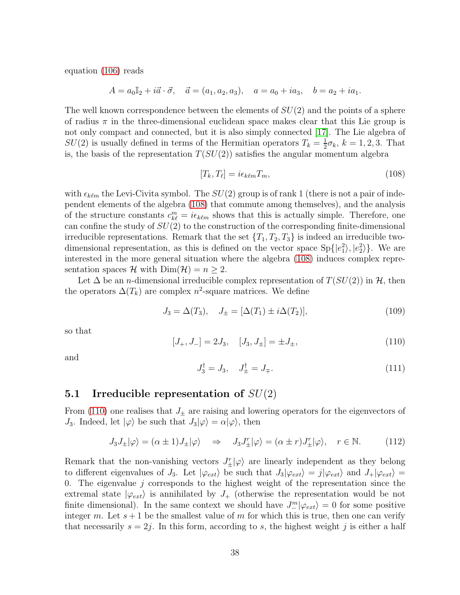equation [\(106\)](#page-37-3) reads

$$
A = a_0 \mathbb{I}_2 + i \vec{a} \cdot \vec{\sigma}, \quad \vec{a} = (a_1, a_2, a_3), \quad a = a_0 + i a_3, \quad b = a_2 + i a_1.
$$

The well known correspondence between the elements of  $SU(2)$  and the points of a sphere of radius  $\pi$  in the three-dimensional euclidean space makes clear that this Lie group is not only compact and connected, but it is also simply connected [\[17\]](#page-61-0). The Lie algebra of  $SU(2)$  is usually defined in terms of the Hermitian operators  $T_k = \frac{1}{2}$  $\frac{1}{2}\sigma_k, k = 1, 2, 3$ . That is, the basis of the representation  $T(SU(2))$  satisfies the angular momentum algebra

<span id="page-38-1"></span>
$$
[T_k, T_\ell] = i\epsilon_{k\ell m} T_m,\tag{108}
$$

with  $\epsilon_{k\ell m}$  the Levi-Civita symbol. The  $SU(2)$  group is of rank 1 (there is not a pair of independent elements of the algebra [\(108\)](#page-38-1) that commute among themselves), and the analysis of the structure constants  $c_{k\ell}^m = i\epsilon_{k\ell m}$  shows that this is actually simple. Therefore, one can confine the study of  $SU(2)$  to the construction of the corresponding finite-dimensional irreducible representations. Remark that the set  $\{T_1, T_2, T_3\}$  is indeed an irreducible twodimensional representation, as this is defined on the vector space  $Sp{[e_1^2\rangle, |e_2^2\rangle}$ . We are interested in the more general situation where the algebra [\(108\)](#page-38-1) induces complex representation spaces H with  $\text{Dim}(\mathcal{H}) = n \geq 2$ .

Let  $\Delta$  be an *n*-dimensional irreducible complex representation of  $T(SU(2))$  in  $\mathcal{H}$ , then the operators  $\Delta(T_k)$  are complex  $n^2$ -square matrices. We define

<span id="page-38-4"></span>
$$
J_3 = \Delta(T_3), \quad J_{\pm} = [\Delta(T_1) \pm i\Delta(T_2)], \tag{109}
$$

so that

<span id="page-38-2"></span>
$$
[J_+, J_-] = 2J_3, \quad [J_3, J_\pm] = \pm J_\pm,\tag{110}
$$

and

<span id="page-38-3"></span>
$$
J_3^{\dagger} = J_3, \quad J_{\pm}^{\dagger} = J_{\mp}.
$$
 (111)

## <span id="page-38-0"></span>5.1 Irreducible representation of  $SU(2)$

From [\(110\)](#page-38-2) one realises that  $J_{\pm}$  are raising and lowering operators for the eigenvectors of  $J_3$ . Indeed, let  $|\varphi\rangle$  be such that  $J_3|\varphi\rangle = \alpha|\varphi\rangle$ , then

$$
J_3 J_{\pm} |\varphi\rangle = (\alpha \pm 1) J_{\pm} |\varphi\rangle \quad \Rightarrow \quad J_3 J_{\pm}^r |\varphi\rangle = (\alpha \pm r) J_{\pm}^r |\varphi\rangle, \quad r \in \mathbb{N}.
$$
 (112)

Remark that the non-vanishing vectors  $J_{\pm}^r|\varphi\rangle$  are linearly independent as they belong to different eigenvalues of  $J_3$ . Let  $|\varphi_{ext}\rangle$  be such that  $J_3|\varphi_{ext}\rangle = j|\varphi_{ext}\rangle$  and  $J_+|\varphi_{ext}\rangle =$ 0. The eigenvalue  $j$  corresponds to the highest weight of the representation since the extremal state  $|\varphi_{ext}\rangle$  is annihilated by  $J_+$  (otherwise the representation would be not finite dimensional). In the same context we should have  $J_{-}^{m}|\varphi_{ext}\rangle = 0$  for some positive integer m. Let  $s + 1$  be the smallest value of m for which this is true, then one can verify that necessarily  $s = 2j$ . In this form, according to s, the highest weight j is either a half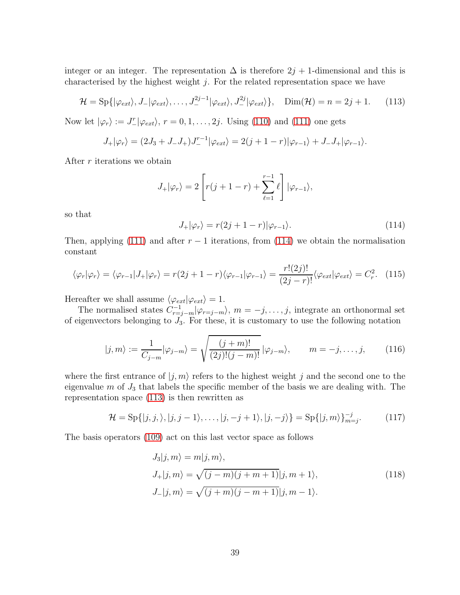integer or an integer. The representation  $\Delta$  is therefore  $2j + 1$ -dimensional and this is characterised by the highest weight  $j$ . For the related representation space we have

<span id="page-39-1"></span>
$$
\mathcal{H} = \text{Sp}\{|\varphi_{ext}\rangle, J_-|\varphi_{ext}\rangle, \dots, J_-^{2j-1}|\varphi_{ext}\rangle, J_-^{2j}|\varphi_{ext}\rangle\}, \quad \text{Dim}(\mathcal{H}) = n = 2j + 1. \tag{113}
$$

Now let  $|\varphi_r\rangle := J^r_{-}|\varphi_{ext}\rangle$ ,  $r = 0, 1, ..., 2j$ . Using [\(110\)](#page-38-2) and [\(111\)](#page-38-3) one gets

$$
J_{+}|\varphi_{r}\rangle = (2J_{3}+J_{-}J_{+})J_{-}^{r-1}|\varphi_{ext}\rangle = 2(j+1-r)|\varphi_{r-1}\rangle + J_{-}J_{+}|\varphi_{r-1}\rangle.
$$

After  $r$  iterations we obtain

$$
J_{+}|\varphi_{r}\rangle=2\left[r(j+1-r)+\sum_{\ell=1}^{r-1}\ell\right]|\varphi_{r-1}\rangle,
$$

so that

<span id="page-39-0"></span>
$$
J_{+}|\varphi_{r}\rangle = r(2j + 1 - r)|\varphi_{r-1}\rangle.
$$
 (114)

Then, applying [\(111\)](#page-38-3) and after  $r - 1$  iterations, from [\(114\)](#page-39-0) we obtain the normalisation constant

<span id="page-39-3"></span>
$$
\langle \varphi_r | \varphi_r \rangle = \langle \varphi_{r-1} | J_+ | \varphi_r \rangle = r(2j+1-r) \langle \varphi_{r-1} | \varphi_{r-1} \rangle = \frac{r!(2j)!}{(2j-r)!} \langle \varphi_{ext} | \varphi_{ext} \rangle = C_r^2.
$$
 (115)

Hereafter we shall assume  $\langle \varphi_{ext} | \varphi_{ext} \rangle = 1.$ 

The normalised states  $C_{r=j-m}^{-1}|\varphi_{r=j-m}\rangle$ ,  $m=-j,\ldots,j$ , integrate an orthonormal set of eigenvectors belonging to  $J_3$ . For these, it is customary to use the following notation

$$
|j,m\rangle := \frac{1}{C_{j-m}} |\varphi_{j-m}\rangle = \sqrt{\frac{(j+m)!}{(2j)!(j-m)!}} |\varphi_{j-m}\rangle, \qquad m = -j,\dots,j,
$$
 (116)

where the first entrance of  $|j, m\rangle$  refers to the highest weight j and the second one to the eigenvalue  $m$  of  $J_3$  that labels the specific member of the basis we are dealing with. The representation space [\(113\)](#page-39-1) is then rewritten as

$$
\mathcal{H} = \text{Sp}\{|j,j,\rangle, |j,j-1\rangle, \dots, |j,-j+1\rangle, |j,-j\rangle\} = \text{Sp}\{|j,m\rangle\}_{m=j}^{-j}.\tag{117}
$$

The basis operators [\(109\)](#page-38-4) act on this last vector space as follows

<span id="page-39-2"></span>
$$
J_3|j,m\rangle = m|j,m\rangle,
$$
  
\n
$$
J_+|j,m\rangle = \sqrt{(j-m)(j+m+1)}|j,m+1\rangle,
$$
  
\n
$$
J_-|j,m\rangle = \sqrt{(j+m)(j-m+1)}|j,m-1\rangle.
$$
\n(118)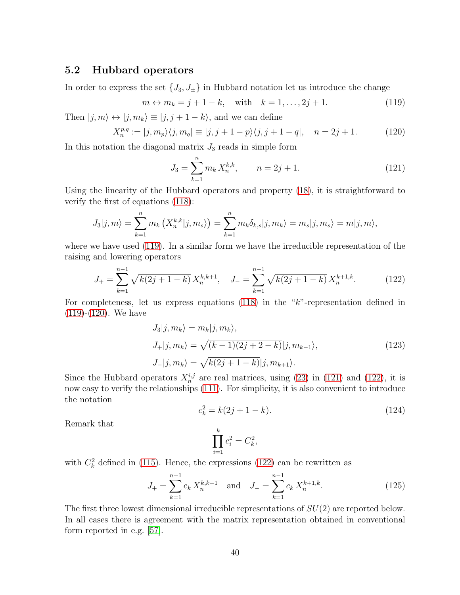## <span id="page-40-0"></span>5.2 Hubbard operators

In order to express the set  $\{J_3, J_{\pm}\}\$ in Hubbard notation let us introduce the change

<span id="page-40-1"></span>
$$
m \leftrightarrow m_k = j + 1 - k
$$
, with  $k = 1, ..., 2j + 1$ . (119)

Then  $|j, m\rangle \leftrightarrow |j, m_k\rangle \equiv |j, j + 1 - k\rangle$ , and we can define

<span id="page-40-2"></span>
$$
X_n^{p,q} := |j, m_p\rangle \langle j, m_q| \equiv |j, j+1-p\rangle \langle j, j+1-q|, \quad n = 2j+1. \tag{120}
$$

In this notation the diagonal matrix  $J_3$  reads in simple form

<span id="page-40-3"></span>
$$
J_3 = \sum_{k=1}^n m_k X_n^{k,k}, \qquad n = 2j + 1. \tag{121}
$$

Using the linearity of the Hubbard operators and property [\(18\)](#page-7-2), it is straightforward to verify the first of equations [\(118\)](#page-39-2):

$$
J_3|j,m\rangle = \sum_{k=1}^n m_k(X_n^{k,k}|j,m_s\rangle) = \sum_{k=1}^n m_k \delta_{k,s}|j,m_k\rangle = m_s|j,m_s\rangle = m|j,m\rangle,
$$

where we have used [\(119\)](#page-40-1). In a similar form we have the irreducible representation of the raising and lowering operators

<span id="page-40-4"></span>
$$
J_{+} = \sum_{k=1}^{n-1} \sqrt{k(2j+1-k)} X_n^{k,k+1}, \quad J_{-} = \sum_{k=1}^{n-1} \sqrt{k(2j+1-k)} X_n^{k+1,k}.
$$
 (122)

For completeness, let us express equations [\(118\)](#page-39-2) in the "k"-representation defined in [\(119\)](#page-40-1)-[\(120\)](#page-40-2). We have

$$
J_3|j, m_k\rangle = m_k|j, m_k\rangle,
$$
  
\n
$$
J_+|j, m_k\rangle = \sqrt{(k-1)(2j+2-k)}|j, m_{k-1}\rangle,
$$
  
\n
$$
J_-|j, m_k\rangle = \sqrt{k(2j+1-k)}|j, m_{k+1}\rangle.
$$
\n(123)

Since the Hubbard operators  $X_n^{i,j}$  are real matrices, using [\(23\)](#page-7-3) in [\(121\)](#page-40-3) and [\(122\)](#page-40-4), it is now easy to verify the relationships [\(111\)](#page-38-3). For simplicity, it is also convenient to introduce the notation

$$
c_k^2 = k(2j + 1 - k). \tag{124}
$$

Remark that

$$
\prod_{i=1}^k c_i^2 = C_k^2,
$$

with  $C_k^2$  defined in [\(115\)](#page-39-3). Hence, the expressions [\(122\)](#page-40-4) can be rewritten as

<span id="page-40-5"></span>
$$
J_{+} = \sum_{k=1}^{n-1} c_k X_n^{k,k+1} \quad \text{and} \quad J_{-} = \sum_{k=1}^{n-1} c_k X_n^{k+1,k}.
$$
 (125)

The first three lowest dimensional irreducible representations of  $SU(2)$  are reported below. In all cases there is agreement with the matrix representation obtained in conventional form reported in e.g. [\[57\]](#page-63-10).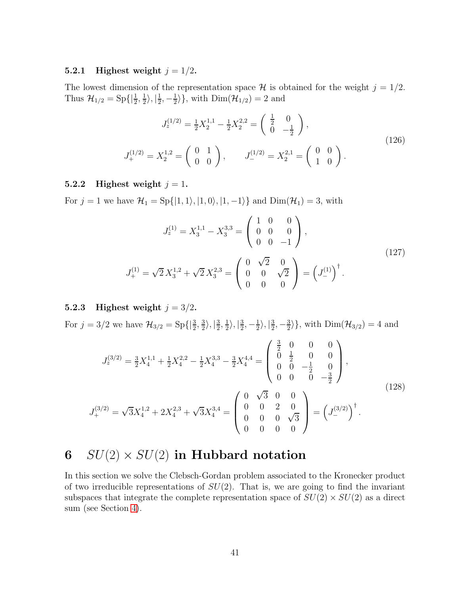## <span id="page-41-0"></span>5.2.1 Highest weight  $j = 1/2$ .

The lowest dimension of the representation space  $\mathcal H$  is obtained for the weight  $j = 1/2$ . Thus  $\mathcal{H}_{1/2} = \text{Sp}\{|\frac{1}{2}, \frac{1}{2}\}$  $\frac{1}{2}$ ,  $\frac{1}{2}$  $\frac{1}{2}, -\frac{1}{2}$  $\langle \frac{1}{2} \rangle$ , with  $\text{Dim}(\mathcal{H}_{1/2}) = 2$  and

<span id="page-41-4"></span>
$$
J_z^{(1/2)} = \frac{1}{2} X_2^{1,1} - \frac{1}{2} X_2^{2,2} = \begin{pmatrix} \frac{1}{2} & 0\\ 0 & -\frac{1}{2} \end{pmatrix},
$$
  
\n
$$
J_+^{(1/2)} = X_2^{1,2} = \begin{pmatrix} 0 & 1\\ 0 & 0 \end{pmatrix}, \qquad J_-^{(1/2)} = X_2^{2,1} = \begin{pmatrix} 0 & 0\\ 1 & 0 \end{pmatrix}.
$$
\n(126)

#### <span id="page-41-1"></span>5.2.2 Highest weight  $j = 1$ .

For  $j = 1$  we have  $\mathcal{H}_1 = \text{Sp}\{|1, 1\rangle, |1, 0\rangle, |1, -1\rangle\}$  and  $\text{Dim}(\mathcal{H}_1) = 3$ , with

$$
J_z^{(1)} = X_3^{1,1} - X_3^{3,3} = \begin{pmatrix} 1 & 0 & 0 \\ 0 & 0 & 0 \\ 0 & 0 & -1 \end{pmatrix},
$$
  
\n
$$
J_+^{(1)} = \sqrt{2} X_3^{1,2} + \sqrt{2} X_3^{2,3} = \begin{pmatrix} 0 & \sqrt{2} & 0 \\ 0 & 0 & \sqrt{2} \\ 0 & 0 & 0 \end{pmatrix} = \left( J_-^{(1)} \right)^{\dagger}.
$$
\n(127)

## <span id="page-41-2"></span>5.2.3 Highest weight  $j = 3/2$ .

For  $j = 3/2$  we have  $\mathcal{H}_{3/2} = Sp\{\left|\frac{3}{2}, \frac{3}{2}\right|$  $\frac{3}{2}\rangle, |\frac{3}{2}$  $\frac{3}{2}, \frac{1}{2}$  $\frac{1}{2}$ ,  $\frac{3}{2}$  $\frac{3}{2}, -\frac{1}{2}$  $\frac{1}{2}$ ,  $\frac{3}{2}$  $\frac{3}{2}, -\frac{3}{2}$  $\{\frac{3}{2}\}\$ , with  $\text{Dim}(\mathcal{H}_{3/2})=4$  and

$$
J_z^{(3/2)} = \frac{3}{2} X_4^{1,1} + \frac{1}{2} X_4^{2,2} - \frac{1}{2} X_4^{3,3} - \frac{3}{2} X_4^{4,4} = \begin{pmatrix} \frac{3}{2} & 0 & 0 & 0 \\ 0 & \frac{1}{2} & 0 & 0 \\ 0 & 0 & -\frac{1}{2} & 0 \\ 0 & 0 & 0 & -\frac{3}{2} \end{pmatrix},
$$
  
\n
$$
J_+^{(3/2)} = \sqrt{3} X_4^{1,2} + 2 X_4^{2,3} + \sqrt{3} X_4^{3,4} = \begin{pmatrix} 0 & \sqrt{3} & 0 & 0 \\ 0 & 0 & 2 & 0 \\ 0 & 0 & 0 & \sqrt{3} \\ 0 & 0 & 0 & 0 \end{pmatrix} = \left( J_-^{(3/2)} \right)^{\dagger}.
$$
\n(128)

# <span id="page-41-3"></span>6  $SU(2) \times SU(2)$  in Hubbard notation

In this section we solve the Clebsch-Gordan problem associated to the Kronecker product of two irreducible representations of  $SU(2)$ . That is, we are going to find the invariant subspaces that integrate the complete representation space of  $SU(2) \times SU(2)$  as a direct sum (see Section [4\)](#page-35-0).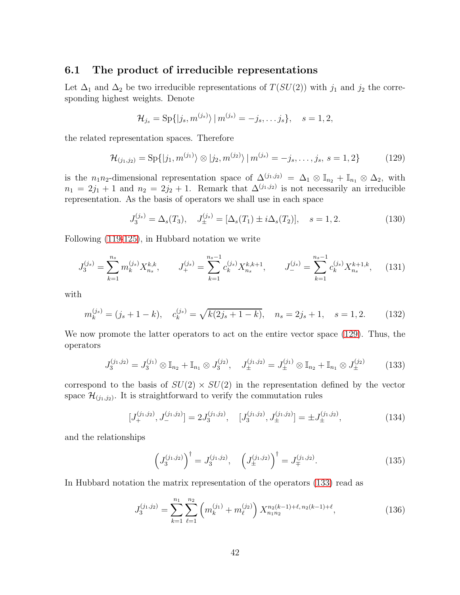## <span id="page-42-0"></span>6.1 The product of irreducible representations

Let  $\Delta_1$  and  $\Delta_2$  be two irreducible representations of  $T(SU(2))$  with  $j_1$  and  $j_2$  the corresponding highest weights. Denote

$$
\mathcal{H}_{j_s} = \mathrm{Sp}\{|j_s, m^{(j_s)}\rangle \,|\, m^{(j_s)} = -j_s, \ldots j_s\}, \quad s = 1, 2,
$$

the related representation spaces. Therefore

<span id="page-42-1"></span>
$$
\mathcal{H}_{(j_1,j_2)} = \text{Sp}\{|j_1, m^{(j_1)}\rangle \otimes |j_2, m^{(j_2)}\rangle | m^{(j_s)} = -j_s, \dots, j_s, s = 1, 2\}
$$
(129)

is the n<sub>1</sub>n<sub>2</sub>-dimensional representation space of  $\Delta^{(j_1,j_2)} = \Delta_1 \otimes \mathbb{I}_{n_2} + \mathbb{I}_{n_1} \otimes \Delta_2$ , with  $n_1 = 2j_1 + 1$  and  $n_2 = 2j_2 + 1$ . Remark that  $\Delta^{(j_1, j_2)}$  is not necessarily an irreducible representation. As the basis of operators we shall use in each space

$$
J_3^{(j_s)} = \Delta_s(T_3), \quad J_{\pm}^{(j_s)} = [\Delta_s(T_1) \pm i\Delta_s(T_2)], \quad s = 1, 2. \tag{130}
$$

Following [\(119-](#page-40-1)[125\)](#page-40-5), in Hubbard notation we write

<span id="page-42-3"></span>
$$
J_3^{(j_s)} = \sum_{k=1}^{n_s} m_k^{(j_s)} X_{n_s}^{k,k}, \qquad J_+^{(j_s)} = \sum_{k=1}^{n_s - 1} c_k^{(j_s)} X_{n_s}^{k,k+1}, \qquad J_-^{(j_s)} = \sum_{k=1}^{n_s - 1} c_k^{(j_s)} X_{n_s}^{k+1,k}, \qquad (131)
$$

with

<span id="page-42-4"></span>
$$
m_k^{(j_s)} = (j_s + 1 - k), \quad c_k^{(j_s)} = \sqrt{k(2j_s + 1 - k)}, \quad n_s = 2j_s + 1, \quad s = 1, 2. \tag{132}
$$

We now promote the latter operators to act on the entire vector space [\(129\)](#page-42-1). Thus, the operators

<span id="page-42-2"></span>
$$
J_3^{(j_1,j_2)} = J_3^{(j_1)} \otimes \mathbb{I}_{n_2} + \mathbb{I}_{n_1} \otimes J_3^{(j_2)}, \quad J_{\pm}^{(j_1,j_2)} = J_{\pm}^{(j_1)} \otimes \mathbb{I}_{n_2} + \mathbb{I}_{n_1} \otimes J_{\pm}^{(j_2)} \tag{133}
$$

correspond to the basis of  $SU(2) \times SU(2)$  in the representation defined by the vector space  $\mathcal{H}_{(j_1,j_2)}$ . It is straightforward to verify the commutation rules

$$
[J_{+}^{(j_1,j_2)}, J_{-}^{(j_1,j_2)}] = 2J_3^{(j_1,j_2)}, \quad [J_3^{(j_1,j_2)}, J_{\pm}^{(j_1,j_2)}] = \pm J_{\pm}^{(j_1,j_2)}, \tag{134}
$$

and the relationships

$$
\left(J_3^{(j_1,j_2)}\right)^{\dagger} = J_3^{(j_1,j_2)}, \quad \left(J_{\pm}^{(j_1,j_2)}\right)^{\dagger} = J_{\mp}^{(j_1,j_2)}.
$$
\n(135)

In Hubbard notation the matrix representation of the operators [\(133\)](#page-42-2) read as

$$
J_3^{(j_1,j_2)} = \sum_{k=1}^{n_1} \sum_{\ell=1}^{n_2} \left( m_k^{(j_1)} + m_\ell^{(j_2)} \right) X_{n_1 n_2}^{n_2(k-1)+\ell, n_2(k-1)+\ell},\tag{136}
$$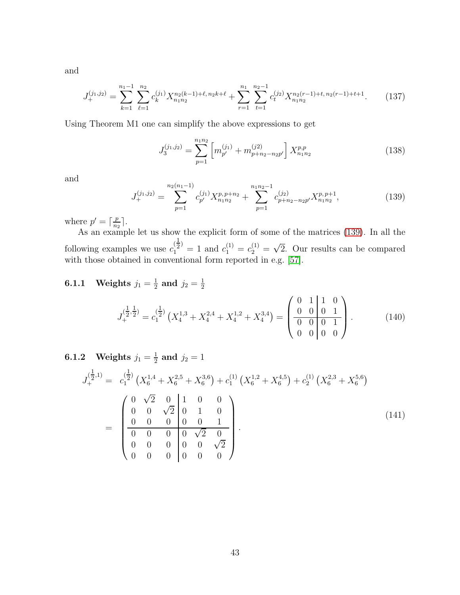and

$$
J_{+}^{(j_1,j_2)} = \sum_{k=1}^{n_1-1} \sum_{\ell=1}^{n_2} c_k^{(j_1)} X_{n_1 n_2}^{n_2(k-1)+\ell, n_2 k+\ell} + \sum_{r=1}^{n_1} \sum_{t=1}^{n_2-1} c_t^{(j_2)} X_{n_1 n_2}^{n_2(r-1)+t, n_2(r-1)+t+1}.
$$
 (137)

Using Theorem M1 one can simplify the above expressions to get

<span id="page-43-3"></span>
$$
J_3^{(j_1,j_2)} = \sum_{p=1}^{n_1 n_2} \left[ m_{p'}^{(j_1)} + m_{p+n_2-n_2p'}^{(j_2)} \right] X_{n_1 n_2}^{p,p} \tag{138}
$$

and

<span id="page-43-2"></span>
$$
J_{+}^{(j_1,j_2)} = \sum_{p=1}^{n_2(n_1-1)} c_{p'}^{(j_1)} X_{n_1 n_2}^{p, p+n_2} + \sum_{p=1}^{n_1 n_2 - 1} c_{p+n_2 - n_2 p'}^{(j_2)} X_{n_1 n_2}^{p, p+1}, \qquad (139)
$$

where  $p' = \lceil \frac{p}{n_2} \rceil$  $\frac{p}{n_2}$ .

As an example let us show the explicit form of some of the matrices [\(139\)](#page-43-2). In all the following examples we use  $c_1^{(\frac{1}{2})}$  $a_1^{(\frac{1}{2})} = 1$  and  $c_1^{(1)} = c_2^{(1)} = \sqrt{2}$ . Our results can be compared with those obtained in conventional form reported in e.g. [\[57\]](#page-63-10).

#### <span id="page-43-0"></span>**6.1.1** Weights  $j_1 = \frac{1}{2}$  $\frac{1}{2}$  and  $j_2 = \frac{1}{2}$ 2

$$
J_{+}^{(\frac{1}{2},\frac{1}{2})} = c_{1}^{(\frac{1}{2})} \left( X_{4}^{1,3} + X_{4}^{2,4} + X_{4}^{1,2} + X_{4}^{3,4} \right) = \begin{pmatrix} 0 & 1 & 1 & 0 \\ 0 & 0 & 0 & 1 \\ 0 & 0 & 0 & 1 \\ 0 & 0 & 0 & 0 \end{pmatrix} . \tag{140}
$$

#### <span id="page-43-1"></span>**6.1.2** Weights  $j_1 = \frac{1}{2}$  $\frac{1}{2}$  and  $j_2 = 1$

$$
J_{+}^{(\frac{1}{2},1)} = c_{1}^{(\frac{1}{2})} \left( X_{6}^{1,4} + X_{6}^{2,5} + X_{6}^{3,6} \right) + c_{1}^{(1)} \left( X_{6}^{1,2} + X_{6}^{4,5} \right) + c_{2}^{(1)} \left( X_{6}^{2,3} + X_{6}^{5,6} \right)
$$
\n
$$
= \begin{pmatrix}\n0 & \sqrt{2} & 0 & 1 & 0 & 0 \\
0 & 0 & \sqrt{2} & 0 & 1 & 0 \\
0 & 0 & 0 & 0 & 0 & 1 \\
0 & 0 & 0 & 0 & \sqrt{2} & 0 \\
0 & 0 & 0 & 0 & 0 & \sqrt{2} \\
0 & 0 & 0 & 0 & 0 & 0\n\end{pmatrix} .
$$
\n(141)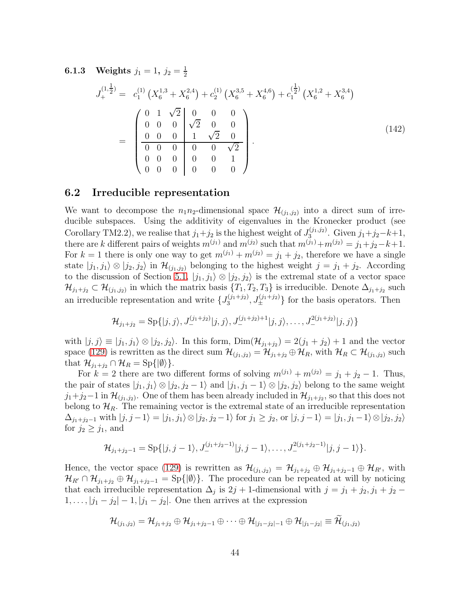<span id="page-44-0"></span>**6.1.3** Weights  $j_1 = 1, j_2 = \frac{1}{2}$ 2

$$
J_{+}^{(1,\frac{1}{2})} = c_{1}^{(1)} \left( X_{6}^{1,3} + X_{6}^{2,4} \right) + c_{2}^{(1)} \left( X_{6}^{3,5} + X_{6}^{4,6} \right) + c_{1}^{(\frac{1}{2})} \left( X_{6}^{1,2} + X_{6}^{3,4} \right)
$$
\n
$$
= \begin{pmatrix}\n0 & 1 & \sqrt{2} & 0 & 0 & 0 \\
0 & 0 & 0 & \sqrt{2} & 0 & 0 \\
0 & 0 & 0 & 1 & \sqrt{2} & 0 \\
0 & 0 & 0 & 0 & 0 & \sqrt{2} \\
0 & 0 & 0 & 0 & 0 & 1 \\
0 & 0 & 0 & 0 & 0 & 0\n\end{pmatrix}.
$$
\n(142)

#### <span id="page-44-1"></span>6.2 Irreducible representation

We want to decompose the  $n_1n_2$ -dimensional space  $\mathcal{H}_{(j_1,j_2)}$  into a direct sum of irreducible subspaces. Using the additivity of eigenvalues in the Kronecker product (see Corollary TM2.2), we realise that  $j_1+j_2$  is the highest weight of  $J_3^{(j_1,j_2)}$  $3^{(j_1,j_2)}$ . Given  $j_1+j_2-k+1$ , there are k different pairs of weights  $m^{(j_1)}$  and  $m^{(j_2)}$  such that  $m^{(j_1)}+m^{(j_2)} = j_1+j_2-k+1$ . For  $k = 1$  there is only one way to get  $m^{(j_1)} + m^{(j_2)} = j_1 + j_2$ , therefore we have a single state  $|j_1, j_1\rangle \otimes |j_2, j_2\rangle$  in  $\mathcal{H}_{(j_1, j_2)}$  belonging to the highest weight  $j = j_1 + j_2$ . According to the discussion of Section [5.1,](#page-38-0)  $|j_1, j_1\rangle \otimes |j_2, j_2\rangle$  is the extremal state of a vector space  $\mathcal{H}_{j_1+j_2} \subset \mathcal{H}_{(j_1,j_2)}$  in which the matrix basis  $\{T_1, T_2, T_3\}$  is irreducible. Denote  $\Delta_{j_1+j_2}$  such an irreducible representation and write  $\{J_3^{(j_1+j_2)}\}$  $\{J_3^{(j_1+j_2)}, J_{\pm}^{(j_1+j_2)}\}$  for the basis operators. Then

$$
\mathcal{H}_{j_1+j_2} = \mathrm{Sp}\{|j,j\rangle, J_{-}^{(j_1+j_2)}|j,j\rangle, J_{-}^{(j_1+j_2)+1}|j,j\rangle, \ldots, J_{-}^{2(j_1+j_2)}|j,j\rangle\}
$$

with  $|j, j\rangle \equiv |j_1, j_1\rangle \otimes |j_2, j_2\rangle$ . In this form,  $Dim(\mathcal{H}_{j_1+j_2}) = 2(j_1 + j_2) + 1$  and the vector space [\(129\)](#page-42-1) is rewritten as the direct sum  $\mathcal{H}_{(j_1,j_2)} = \mathcal{H}_{j_1+j_2} \oplus \mathcal{H}_R$ , with  $\mathcal{H}_R \subset \mathcal{H}_{(j_1,j_2)}$  such that  $\mathcal{H}_{i_1+i_2} \cap \mathcal{H}_R = Sp({\{ \emptyset \}}).$ 

For  $k = 2$  there are two different forms of solving  $m^{(j_1)} + m^{(j_2)} = j_1 + j_2 - 1$ . Thus, the pair of states  $|j_1, j_1\rangle \otimes |j_2, j_2 - 1\rangle$  and  $|j_1, j_1 - 1\rangle \otimes |j_2, j_2\rangle$  belong to the same weight  $j_1+j_2-1$  in  $\mathcal{H}_{(j_1,j_2)}$ . One of them has been already included in  $\mathcal{H}_{j_1+j_2}$ , so that this does not belong to  $\mathcal{H}_R$ . The remaining vector is the extremal state of an irreducible representation  $\Delta_{j_1+j_2-1}$  with  $|j, j-1\rangle = |j_1, j_1\rangle \otimes |j_2, j_2-1\rangle$  for  $j_1 \geq j_2$ , or  $|j, j-1\rangle = |j_1, j_1-1\rangle \otimes |j_2, j_2\rangle$ for  $j_2 \geq j_1$ , and

$$
\mathcal{H}_{j_1+j_2-1}=\mathrm{Sp}\{|j,j-1\rangle,\allowbreak J_{-}^{(j_1+j_2-1)}|j,j-1\rangle,\ldots,J_{-}^{2(j_1+j_2-1)}|j,j-1\rangle\}.
$$

Hence, the vector space [\(129\)](#page-42-1) is rewritten as  $\mathcal{H}_{(j_1,j_2)} = \mathcal{H}_{j_1+j_2} \oplus \mathcal{H}_{j_1+j_2-1} \oplus \mathcal{H}_{R'}$ , with  $\mathcal{H}_{R'} \cap \mathcal{H}_{j_1+j_2} \oplus \mathcal{H}_{j_1+j_2-1} = Sp\{|\emptyset\rangle\}.$  The procedure can be repeated at will by noticing that each irreducible representation  $\Delta_j$  is  $2j + 1$ -dimensional with  $j = j_1 + j_2, j_1 + j_2 1, \ldots, |j_1 - j_2| - 1, |j_1 - j_2|$ . One then arrives at the expression

$$
\mathcal{H}_{(j_1, j_2)} = \mathcal{H}_{j_1 + j_2} \oplus \mathcal{H}_{j_1 + j_2 - 1} \oplus \cdots \oplus \mathcal{H}_{|j_1 - j_2| - 1} \oplus \mathcal{H}_{|j_1 - j_2|} \equiv \widetilde{\mathcal{H}}_{(j_1, j_2)}
$$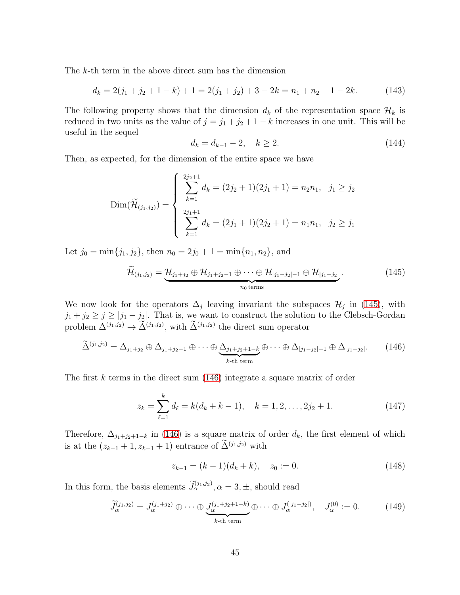The k-th term in the above direct sum has the dimension

<span id="page-45-3"></span>
$$
d_k = 2(j_1 + j_2 + 1 - k) + 1 = 2(j_1 + j_2) + 3 - 2k = n_1 + n_2 + 1 - 2k.
$$
 (143)

The following property shows that the dimension  $d_k$  of the representation space  $\mathcal{H}_k$  is reduced in two units as the value of  $j = j_1 + j_2 + 1 - k$  increases in one unit. This will be useful in the sequel

<span id="page-45-4"></span>
$$
d_k = d_{k-1} - 2, \quad k \ge 2. \tag{144}
$$

Then, as expected, for the dimension of the entire space we have

$$
\text{Dim}(\widetilde{\mathcal{H}}_{(j_1,j_2)}) = \begin{cases} \sum_{k=1}^{2j_2+1} d_k = (2j_2+1)(2j_1+1) = n_2n_1, & j_1 \ge j_2\\ \sum_{k=1}^{2j_1+1} d_k = (2j_1+1)(2j_2+1) = n_1n_1, & j_2 \ge j_1 \end{cases}
$$

Let  $j_0 = \min\{j_1, j_2\}$ , then  $n_0 = 2j_0 + 1 = \min\{n_1, n_2\}$ , and

<span id="page-45-0"></span>
$$
\widetilde{\mathcal{H}}_{(j_1,j_2)} = \underbrace{\mathcal{H}_{j_1+j_2} \oplus \mathcal{H}_{j_1+j_2-1} \oplus \cdots \oplus \mathcal{H}_{|j_1-j_2|-1} \oplus \mathcal{H}_{|j_1-j_2|}}_{n_0 \text{ terms}}.
$$
\n(145)

We now look for the operators  $\Delta_j$  leaving invariant the subspaces  $\mathcal{H}_j$  in [\(145\)](#page-45-0), with  $j_1 + j_2 \ge j \ge |j_1 - j_2|$ . That is, we want to construct the solution to the Clebsch-Gordan problem  $\Delta^{(j_1,j_2)} \to \Delta^{(j_1,j_2)}$ , with  $\Delta^{(j_1,j_2)}$  the direct sum operator

<span id="page-45-1"></span>
$$
\widetilde{\Delta}^{(j_1,j_2)} = \Delta_{j_1+j_2} \oplus \Delta_{j_1+j_2-1} \oplus \cdots \oplus \underbrace{\Delta_{j_1+j_2+1-k}}_{k\text{-th term}} \oplus \cdots \oplus \Delta_{|j_1-j_2|-1} \oplus \Delta_{|j_1-j_2|}.
$$
 (146)

The first k terms in the direct sum [\(146\)](#page-45-1) integrate a square matrix of order

$$
z_k = \sum_{\ell=1}^k d_\ell = k(d_k + k - 1), \quad k = 1, 2, \dots, 2j_2 + 1.
$$
 (147)

Therefore,  $\Delta_{j_1+j_2+1-k}$  in [\(146\)](#page-45-1) is a square matrix of order  $d_k$ , the first element of which is at the  $(z_{k-1} + 1, z_{k-1} + 1)$  entrance of  $\Delta^{(j_1, j_2)}$  with

$$
z_{k-1} = (k-1)(d_k + k), \quad z_0 := 0. \tag{148}
$$

In this form, the basis elements  $\tilde{J}_{\alpha}^{(j_1,j_2)}$ ,  $\alpha = 3, \pm$ , should read

<span id="page-45-2"></span>
$$
\widetilde{J}_{\alpha}^{(j_1,j_2)} = J_{\alpha}^{(j_1+j_2)} \oplus \cdots \oplus \underbrace{J_{\alpha}^{(j_1+j_2+1-k)}}_{k\text{-th term}} \oplus \cdots \oplus J_{\alpha}^{(|j_1-j_2|)}, \quad J_{\alpha}^{(0)} := 0. \tag{149}
$$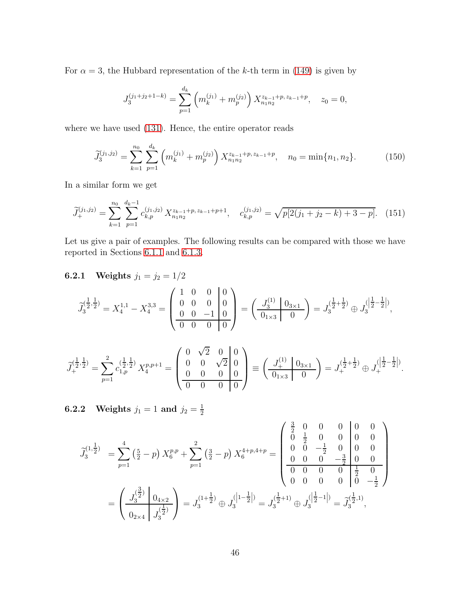For  $\alpha = 3$ , the Hubbard representation of the k-th term in [\(149\)](#page-45-2) is given by

$$
J_3^{(j_1+j_2+1-k)} = \sum_{p=1}^{d_k} \left( m_k^{(j_1)} + m_p^{(j_2)} \right) X_{n_1 n_2}^{z_{k-1}+p, z_{k-1}+p}, \quad z_0 = 0,
$$

where we have used [\(131\)](#page-42-3). Hence, the entire operator reads

<span id="page-46-2"></span>
$$
\widetilde{J}_3^{(j_1,j_2)} = \sum_{k=1}^{n_0} \sum_{p=1}^{d_k} \left( m_k^{(j_1)} + m_p^{(j_2)} \right) X_{n_1 n_2}^{z_{k-1} + p, z_{k-1} + p}, \quad n_0 = \min\{n_1, n_2\}.
$$
 (150)

In a similar form we get

<span id="page-46-3"></span>
$$
\widetilde{J}_{+}^{(j_1,j_2)} = \sum_{k=1}^{n_0} \sum_{p=1}^{d_k-1} c_{k,p}^{(j_1,j_2)} X_{n_1 n_2}^{z_{k-1} + p, z_{k-1} + p + 1}, \quad c_{k,p}^{(j_1,j_2)} = \sqrt{p[2(j_1+j_2-k)+3-p]}.
$$
 (151)

Let us give a pair of examples. The following results can be compared with those we have reported in Sections [6.1.1](#page-43-0) and [6.1.3.](#page-44-0)

# <span id="page-46-0"></span>**6.2.1** Weights  $j_1 = j_2 = 1/2$

$$
\widetilde{J}_{3}^{(\tfrac{1}{2},\tfrac{1}{2})} = X_{4}^{1,1} - X_{4}^{3,3} = \left(\begin{array}{ccc|ccc} 1 & 0 & 0 & 0 \\ 0 & 0 & 0 & 0 \\ 0 & 0 & -1 & 0 \\ \hline 0 & 0 & 0 & 0 \end{array}\right) = \left(\begin{array}{c|ccc} J_{3}^{(1)} & 0_{3\times 1} & 0 \\ \hline 0_{1\times 3} & 0 \end{array}\right) = J_{3}^{(\tfrac{1}{2}+\tfrac{1}{2})} \oplus J_{3}^{([\tfrac{1}{2}-\tfrac{1}{2}]})},
$$

$$
\widetilde{J}_+^{(\tfrac{1}{2},\tfrac{1}{2})}=\sum_{p=1}^2c_{1,p}^{(\tfrac{1}{2},\tfrac{1}{2})}\,X_4^{p,p+1}=\left(\begin{array}{ccc|c}0 & \sqrt{2} & 0&0\\ 0&0&\sqrt{2}&0\\ 0&0&0&0\end{array}\right)\equiv\left(\begin{array}{c}J_+^{(1)}\mid 0_{3\times 1}\\ \hline 0_{1\times 3}&0\end{array}\right)=J_+^{(\tfrac{1}{2}+\tfrac{1}{2})}\oplus J_+^{([\tfrac{1}{2}-\tfrac{1}{2}])}.
$$

<span id="page-46-1"></span>**6.2.2** Weights  $j_1 = 1$  and  $j_2 = \frac{1}{2}$ 2

$$
\widetilde{J}_{3}^{(1,\frac{1}{2})} = \sum_{p=1}^{4} \left(\frac{5}{2} - p\right) X_{6}^{p,p} + \sum_{p=1}^{2} \left(\frac{3}{2} - p\right) X_{6}^{4+p,4+p} = \begin{pmatrix} \frac{3}{2} & 0 & 0 & 0 & 0 & 0 & 0 \\ 0 & \frac{1}{2} & 0 & 0 & 0 & 0 & 0 \\ 0 & 0 & -\frac{1}{2} & 0 & 0 & 0 & 0 \\ 0 & 0 & 0 & -\frac{3}{2} & 0 & 0 & 0 \\ 0 & 0 & 0 & 0 & \frac{1}{2} & 0 \\ 0 & 0 & 0 & 0 & 0 & \frac{1}{2} \end{pmatrix}
$$

$$
= \left(\frac{J_{3}^{(\frac{3}{2})}}{0_{2\times4}}\right) \frac{0_{4\times2}}{0_{3}^{(\frac{1}{2})}} = J_{3}^{(1+\frac{1}{2})} \oplus J_{3}^{(\frac{1}{2}-1)} = J_{3}^{(\frac{1}{2}+1)} \oplus J_{3}^{(\frac{1}{2}-1)} = \widetilde{J}_{3}^{(\frac{1}{2},1)},
$$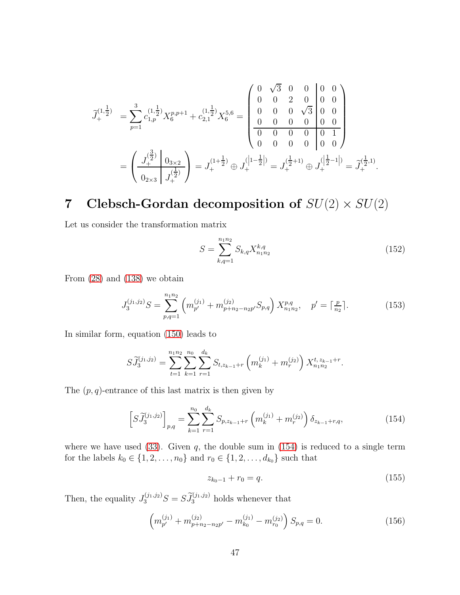$$
\tilde{J}_{+}^{(1,\frac{1}{2})} = \sum_{p=1}^{3} c_{1,p}^{(1,\frac{1}{2})} X_{6}^{p,p+1} + c_{2,1}^{(1,\frac{1}{2})} X_{6}^{5,6} = \begin{pmatrix} 0 & \sqrt{3} & 0 & 0 & 0 & 0 \\ 0 & 0 & 2 & 0 & 0 & 0 \\ 0 & 0 & 0 & \sqrt{3} & 0 & 0 \\ 0 & 0 & 0 & 0 & 0 & 0 \\ 0 & 0 & 0 & 0 & 0 & 1 \\ 0 & 0 & 0 & 0 & 0 & 0 \end{pmatrix}
$$

$$
= \left( \frac{J_{+}^{(\frac{3}{2})}}{0_{2\times3}} \right) \frac{0_{3\times2}}{J_{+}^{(\frac{1}{2})}} = J_{+}^{(1+\frac{1}{2})} \oplus J_{+}^{([1-\frac{1}{2}])} = J_{+}^{(\frac{1}{2}+1)} \oplus J_{+}^{([\frac{1}{2}-1])} = \tilde{J}_{+}^{(\frac{1}{2},1)}.
$$

# <span id="page-47-0"></span>7 Clebsch-Gordan decomposition of  $SU(2) \times SU(2)$

Let us consider the transformation matrix

<span id="page-47-4"></span>
$$
S = \sum_{k,q=1}^{n_1 n_2} S_{k,q} X_{n_1 n_2}^{k,q} \tag{152}
$$

From [\(28\)](#page-9-4) and [\(138\)](#page-43-3) we obtain

$$
J_3^{(j_1,j_2)}S = \sum_{p,q=1}^{n_1n_2} \left( m_{p'}^{(j_1)} + m_{p+n_2-n_2p'}^{(j_2)} S_{p,q} \right) X_{n_1n_2}^{p,q}, \quad p' = \lceil \frac{p}{n_2} \rceil. \tag{153}
$$

In similar form, equation [\(150\)](#page-46-2) leads to

$$
S\widetilde{J}_3^{(j_1,j_2)} = \sum_{t=1}^{n_1 n_2} \sum_{k=1}^{n_0} \sum_{r=1}^{d_k} S_{t,z_{k-1}+r} \left( m_k^{(j_1)} + m_r^{(j_2)} \right) X_{n_1 n_2}^{t,z_{k-1}+r}.
$$

The  $(p, q)$ -entrance of this last matrix is then given by

<span id="page-47-1"></span>
$$
\[S\widetilde{J}_3^{(j_1,j_2)}\]_{p,q} = \sum_{k=1}^{n_0} \sum_{r=1}^{d_k} S_{p,z_{k-1}+r} \left(m_k^{(j_1)} + m_r^{(j_2)}\right) \delta_{z_{k-1}+r,q},\tag{154}
$$

where we have used  $(33)$ . Given q, the double sum in  $(154)$  is reduced to a single term for the labels  $k_0 \in \{1, 2, ..., n_0\}$  and  $r_0 \in \{1, 2, ..., d_{k_0}\}$  such that

<span id="page-47-2"></span>
$$
z_{k_0-1} + r_0 = q. \t\t(155)
$$

Then, the equality  $J_3^{(j_1,j_2)}S = S\tilde{J}_3^{(j_1,j_2)}$  holds whenever that

<span id="page-47-3"></span>
$$
\left(m_{p'}^{(j_1)} + m_{p+n_2-n_2p'}^{(j_2)} - m_{k_0}^{(j_1)} - m_{r_0}^{(j_2)}\right) S_{p,q} = 0.
$$
\n(156)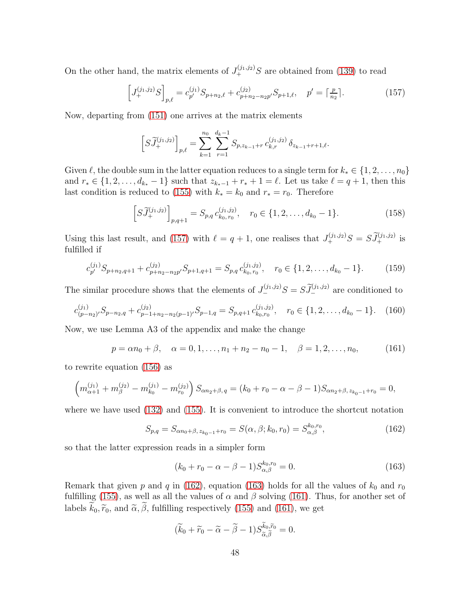On the other hand, the matrix elements of  $J_{+}^{(j_1,j_2)}S$  are obtained from [\(139\)](#page-43-2) to read

<span id="page-48-0"></span>
$$
\[J_{+}^{(j_1,j_2)}S\]_{p,\ell} = c_{p'}^{(j_1)}S_{p+n_2,\ell} + c_{p+n_2-n_2p'}^{(j_2)}S_{p+1,\ell}, \quad p' = \lceil \frac{p}{n_2} \rceil. \tag{157}
$$

Now, departing from [\(151\)](#page-46-3) one arrives at the matrix elements

$$
\left[S\widetilde{J}^{(j_1,j_2)}_+ \right]_{p,\ell} = \sum_{k=1}^{n_0} \sum_{r=1}^{d_k-1} S_{p,z_{k-1}+r} c^{(j_1,j_2)}_{k,r} \delta_{z_{k-1}+r+1,\ell}.
$$

Given  $\ell$ , the double sum in the latter equation reduces to a single term for  $k_* \in \{1, 2, ..., n_0\}$ and  $r_* \in \{1, 2, \ldots, d_{k_*}-1\}$  such that  $z_{k_*-1} + r_* + 1 = \ell$ . Let us take  $\ell = q + 1$ , then this last condition is reduced to [\(155\)](#page-47-2) with  $k_* = k_0$  and  $r_* = r_0$ . Therefore

$$
\left[S\widetilde{J}^{(j_1,j_2)}_+\right]_{p,q+1} = S_{p,q} c^{(j_1,j_2)}_{k_0,r_0}, \quad r_0 \in \{1,2,\ldots,d_{k_0}-1\}.
$$
 (158)

Using this last result, and [\(157\)](#page-48-0) with  $\ell = q + 1$ , one realises that  $J_{+}^{(j_1, j_2)}S = S\tilde{J}_{+}^{(j_1, j_2)}$  is fulfilled if

<span id="page-48-4"></span>
$$
c_{p'}^{(j_1)}S_{p+n_2,q+1} + c_{p+n_2-n_2p'}^{(j_2)}S_{p+1,q+1} = S_{p,q}c_{k_0,r_0}^{(j_1,j_2)}, \quad r_0 \in \{1, 2, \dots, d_{k_0} - 1\}.
$$
 (159)

The similar procedure shows that the elements of  $J_{-}^{(j_1,j_2)}S = S\tilde{J}_{-}^{(j_1,j_2)}$  are conditioned to

<span id="page-48-5"></span>
$$
c_{(p-n_2)'}^{(j_1)}S_{p-n_2,q} + c_{p-1+n_2-n_2(p-1)}^{(j_2)}S_{p-1,q} = S_{p,q+1} c_{k_0,r_0}^{(j_1,j_2)}, \quad r_0 \in \{1, 2, \dots, d_{k_0} - 1\}.
$$
 (160)

Now, we use Lemma A3 of the appendix and make the change

<span id="page-48-3"></span>
$$
p = \alpha n_0 + \beta, \quad \alpha = 0, 1, \dots, n_1 + n_2 - n_0 - 1, \quad \beta = 1, 2, \dots, n_0,
$$
 (161)

to rewrite equation [\(156\)](#page-47-3) as

$$
\left(m_{\alpha+1}^{(j_1)}+m_{\beta}^{(j_2)}-m_{k_0}^{(j_1)}-m_{r_0}^{(j_2)}\right)S_{\alpha n_2+\beta,q}=(k_0+r_0-\alpha-\beta-1)S_{\alpha n_2+\beta,z_{k_0-1}+r_0}=0,
$$

where we have used [\(132\)](#page-42-4) and [\(155\)](#page-47-2). It is convenient to introduce the shortcut notation

<span id="page-48-1"></span>
$$
S_{p,q} = S_{\alpha n_0 + \beta, z_{k_0 - 1} + r_0} = S(\alpha, \beta; k_0, r_0) = S_{\alpha, \beta}^{k_0, r_0},
$$
\n(162)

so that the latter expression reads in a simpler form

<span id="page-48-2"></span>
$$
(k_0 + r_0 - \alpha - \beta - 1)S_{\alpha,\beta}^{k_0, r_0} = 0.
$$
 (163)

Remark that given p and q in [\(162\)](#page-48-1), equation [\(163\)](#page-48-2) holds for all the values of  $k_0$  and  $r_0$ fulfilling [\(155\)](#page-47-2), as well as all the values of  $\alpha$  and  $\beta$  solving [\(161\)](#page-48-3). Thus, for another set of labels  $\widetilde{k}_0, \widetilde{r}_0$ , and  $\widetilde{\alpha}, \widetilde{\beta}$ , fulfilling respectively [\(155\)](#page-47-2) and [\(161\)](#page-48-3), we get

$$
(\widetilde{k}_0 + \widetilde{r}_0 - \widetilde{\alpha} - \widetilde{\beta} - 1)S_{\widetilde{\alpha},\widetilde{\beta}}^{\widetilde{k}_0,\widetilde{r}_0} = 0.
$$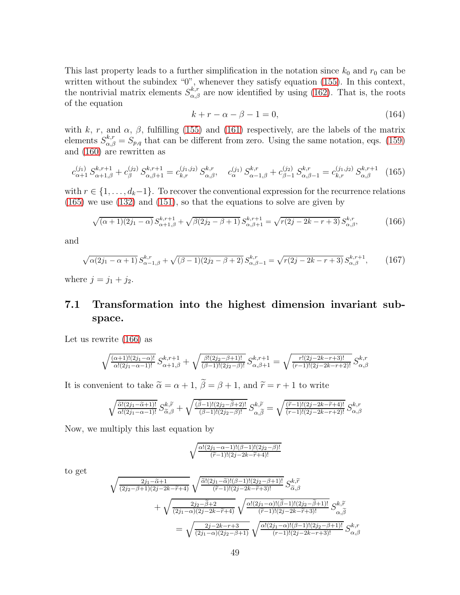This last property leads to a further simplification in the notation since  $k_0$  and  $r_0$  can be written without the subindex "0", whenever they satisfy equation [\(155\)](#page-47-2). In this context, the nontrivial matrix elements  $S_{\alpha,\beta}^{k,r}$  are now identified by using [\(162\)](#page-48-1). That is, the roots of the equation

<span id="page-49-3"></span>
$$
k + r - \alpha - \beta - 1 = 0,\tag{164}
$$

with k, r, and  $\alpha$ ,  $\beta$ , fulfilling [\(155\)](#page-47-2) and [\(161\)](#page-48-3) respectively, are the labels of the matrix elements  $S_{\alpha,\beta}^{k,r} = S_{p,q}$  that can be different from zero. Using the same notation, eqs. [\(159\)](#page-48-4) and [\(160\)](#page-48-5) are rewritten as

<span id="page-49-1"></span>
$$
c_{\alpha+1}^{(j_1)} S_{\alpha+1,\beta}^{k,r+1} + c_{\beta}^{(j_2)} S_{\alpha,\beta+1}^{k,r+1} = c_{k,r}^{(j_1,j_2)} S_{\alpha,\beta}^{k,r}, \quad c_{\alpha}^{(j_1)} S_{\alpha-1,\beta}^{k,r} + c_{\beta-1}^{(j_2)} S_{\alpha,\beta-1}^{k,r} = c_{k,r}^{(j_1,j_2)} S_{\alpha,\beta}^{k,r+1} \tag{165}
$$

with  $r \in \{1, \ldots, d_k-1\}$ . To recover the conventional expression for the recurrence relations [\(165\)](#page-49-1) we use [\(132\)](#page-42-4) and [\(151\)](#page-46-3), so that the equations to solve are given by

<span id="page-49-2"></span>
$$
\sqrt{(\alpha+1)(2j_1-\alpha)} S_{\alpha+1,\beta}^{k,r+1} + \sqrt{\beta(2j_2-\beta+1)} S_{\alpha,\beta+1}^{k,r+1} = \sqrt{r(2j-2k-r+3)} S_{\alpha,\beta}^{k,r},\tag{166}
$$

and

<span id="page-49-4"></span>
$$
\sqrt{\alpha(2j_1 - \alpha + 1)} S_{\alpha - 1, \beta}^{k, r} + \sqrt{(\beta - 1)(2j_2 - \beta + 2)} S_{\alpha, \beta - 1}^{k, r} = \sqrt{r(2j - 2k - r + 3)} S_{\alpha, \beta}^{k, r+1}, \tag{167}
$$

<span id="page-49-0"></span>where  $j = j_1 + j_2$ .

# 7.1 Transformation into the highest dimension invariant subspace.

Let us rewrite [\(166\)](#page-49-2) as

$$
\sqrt{\frac{(\alpha+1)!(2j_1-\alpha)!}{\alpha!(2j_1-\alpha-1)!}} S^{k,r+1}_{\alpha+1,\beta} + \sqrt{\frac{\beta!(2j_2-\beta+1)!}{(\beta-1)!(2j_2-\beta)!}} S^{k,r+1}_{\alpha,\beta+1} = \sqrt{\frac{r!(2j-2k-r+3)!}{(r-1)!(2j-2k-r+2)!}} S^{k,r}_{\alpha,\beta}
$$

It is convenient to take  $\tilde{\alpha} = \alpha + 1$ ,  $\tilde{\beta} = \beta + 1$ , and  $\tilde{r} = r + 1$  to write

$$
\sqrt{\frac{\tilde{\alpha}!(2j_1-\tilde{\alpha}+1)!}{\alpha!(2j_1-\alpha-1)!}} S_{\tilde{\alpha},\beta}^{k,\tilde{r}} + \sqrt{\frac{(\tilde{\beta}-1)!(2j_2-\tilde{\beta}+2)!}{(\beta-1)!(2j_2-\beta)!}} S_{\alpha,\tilde{\beta}}^{k,\tilde{r}} = \sqrt{\frac{(\tilde{r}-1)!(2j-2k-\tilde{r}+4)!}{(r-1)!(2j-2k-r+2)!}} S_{\alpha,\beta}^{k,r}
$$

Now, we multiply this last equation by

$$
\sqrt{\frac{\alpha!(2j_1-\alpha-1)!(\beta-1)!(2j_2-\beta)!}{(\widetilde{r}-1)!(2j-2k-\widetilde{r}+4)!}}
$$

to get

$$
\sqrt{\frac{2j_1 - \tilde{\alpha} + 1}{(2j_2 - \beta + 1)(2j - 2k - \tilde{r} + 4)}} \sqrt{\frac{\tilde{\alpha}!(2j_1 - \tilde{\alpha})!(\beta - 1)!(2j_2 - \beta + 1)!}{(\tilde{r} - 1)!(2j - 2k - \tilde{r} + 3)!}} S_{\tilde{\alpha}, \beta}^{k, \tilde{r}}
$$
\n
$$
+ \sqrt{\frac{2j_2 - \tilde{\beta} + 2}{(2j_1 - \alpha)(2j - 2k - \tilde{r} + 4)}} \sqrt{\frac{\alpha!(2j_1 - \alpha)!(\tilde{\beta} - 1)!(2j_2 - \tilde{\beta} + 1)!}{(\tilde{r} - 1)!(2j - 2k - \tilde{r} + 3)!}} S_{\alpha, \tilde{\beta}}^{k, \tilde{r}}
$$
\n
$$
= \sqrt{\frac{2j - 2k - r + 3}{(2j_1 - \alpha)(2j_2 - \beta + 1)}} \sqrt{\frac{\alpha!(2j_1 - \alpha)!(\beta - 1)!(2j_2 - \beta + 1)!}{(r - 1)!(2j - 2k - r + 3)!}} S_{\alpha, \beta}^{k, r}
$$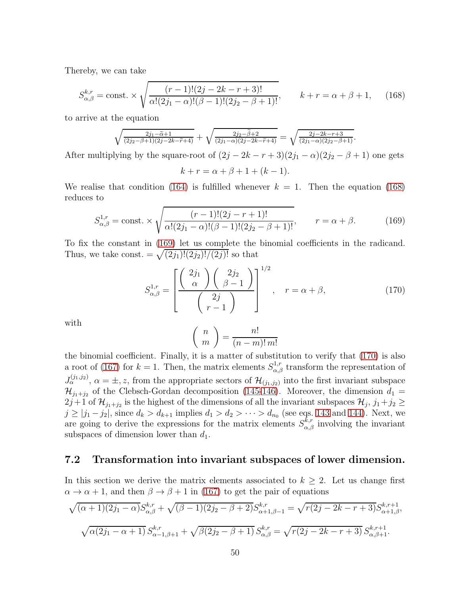Thereby, we can take

<span id="page-50-1"></span>
$$
S_{\alpha,\beta}^{k,r} = \text{const.} \times \sqrt{\frac{(r-1)!(2j-2k-r+3)!}{\alpha!(2j_1-\alpha)!(\beta-1)!(2j_2-\beta+1)!}}, \qquad k+r = \alpha+\beta+1,\tag{168}
$$

to arrive at the equation

$$
\sqrt{\frac{2j_1-\widetilde{\alpha}+1}{(2j_2-\beta+1)(2j-2k-\widetilde{r}+4)}}+\sqrt{\frac{2j_2-\widetilde{\beta}+2}{(2j_1-\alpha)(2j-2k-\widetilde{r}+4)}}=\sqrt{\frac{2j-2k-r+3}{(2j_1-\alpha)(2j_2-\beta+1)}}.
$$

After multiplying by the square-root of  $(2j - 2k - r + 3)(2j_1 - \alpha)(2j_2 - \beta + 1)$  one gets

$$
k + r = \alpha + \beta + 1 + (k - 1).
$$

We realise that condition [\(164\)](#page-49-3) is fulfilled whenever  $k = 1$ . Then the equation [\(168\)](#page-50-1) reduces to

<span id="page-50-2"></span>
$$
S_{\alpha,\beta}^{1,r} = \text{const.} \times \sqrt{\frac{(r-1)!(2j-r+1)!}{\alpha!(2j_1-\alpha)!(\beta-1)!(2j_2-\beta+1)!}}, \qquad r = \alpha + \beta. \tag{169}
$$

To fix the constant in [\(169\)](#page-50-2) let us complete the binomial coefficients in the radicand. Thus, we take const.  $= \sqrt{(2j_1)!(2j_2)!/(2j)!}$  so that

<span id="page-50-3"></span>
$$
S_{\alpha,\beta}^{1,r} = \left[ \frac{\left(\begin{array}{c} 2j_1 \\ \alpha \end{array}\right) \left(\begin{array}{c} 2j_2 \\ \beta - 1 \end{array}\right)}{\left(\begin{array}{c} 2j \\ r - 1 \end{array}\right)} \right]^{1/2}, \quad r = \alpha + \beta,
$$
\n(170)

with

$$
\left(\begin{array}{c}n\\m\end{array}\right)=\frac{n!}{(n-m)! \, m!}
$$

the binomial coefficient. Finally, it is a matter of substitution to verify that [\(170\)](#page-50-3) is also a root of [\(167\)](#page-49-4) for  $k = 1$ . Then, the matrix elements  $S_{\alpha,\beta}^{1,r}$  transform the representation of  $J_{\alpha}^{(j_1,j_2)}$ ,  $\alpha = \pm, z$ , from the appropriate sectors of  $\mathcal{H}_{(j_1,j_2)}$  into the first invariant subspace  $\mathcal{H}_{j_1+j_2}$  of the Clebsch-Gordan decomposition [\(145](#page-45-0)[-146\)](#page-45-1). Moreover, the dimension  $d_1 =$  $2j+1$  of  $\mathcal{H}_{j_1+j_2}$  is the highest of the dimensions of all the invariant subspaces  $\mathcal{H}_j$ ,  $j_1+j_2 \geq$  $j \ge |j_1 - j_2|$ , since  $d_k > d_{k+1}$  implies  $d_1 > d_2 > \cdots > d_{n_0}$  (see eqs. [143](#page-45-3) and [144\)](#page-45-4). Next, we are going to derive the expressions for the matrix elements  $S^{k,r}_{\alpha,\beta}$  involving the invariant subspaces of dimension lower than  $d_1$ .

#### <span id="page-50-0"></span>7.2 Transformation into invariant subspaces of lower dimension.

In this section we derive the matrix elements associated to  $k \geq 2$ . Let us change first  $\alpha \to \alpha + 1$ , and then  $\beta \to \beta + 1$  in [\(167\)](#page-49-4) to get the pair of equations

$$
\sqrt{(\alpha+1)(2j_1-\alpha)}S_{\alpha,\beta}^{k,r} + \sqrt{(\beta-1)(2j_2-\beta+2)}S_{\alpha+1,\beta-1}^{k,r} = \sqrt{r(2j-2k-r+3)}S_{\alpha+1,\beta}^{k,r+1},
$$
  

$$
\sqrt{\alpha(2j_1-\alpha+1)}S_{\alpha-1,\beta+1}^{k,r} + \sqrt{\beta(2j_2-\beta+1)}S_{\alpha,\beta}^{k,r} = \sqrt{r(2j-2k-r+3)}S_{\alpha,\beta+1}^{k,r+1}.
$$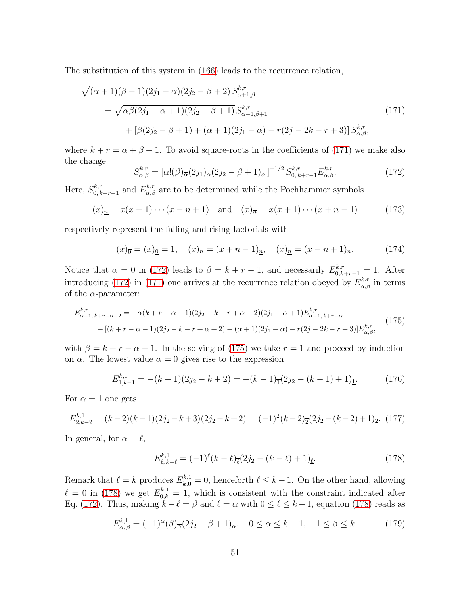The substitution of this system in [\(166\)](#page-49-2) leads to the recurrence relation,

<span id="page-51-0"></span>
$$
\sqrt{(\alpha+1)(\beta-1)(2j_1-\alpha)(2j_2-\beta+2)} S^{k,r}_{\alpha+1,\beta}
$$
\n
$$
= \sqrt{\alpha\beta(2j_1-\alpha+1)(2j_2-\beta+1)} S^{k,r}_{\alpha-1,\beta+1}
$$
\n
$$
+ [\beta(2j_2-\beta+1) + (\alpha+1)(2j_1-\alpha) - r(2j-2k-r+3)] S^{k,r}_{\alpha,\beta},
$$
\n(171)

where  $k + r = \alpha + \beta + 1$ . To avoid square-roots in the coefficients of [\(171\)](#page-51-0) we make also the change

<span id="page-51-1"></span>
$$
S_{\alpha,\beta}^{k,r} = [\alpha! (\beta)_{\overline{\alpha}} (2j_1)_{\underline{\alpha}} (2j_2 - \beta + 1)_{\underline{\alpha}}]^{-1/2} S_{0,k+r-1}^{k,r} E_{\alpha,\beta}^{k,r}.
$$
 (172)

Here,  $S_{0,k}^{k,r}$  $b_{0,k+r-1}^{k,r}$  and  $E_{\alpha,\beta}^{k,r}$  are to be determined while the Pochhammer symbols

$$
(x)_{\underline{n}} = x(x-1)\cdots(x-n+1)
$$
 and  $(x)_{\overline{n}} = x(x+1)\cdots(x+n-1)$  (173)

respectively represent the falling and rising factorials with

<span id="page-51-4"></span>
$$
(x)_{\overline{0}} = (x)_{\underline{0}} = 1, \quad (x)_{\overline{n}} = (x + n - 1)_{\underline{n}}, \quad (x)_{\underline{n}} = (x - n + 1)_{\overline{n}}.
$$
 (174)

Notice that  $\alpha = 0$  in [\(172\)](#page-51-1) leads to  $\beta = k + r - 1$ , and necessarily  $E_{0,k+r-1}^{k,r} = 1$ . After introducing [\(172\)](#page-51-1) in [\(171\)](#page-51-0) one arrives at the recurrence relation obeyed by  $E_{\alpha,\beta}^{k,r}$  in terms of the  $\alpha$ -parameter:

<span id="page-51-2"></span>
$$
E_{\alpha+1,\,k+r-\alpha-2}^{k,r} = -\alpha(k+r-\alpha-1)(2j_2-k-r+\alpha+2)(2j_1-\alpha+1)E_{\alpha-1,\,k+r-\alpha}^{k,r} \n+ [(k+r-\alpha-1)(2j_2-k-r+\alpha+2)+(\alpha+1)(2j_1-\alpha)-r(2j-2k-r+3)]E_{\alpha,\beta}^{k,r},
$$
\n(175)

with  $\beta = k + r - \alpha - 1$ . In the solving of [\(175\)](#page-51-2) we take  $r = 1$  and proceed by induction on  $\alpha$ . The lowest value  $\alpha = 0$  gives rise to the expression

$$
E_{1,k-1}^{k,1} = -(k-1)(2j_2 - k + 2) = -(k-1)_{\overline{1}}(2j_2 - (k-1) + 1)_{\underline{1}}.
$$
 (176)

For  $\alpha = 1$  one gets

$$
E_{2,k-2}^{k,1} = (k-2)(k-1)(2j_2 - k + 3)(2j_2 - k + 2) = (-1)^2(k-2)\overline{2}(2j_2 - (k-2) + 1)\underline{2}.
$$
 (177)

In general, for  $\alpha = \ell$ ,

<span id="page-51-3"></span>
$$
E_{\ell,k-\ell}^{k,1} = (-1)^{\ell} (k-\ell)_{\overline{\ell}} (2j_2 - (k-\ell) + 1)_{\underline{\ell}}.
$$
 (178)

Remark that  $\ell = k$  produces  $E_{k,0}^{k,1} = 0$ , henceforth  $\ell \leq k-1$ . On the other hand, allowing  $\ell = 0$  in [\(178\)](#page-51-3) we get  $E_{0,k}^{k,1} = 1$ , which is consistent with the constraint indicated after Eq. [\(172\)](#page-51-1). Thus, making  $k - \ell = \beta$  and  $\ell = \alpha$  with  $0 \leq \ell \leq k - 1$ , equation [\(178\)](#page-51-3) reads as

$$
E_{\alpha,\beta}^{k,1} = (-1)^{\alpha}(\beta)_{\overline{\alpha}}(2j_2 - \beta + 1)_{\underline{\alpha}}, \quad 0 \le \alpha \le k - 1, \quad 1 \le \beta \le k. \tag{179}
$$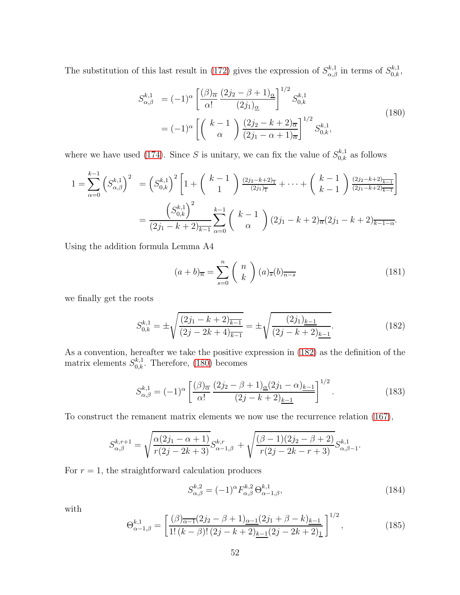The substitution of this last result in [\(172\)](#page-51-1) gives the expression of  $S_{\alpha,\beta}^{k,1}$  in terms of  $S_{0,k}^{k,1}$ ,

<span id="page-52-1"></span>
$$
S_{\alpha,\beta}^{k,1} = (-1)^{\alpha} \left[ \frac{(\beta)_{\overline{\alpha}}}{\alpha!} \frac{(2j_2 - \beta + 1)_{\underline{\alpha}}}{(2j_1)_{\underline{\alpha}}} \right]^{1/2} S_{0,k}^{k,1}
$$
  
=  $(-1)^{\alpha} \left[ \binom{k-1}{\alpha} \frac{(2j_2 - k + 2)_{\overline{\alpha}}}{(2j_1 - \alpha + 1)_{\overline{\alpha}}} \right]^{1/2} S_{0,k}^{k,1},$  (180)

where we have used [\(174\)](#page-51-4). Since S is unitary, we can fix the value of  $S_{0,k}^{k,1}$  as follows

$$
1 = \sum_{\alpha=0}^{k-1} \left( S_{\alpha,\beta}^{k,1} \right)^2 = \left( S_{0,k}^{k,1} \right)^2 \left[ 1 + \binom{k-1}{1} \frac{(2j_2 - k + 2)_{\overline{1}}}{(2j_1)_{\overline{1}}} + \dots + \binom{k-1}{k-1} \frac{(2j_2 - k + 2)_{\overline{k-1}}}{(2j_1 - k + 2)_{\overline{k-1}}} \right]
$$
  
= 
$$
\frac{\left( S_{0,k}^{k,1} \right)^2}{(2j_1 - k + 2)_{\overline{k-1}}} \sum_{\alpha=0}^{k-1} \binom{k-1}{\alpha} (2j_1 - k + 2)_{\overline{\alpha}} (2j_1 - k + 2)_{\overline{k-1-\alpha}}.
$$

Using the addition formula Lemma A4

$$
(a+b)_{\overline{n}} = \sum_{s=0}^{n} {n \choose k} (a)_{\overline{s}} (b)_{\overline{n-s}}
$$
(181)

we finally get the roots

<span id="page-52-0"></span>
$$
S_{0,k}^{k,1} = \pm \sqrt{\frac{(2j_1 - k + 2)_{\overline{k-1}}}{(2j - 2k + 4)_{\overline{k-1}}}} = \pm \sqrt{\frac{(2j_1)_{\underline{k-1}}}{(2j - k + 2)_{\underline{k-1}}}}.
$$
(182)

As a convention, hereafter we take the positive expression in [\(182\)](#page-52-0) as the definition of the matrix elements  $S_{0,k}^{k,1}$ . Therefore, [\(180\)](#page-52-1) becomes

$$
S_{\alpha,\beta}^{k,1} = (-1)^{\alpha} \left[ \frac{(\beta)_{\overline{\alpha}}}{\alpha!} \frac{(2j_2 - \beta + 1)_{\underline{\alpha}} (2j_1 - \alpha)_{\underline{k-1}}}{(2j - k + 2)_{\underline{k-1}}} \right]^{1/2}.
$$
 (183)

To construct the remanent matrix elements we now use the recurrence relation [\(167\)](#page-49-4),

$$
S_{\alpha,\beta}^{k,r+1} = \sqrt{\frac{\alpha(2j_1 - \alpha + 1)}{r(2j - 2k + 3)}} S_{\alpha-1,\beta}^{k,r} + \sqrt{\frac{(\beta - 1)(2j_2 - \beta + 2)}{r(2j - 2k - r + 3)}} S_{\alpha,\beta-1}^{k,1}.
$$

For  $r = 1$ , the straightforward calculation produces

$$
S_{\alpha,\beta}^{k,2} = (-1)^{\alpha} F_{\alpha,\beta}^{k,2} \Theta_{\alpha-1,\beta}^{k,1}, \qquad (184)
$$

with

<span id="page-52-2"></span>
$$
\Theta_{\alpha-1,\beta}^{k,1} = \left[ \frac{(\beta)_{\overline{\alpha-1}}(2j_2 - \beta + 1)_{\underline{\alpha-1}}(2j_1 + \beta - k)_{\underline{k-1}}}{1!\,(k-\beta)!\,(2j-k+2)_{\underline{k-1}}(2j-2k+2)_{\underline{1}}} \right]^{1/2},\tag{185}
$$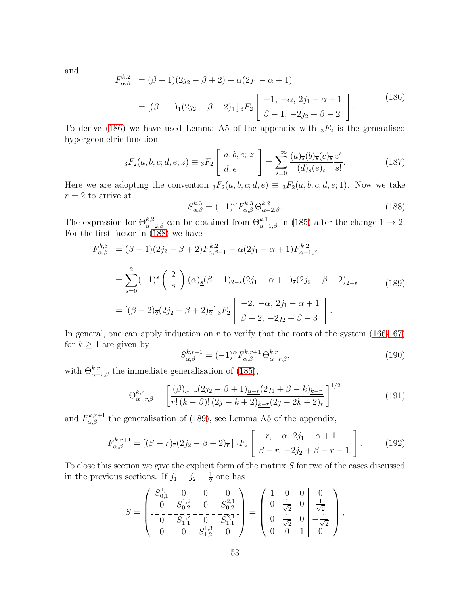and

<span id="page-53-0"></span>
$$
F_{\alpha,\beta}^{k,2} = (\beta - 1)(2j_2 - \beta + 2) - \alpha(2j_1 - \alpha + 1)
$$
  
= 
$$
[(\beta - 1)_{\overline{1}}(2j_2 - \beta + 2)_{\overline{1}}]_3F_2 \begin{bmatrix} -1, -\alpha, 2j_1 - \alpha + 1 \\ \beta - 1, -2j_2 + \beta - 2 \end{bmatrix}.
$$
 (186)

To derive [\(186\)](#page-53-0) we have used Lemma A5 of the appendix with  $_3F_2$  is the generalised hypergeometric function

$$
{}_3F_2(a,b,c;d,e;z) \equiv {}_3F_2\left[\begin{array}{c} a,b,c; \ z \\ d,e \end{array}\right] = \sum_{s=0}^{+\infty} \frac{(a)_{\overline{s}}(b)_{\overline{s}}(c)_{\overline{s}}}{(d)_{\overline{s}}(e)_{\overline{s}}} \frac{z^s}{s!}.
$$
(187)

Here we are adopting the convention  ${}_3F_2(a, b, c; d, e) \equiv {}_3F_2(a, b, c; d, e; 1)$ . Now we take  $r = 2$  to arrive at

<span id="page-53-1"></span>
$$
S_{\alpha,\beta}^{k,3} = (-1)^{\alpha} F_{\alpha,\beta}^{k,3} \Theta_{\alpha-2,\beta}^{k,2}.
$$
 (188)

The expression for  $\Theta_{\alpha-2,\beta}^{k,2}$  can be obtained from  $\Theta_{\alpha-1,\beta}^{k,1}$  in [\(185\)](#page-52-2) after the change  $1 \to 2$ . For the first factor in  $(188)$  we have

<span id="page-53-2"></span>
$$
F_{\alpha,\beta}^{k,3} = (\beta - 1)(2j_2 - \beta + 2)F_{\alpha,\beta-1}^{k,2} - \alpha(2j_1 - \alpha + 1)F_{\alpha-1,\beta}^{k,2}
$$
  
= 
$$
\sum_{s=0}^{2} (-1)^s \binom{2}{s} (\alpha)_{\underline{s}} (\beta - 1)_{\underline{2-s}} (2j_1 - \alpha + 1)_{\overline{s}} (2j_2 - \beta + 2)_{\overline{2-s}}
$$
  
= 
$$
[(\beta - 2)_{\overline{2}} (2j_2 - \beta + 2)_{\overline{2}}] {}_3F_2 \left[ \begin{array}{c} -2, -\alpha, 2j_1 - \alpha + 1 \\ \beta - 2, -2j_2 + \beta - 3 \end{array} \right].
$$
 (189)

In general, one can apply induction on  $r$  to verify that the roots of the system [\(166-](#page-49-2)[167\)](#page-49-4) for  $k \geq 1$  are given by

$$
S_{\alpha,\beta}^{k,r+1} = (-1)^{\alpha} F_{\alpha,\beta}^{k,r+1} \Theta_{\alpha-r,\beta}^{k,r}, \qquad (190)
$$

with  $\Theta_{\alpha-r,\beta}^{k,r}$  the immediate generalisation of [\(185\)](#page-52-2),

$$
\Theta_{\alpha-r,\beta}^{k,r} = \left[ \frac{(\beta)_{\overline{\alpha-r}} (2j_2 - \beta + 1)_{\alpha-r} (2j_1 + \beta - k)_{k-r}}{r! (k - \beta)! (2j - k + 2)_{\underline{k-r}} (2j - 2k + 2)_{\underline{r}}} \right]^{1/2}
$$
(191)

and  $F_{\alpha,\beta}^{k,r+1}$  the generalisation of [\(189\)](#page-53-2), see Lemma A5 of the appendix,

$$
F_{\alpha,\beta}^{k,r+1} = [(\beta - r)_{\overline{r}}(2j_2 - \beta + 2)_{\overline{r}}]_3 F_2 \left[ \begin{array}{c} -r, -\alpha, 2j_1 - \alpha + 1 \\ \beta - r, -2j_2 + \beta - r - 1 \end{array} \right].
$$
 (192)

To close this section we give the explicit form of the matrix S for two of the cases discussed in the previous sections. If  $j_1 = j_2 = \frac{1}{2}$  $\frac{1}{2}$  one has

$$
S = \begin{pmatrix} S_{0,1}^{1,1} & 0 & 0 & 0 \ 0 & S_{0,2}^{1,2} & 0 & S_{0,2}^{2,1} \ -\n\phantom{-} & -\phantom{-} & -\phantom{-} & -\phantom{-} & -\phantom{-} & -\phantom{-} & -\phantom{-} & -\phantom{-} & -\phantom{-} & -\phantom{-} & -\phantom{-} & -\phantom{-} & -\phantom{-} & -\phantom{-} & -\phantom{-} & -\phantom{-} & -\phantom{-} & -\phantom{-} & -\phantom{-} & -\phantom{-} & -\phantom{-} & -\phantom{-} & -\phantom{-} & -\phantom{-} & -\phantom{-} & -\phantom{-} & -\phantom{-} & -\phantom{-} & -\phantom{-} & -\phantom{-} & -\phantom{-} & -\phantom{-} & -\phantom{-} & -\phantom{-} & -\phantom{-} & -\phantom{-} & -\phantom{-} & -\phantom{-} & -\phantom{-} & -\phantom{-} & -\phantom{-} & -\phantom{-} & -\phantom{-} & -\phantom{-} & -\phantom{-} & -\phantom{-} & -\phantom{-} & -\phantom{-} & -\phantom{-} & -\phantom{-} & -\phantom{-} & -\phantom{-} & -\phantom{-} & -\phantom{-} & -\phantom{-} & -\phantom{-} & -\phantom{-} & -\phantom{-} & -\phantom{-} & -\phantom{-} & -\phantom{-} & -\phantom{-} & -\phantom{-} & -\phantom{-} & -\phantom{-} & -\phantom{-} & -\phantom{-} & -\phantom{-} & -\phantom{-} & -\phantom{-} & -\phantom{-} & -\phantom{-} & -\phantom{-} & -\phantom{-} & -\phantom{-} & -\phantom{-} & -\phantom{-} & -\phantom{-} & -\phantom{-} & -\phantom{-} & -\phantom{-} & -\phantom{-} & -\phantom{-} & -\phantom{-} & -\phantom{-} & -\phantom{-} & -\phantom{-} & -\phantom{-} & -\phantom{-} & -\phantom{-} & -\phantom{-} & -\phantom{-} & -\phantom{-} & -\phantom{-} & -\phantom{-} & -\phantom{-} & -\phantom{-} & -\phantom{-} & -\phantom{-} & -\phantom{-
$$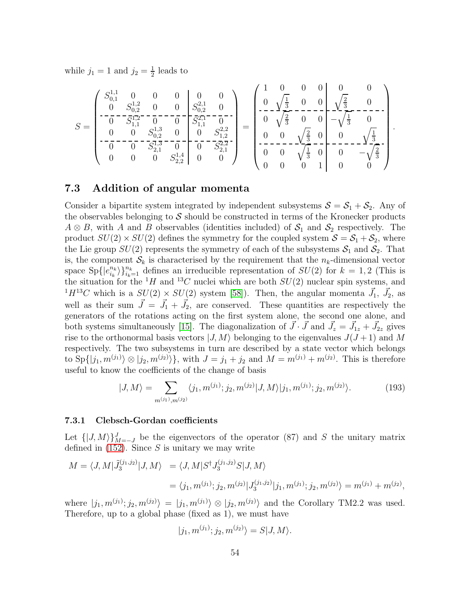while  $j_1 = 1$  and  $j_2 = \frac{1}{2}$  $\frac{1}{2}$  leads to

$$
S = \begin{pmatrix} S_{0,1}^{1,1} & 0 & 0 & 0 & 0 \ 0 & S_{0,2}^{1,2} & 0 & 0 & S_{0,2}^{2,1} & 0 \ 0 & - & -S_{1,1}^{1,2} & 0 & 0 & S_{1,1}^{2,1} & 0 \ 0 & 0 & S_{0,2}^{1,3} & 0 & 0 & S_{1,2}^{2,2} \ 0 & - & - & - & - & - & - & - & - & - \ 0 & 0 & S_{2,1}^{1,3} & 0 & 0 & S_{2,1}^{2,2} \ 0 & 0 & 0 & S_{2,2}^{1,4} & 0 & 0 \ 0 & 0 & 0 & S_{2,2}^{1,4} & 0 & 0 \ 0 & 0 & 0 & 0 & 0 & 1 \ \end{pmatrix} = \begin{pmatrix} 1 & 0 & 0 & 0 & 0 \ 0 & \sqrt{\frac{1}{3}} & 0 & 0 & 0 \ 0 & \sqrt{\frac{1}{3}} & 0 & 0 & \sqrt{\frac{2}{3}} & 0 \ 0 & 0 & \sqrt{\frac{1}{3}} & 0 & 0 \ 0 & 0 & 0 & 0 & 0 \ 0 & 0 & 0 & 1 & 0 & 0 \ \end{pmatrix}.
$$

### <span id="page-54-0"></span>7.3 Addition of angular momenta

Consider a bipartite system integrated by independent subsystems  $S = S_1 + S_2$ . Any of the observables belonging to  $S$  should be constructed in terms of the Kronecker products  $A \otimes B$ , with A and B observables (identities included) of  $S_1$  and  $S_2$  respectively. The product  $SU(2) \times SU(2)$  defines the symmetry for the coupled system  $S = S_1 + S_2$ , where the Lie group  $SU(2)$  represents the symmetry of each of the subsystems  $S_1$  and  $S_2$ . That is, the component  $\mathcal{S}_k$  is characterised by the requirement that the  $n_k$ -dimensional vector space  $\text{Sp}\left\{e_{i_k}^{n_k}\right\}$  $\binom{n_k}{i_k}\}_{i_k=1}^{n_k}$  defines an irreducible representation of  $SU(2)$  for  $k=1,2$  (This is the situation for the  $H$  and  $^{13}C$  nuclei which are both  $SU(2)$  nuclear spin systems, and  ${}^{1}H^{13}C$  which is a  $SU(2) \times SU(2)$  system [\[58\]](#page-63-11)). Then, the angular momenta  $\vec{J}_1$ ,  $\vec{J}_2$ , as well as their sum  $\vec{J} = \vec{J}_1 + \vec{J}_2$ , are conserved. These quantities are respectively the generators of the rotations acting on the first system alone, the second one alone, and both systems simultaneously [\[15\]](#page-60-10). The diagonalization of  $\vec{J} \cdot \vec{J}$  and  $\vec{J}_z = \vec{J}_{1z} + \vec{J}_{2z}$  gives rise to the orthonormal basis vectors  $|J, M\rangle$  belonging to the eigenvalues  $J(J+1)$  and M respectively. The two subsystems in turn are described by a state vector which belongs to  $\text{Sp}\{|j_1, m^{(j_1)}\rangle \otimes |j_2, m^{(j_2)}\rangle\}$ , with  $J = j_1 + j_2$  and  $M = m^{(j_1)} + m^{(j_2)}$ . This is therefore useful to know the coefficients of the change of basis

<span id="page-54-2"></span>
$$
|J,M\rangle = \sum_{m^{(j_1)}, m^{(j_2)}} \langle j_1, m^{(j_1)}; j_2, m^{(j_2)} | J, M \rangle | j_1, m^{(j_1)}; j_2, m^{(j_2)} \rangle.
$$
 (193)

#### <span id="page-54-1"></span>7.3.1 Clebsch-Gordan coefficients

Let  $\{ |J, M\rangle \}_{M=-J}^{J}$  be the eigenvectors of the operator (87) and S the unitary matrix defined in  $(152)$ . Since S is unitary we may write

$$
M = \langle J, M | \tilde{J}_3^{(j_1, j_2)} | J, M \rangle = \langle J, M | S^{\dagger} J_3^{(j_1, j_2)} S | J, M \rangle
$$
  
=  $\langle j_1, m^{(j_1)}; j_2, m^{(j_2)} | J_3^{(j_1, j_2)} | j_1, m^{(j_1)}; j_2, m^{(j_2)} \rangle = m^{(j_1)} + m^{(j_2)},$ 

where  $|j_1, m^{(j_1)}; j_2, m^{(j_2)}\rangle = |j_1, m^{(j_1)}\rangle \otimes |j_2, m^{(j_2)}\rangle$  and the Corollary TM2.2 was used. Therefore, up to a global phase (fixed as 1), we must have

$$
|j_1, m^{(j_1)}; j_2, m^{(j_2)}\rangle = S|J, M\rangle.
$$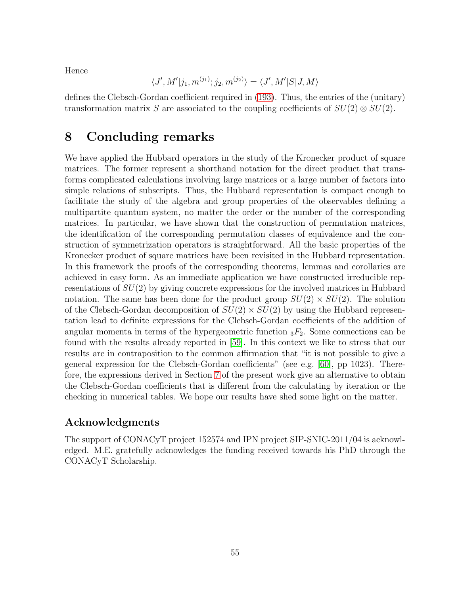Hence

$$
\langle J', M'|j_1, m^{(j_1)}; j_2, m^{(j_2)} \rangle = \langle J', M'|S|J, M \rangle
$$

defines the Clebsch-Gordan coefficient required in [\(193\)](#page-54-2). Thus, the entries of the (unitary) transformation matrix S are associated to the coupling coefficients of  $SU(2) \otimes SU(2)$ .

# <span id="page-55-0"></span>8 Concluding remarks

We have applied the Hubbard operators in the study of the Kronecker product of square matrices. The former represent a shorthand notation for the direct product that transforms complicated calculations involving large matrices or a large number of factors into simple relations of subscripts. Thus, the Hubbard representation is compact enough to facilitate the study of the algebra and group properties of the observables defining a multipartite quantum system, no matter the order or the number of the corresponding matrices. In particular, we have shown that the construction of permutation matrices, the identification of the corresponding permutation classes of equivalence and the construction of symmetrization operators is straightforward. All the basic properties of the Kronecker product of square matrices have been revisited in the Hubbard representation. In this framework the proofs of the corresponding theorems, lemmas and corollaries are achieved in easy form. As an immediate application we have constructed irreducible representations of  $SU(2)$  by giving concrete expressions for the involved matrices in Hubbard notation. The same has been done for the product group  $SU(2) \times SU(2)$ . The solution of the Clebsch-Gordan decomposition of  $SU(2) \times SU(2)$  by using the Hubbard representation lead to definite expressions for the Clebsch-Gordan coefficients of the addition of angular momenta in terms of the hypergeometric function  ${}_{3}F_2$ . Some connections can be found with the results already reported in [\[59\]](#page-63-12). In this context we like to stress that our results are in contraposition to the common affirmation that "it is not possible to give a general expression for the Clebsch-Gordan coefficients" (see e.g. [\[60\]](#page-63-13), pp 1023). Therefore, the expressions derived in Section [7](#page-47-0) of the present work give an alternative to obtain the Clebsch-Gordan coefficients that is different from the calculating by iteration or the checking in numerical tables. We hope our results have shed some light on the matter.

## Acknowledgments

The support of CONACyT project 152574 and IPN project SIP-SNIC-2011/04 is acknowledged. M.E. gratefully acknowledges the funding received towards his PhD through the CONACyT Scholarship.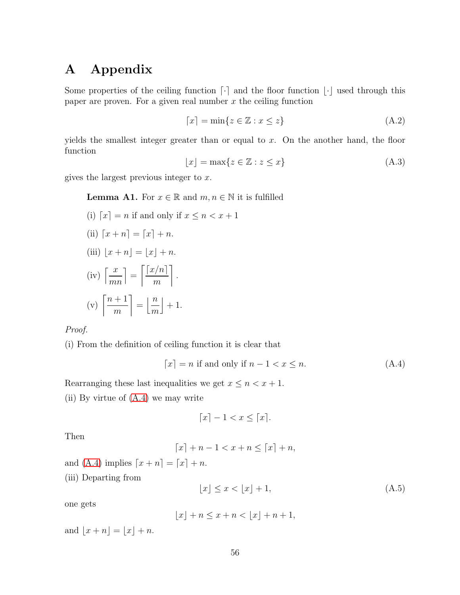# <span id="page-56-0"></span>A Appendix

Some properties of the ceiling function  $\lceil \cdot \rceil$  and the floor function  $\lfloor \cdot \rfloor$  used through this paper are proven. For a given real number  $x$  the ceiling function

<span id="page-56-1"></span>
$$
\lceil x \rceil = \min\{z \in \mathbb{Z} : x \le z\}
$$
\n(A.2)

yields the smallest integer greater than or equal to  $x$ . On the another hand, the floor function

<span id="page-56-2"></span>
$$
\lfloor x \rfloor = \max\{z \in \mathbb{Z} : z \le x\}
$$
\n(A.3)

gives the largest previous integer to  $x$ .

#### **Lemma A1.** For  $x \in \mathbb{R}$  and  $m, n \in \mathbb{N}$  it is fulfilled

(i) 
$$
[x] = n
$$
 if and only if  $x \le n < x + 1$  \n(ii)  $[x + n] = [x] + n$  \n(iii)  $[x + n] = \lfloor x \rfloor + n$  \n(iv)  $\left\lceil \frac{x}{mn} \right\rceil = \left\lceil \frac{x}{m} \right\rceil$  \n(v)  $\left\lceil \frac{n+1}{m} \right\rceil = \left\lfloor \frac{n}{m} \right\rfloor + 1$ 

#### *Proof.*

(i) From the definition of ceiling function it is clear that

<span id="page-56-3"></span>
$$
\lceil x \rceil = n \text{ if and only if } n - 1 < x \le n. \tag{A.4}
$$

Rearranging these last inequalities we get  $x \leq n < x + 1$ .

(ii) By virtue of [\(A.4\)](#page-56-3) we may write

$$
\lceil x \rceil - 1 < x \le \lceil x \rceil.
$$

Then

$$
\lceil x \rceil + n - 1 < x + n \leq \lceil x \rceil + n,
$$

and [\(A.4\)](#page-56-3) implies  $\lceil x + n \rceil = \lceil x \rceil + n$ .

(iii) Departing from

<span id="page-56-4"></span>
$$
\lfloor x \rfloor \le x < \lfloor x \rfloor + 1,\tag{A.5}
$$

one gets

$$
\lfloor x \rfloor + n \le x + n < \lfloor x \rfloor + n + 1,
$$

and  $|x + n| = |x| + n$ .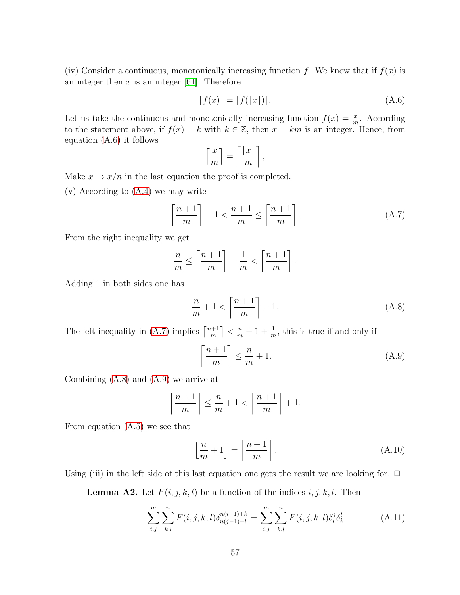(iv) Consider a continuous, monotonically increasing function f. We know that if  $f(x)$  is an integer then  $x$  is an integer [\[61\]](#page-63-14). Therefore

<span id="page-57-0"></span>
$$
[f(x)] = [f([x])]. \tag{A.6}
$$

Let us take the continuous and monotonically increasing function  $f(x) = \frac{x}{m}$ . According to the statement above, if  $f(x) = k$  with  $k \in \mathbb{Z}$ , then  $x = km$  is an integer. Hence, from equation [\(A.6\)](#page-57-0) it follows

$$
\left\lceil \frac{x}{m} \right\rceil = \left\lceil \frac{\lceil x \rceil}{m} \right\rceil,
$$

Make  $x \to x/n$  in the last equation the proof is completed.

(v) According to [\(A.4\)](#page-56-3) we may write

<span id="page-57-1"></span>
$$
\left\lceil \frac{n+1}{m} \right\rceil - 1 < \frac{n+1}{m} \le \left\lceil \frac{n+1}{m} \right\rceil. \tag{A.7}
$$

From the right inequality we get

$$
\frac{n}{m} \le \left\lceil \frac{n+1}{m} \right\rceil - \frac{1}{m} < \left\lceil \frac{n+1}{m} \right\rceil.
$$

Adding 1 in both sides one has

<span id="page-57-2"></span>
$$
\frac{n}{m} + 1 < \left\lceil \frac{n+1}{m} \right\rceil + 1. \tag{A.8}
$$

The left inequality in [\(A.7\)](#page-57-1) implies  $\lceil \frac{n+1}{m} \rceil$  $\left\lfloor \frac{m+1}{m} \right\rfloor < \frac{m}{m} + 1 + \frac{1}{m}$ , this is true if and only if

<span id="page-57-3"></span>
$$
\left\lceil \frac{n+1}{m} \right\rceil \le \frac{n}{m} + 1. \tag{A.9}
$$

Combining [\(A.8\)](#page-57-2) and [\(A.9\)](#page-57-3) we arrive at

$$
\left\lceil \frac{n+1}{m} \right\rceil \le \frac{n}{m} + 1 < \left\lceil \frac{n+1}{m} \right\rceil + 1.
$$

From equation [\(A.5\)](#page-56-4) we see that

$$
\left\lfloor \frac{n}{m} + 1 \right\rfloor = \left\lceil \frac{n+1}{m} \right\rceil. \tag{A.10}
$$

Using (iii) in the left side of this last equation one gets the result we are looking for.  $\Box$ 

**Lemma A2.** Let  $F(i, j, k, l)$  be a function of the indices  $i, j, k, l$ . Then

$$
\sum_{i,j}^{m} \sum_{k,l}^{n} F(i,j,k,l) \delta_{n(j-1)+l}^{n(i-1)+k} = \sum_{i,j}^{m} \sum_{k,l}^{n} F(i,j,k,l) \delta_i^j \delta_k^l.
$$
 (A.11)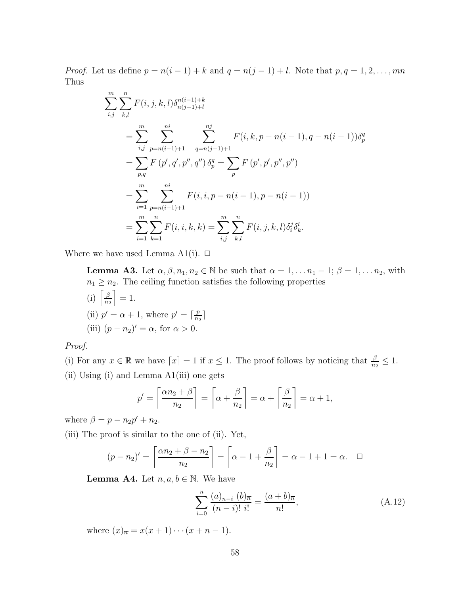*Proof.* Let us define  $p = n(i - 1) + k$  and  $q = n(j - 1) + l$ . Note that  $p, q = 1, 2, ..., mn$ Thus

$$
\sum_{i,j}^{m} \sum_{k,l}^{n} F(i, j, k, l) \delta_{n(j-1)+l}^{n(i-1)+k}
$$
\n
$$
= \sum_{i,j}^{m} \sum_{p=n(i-1)+1}^{ni} \sum_{q=n(j-1)+1}^{nj} F(i, k, p-n(i-1), q-n(i-1)) \delta_p^q
$$
\n
$$
= \sum_{p,q}^{m} F(p', q', p'', q'') \delta_p^q = \sum_{p}^{n} F(p', p', p'', p'')
$$
\n
$$
= \sum_{i=1}^{m} \sum_{p=n(i-1)+1}^{ni} F(i, i, p-n(i-1), p-n(i-1))
$$
\n
$$
= \sum_{i=1}^{m} \sum_{k=1}^{n} F(i, i, k, k) = \sum_{i,j}^{m} \sum_{k,l}^{n} F(i, j, k, l) \delta_i^j \delta_k^l.
$$

Where we have used Lemma A1(i).  $\Box$ 

**Lemma A3.** Let  $\alpha, \beta, n_1, n_2 \in \mathbb{N}$  be such that  $\alpha = 1, \ldots n_1 - 1; \beta = 1, \ldots n_2$ , with  $n_1 \geq n_2$ . The ceiling function satisfies the following properties (i)  $\left[\frac{\beta}{n}\right]$  $n<sub>2</sub>$  $= 1$ . (ii)  $p' = \alpha + 1$ , where  $p' = \lceil \frac{p}{n_2} \rceil$  $\frac{r}{n_2}$ 

(iii) 
$$
(p - n_2)' = \alpha
$$
, for  $\alpha > 0$ .

*Proof.*

(i) For any 
$$
x \in \mathbb{R}
$$
 we have  $\lceil x \rceil = 1$  if  $x \le 1$ . The proof follows by noticing that  $\frac{\beta}{n_2} \le 1$ .

(ii) Using (i) and Lemma A1(iii) one gets

$$
p' = \left\lceil \frac{\alpha n_2 + \beta}{n_2} \right\rceil = \left\lceil \alpha + \frac{\beta}{n_2} \right\rceil = \alpha + \left\lceil \frac{\beta}{n_2} \right\rceil = \alpha + 1,
$$

where  $\beta = p - n_2 p' + n_2$ .

(iii) The proof is similar to the one of (ii). Yet,

$$
(p - n_2)' = \left\lceil \frac{\alpha n_2 + \beta - n_2}{n_2} \right\rceil = \left\lceil \alpha - 1 + \frac{\beta}{n_2} \right\rceil = \alpha - 1 + 1 = \alpha. \quad \Box
$$

**Lemma A4.** Let  $n, a, b \in \mathbb{N}$ . We have

$$
\sum_{i=0}^{n} \frac{(a)_{\overline{n-i}} (b)_{\overline{n}}}{(n-i)! i!} = \frac{(a+b)_{\overline{n}}}{n!},
$$
\n(A.12)

where  $(x)_{\overline{n}} = x(x+1)\cdots(x+n-1)$ .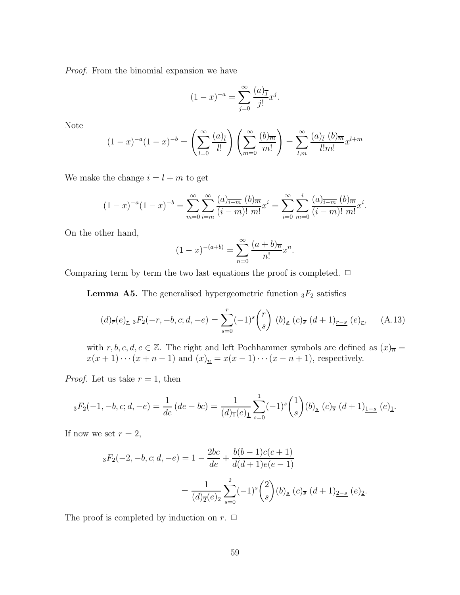*Proof.* From the binomial expansion we have

$$
(1-x)^{-a} = \sum_{j=0}^{\infty} \frac{(a)_{\overline{j}}}{j!} x^j.
$$

Note

$$
(1-x)^{-a}(1-x)^{-b} = \left(\sum_{l=0}^{\infty} \frac{(a)_l}{l!} \right) \left(\sum_{m=0}^{\infty} \frac{(b)_m}{m!} \right) = \sum_{l,m}^{\infty} \frac{(a)_l (b)_m}{l! m!} x^{l+m}
$$

We make the change  $i = l + m$  to get

$$
(1-x)^{-a}(1-x)^{-b} = \sum_{m=0}^{\infty} \sum_{i=m}^{\infty} \frac{(a)_{\overline{i-m}} (b)_{\overline{m}}}{(i-m)! \ m!} x^i = \sum_{i=0}^{\infty} \sum_{m=0}^{i} \frac{(a)_{\overline{i-m}} (b)_{\overline{m}}}{(i-m)! \ m!} x^i.
$$

On the other hand,

$$
(1-x)^{-(a+b)} = \sum_{n=0}^{\infty} \frac{(a+b)\pi}{n!} x^n.
$$

Comparing term by term the two last equations the proof is completed.  $\Box$ 

**Lemma A5.** The generalised hypergeometric function  ${}_{3}F_{2}$  satisfies

$$
(d)_{\overline{r}}(e)_{\underline{r}} {}_{3}F_2(-r, -b, c; d, -e) = \sum_{s=0}^{r} (-1)^s {r \choose s} (b)_{\underline{s}} (c)_{\overline{s}} (d+1)_{\underline{r-s}} (e)_{\underline{r}}, \quad (A.13)
$$

with  $r, b, c, d, e \in \mathbb{Z}$ . The right and left Pochhammer symbols are defined as  $(x)_{\overline{n}} =$  $x(x+1)\cdots(x+n-1)$  and  $(x)<sub>n</sub>$  =  $x(x-1)\cdots(x-n+1)$ , respectively.

*Proof.* Let us take  $r = 1$ , then

$$
{}_3F_2(-1,-b,c;d,-e) = \frac{1}{de}(de-bc) = \frac{1}{(d)_{\overline{1}}(e)_{\underline{1}}} \sum_{s=0}^1 (-1)^s {1 \choose s} (b)_{\underline{s}}(c)_{\overline{s}}(d+1)_{\underline{1-s}}(e)_{\underline{1}}.
$$

If now we set  $r = 2$ ,

$$
{}_{3}F_{2}(-2,-b,c;d,-e) = 1 - \frac{2bc}{de} + \frac{b(b-1)c(c+1)}{d(d+1)e(e-1)}
$$
  
= 
$$
\frac{1}{(d)_{\overline{2}}(e)_{\underline{2}}} \sum_{s=0}^{2} (-1)^{s} {2 \choose s} (b)_{\underline{s}} (c)_{\overline{s}} (d+1)_{\underline{2-s}} (e)_{\underline{2}}.
$$

The proof is completed by induction on  $r$ .  $\Box$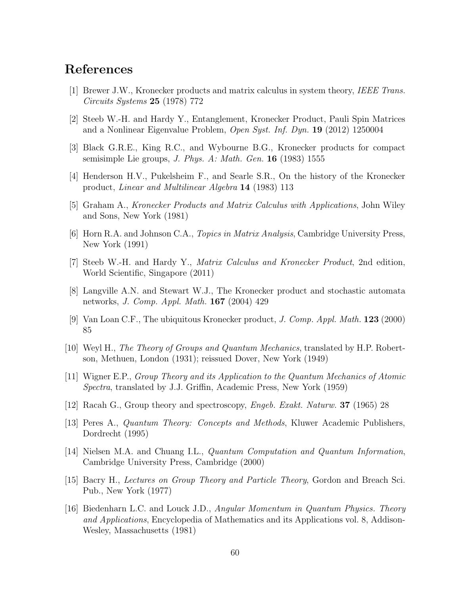# <span id="page-60-1"></span><span id="page-60-0"></span>References

- [1] Brewer J.W., Kronecker products and matrix calculus in system theory, *IEEE Trans. Circuits Systems* 25 (1978) 772
- [2] Steeb W.-H. and Hardy Y., Entanglement, Kronecker Product, Pauli Spin Matrices and a Nonlinear Eigenvalue Problem, *Open Syst. Inf. Dyn.* 19 (2012) 1250004
- <span id="page-60-3"></span>[3] Black G.R.E., King R.C., and Wybourne B.G., Kronecker products for compact semisimple Lie groups, *J. Phys. A: Math. Gen.* 16 (1983) 1555
- <span id="page-60-4"></span>[4] Henderson H.V., Pukelsheim F., and Searle S.R., On the history of the Kronecker product, *Linear and Multilinear Algebra* 14 (1983) 113
- [5] Graham A., *Kronecker Products and Matrix Calculus with Applications*, John Wiley and Sons, New York (1981)
- <span id="page-60-5"></span>[6] Horn R.A. and Johnson C.A., *Topics in Matrix Analysis*, Cambridge University Press, New York (1991)
- <span id="page-60-13"></span>[7] Steeb W.-H. and Hardy Y., *Matrix Calculus and Kronecker Product*, 2nd edition, World Scientific, Singapore (2011)
- [8] Langville A.N. and Stewart W.J., The Kronecker product and stochastic automata networks, *J. Comp. Appl. Math.* 167 (2004) 429
- <span id="page-60-6"></span><span id="page-60-2"></span>[9] Van Loan C.F., The ubiquitous Kronecker product, *J. Comp. Appl. Math.* 123 (2000) 85
- <span id="page-60-12"></span>[10] Weyl H., *The Theory of Groups and Quantum Mechanics*, translated by H.P. Robertson, Methuen, London (1931); reissued Dover, New York (1949)
- [11] Wigner E.P., *Group Theory and its Application to the Quantum Mechanics of Atomic Spectra*, translated by J.J. Griffin, Academic Press, New York (1959)
- <span id="page-60-8"></span><span id="page-60-7"></span>[12] Racah G., Group theory and spectroscopy, *Engeb. Exakt. Naturw.* 37 (1965) 28
- [13] Peres A., *Quantum Theory: Concepts and Methods*, Kluwer Academic Publishers, Dordrecht (1995)
- <span id="page-60-9"></span>[14] Nielsen M.A. and Chuang I.L., *Quantum Computation and Quantum Information*, Cambridge University Press, Cambridge (2000)
- <span id="page-60-10"></span>[15] Bacry H., *Lectures on Group Theory and Particle Theory*, Gordon and Breach Sci. Pub., New York (1977)
- <span id="page-60-11"></span>[16] Biedenharn L.C. and Louck J.D., *Angular Momentum in Quantum Physics. Theory and Applications*, Encyclopedia of Mathematics and its Applications vol. 8, Addison-Wesley, Massachusetts (1981)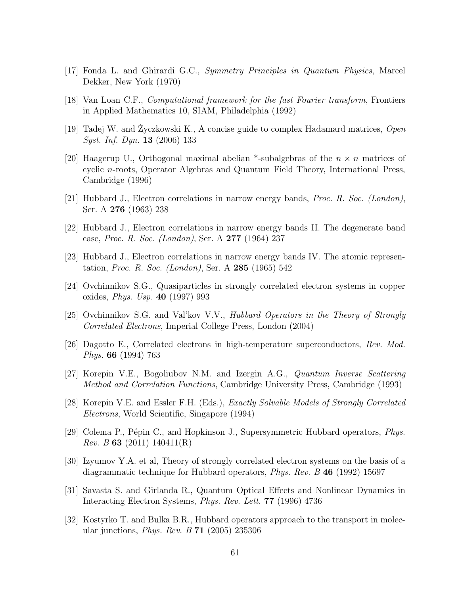- <span id="page-61-1"></span><span id="page-61-0"></span>[17] Fonda L. and Ghirardi G.C., *Symmetry Principles in Quantum Physics*, Marcel Dekker, New York (1970)
- <span id="page-61-2"></span>[18] Van Loan C.F., *Computational framework for the fast Fourier transform*, Frontiers in Applied Mathematics 10, SIAM, Philadelphia (1992)
- <span id="page-61-3"></span>[19] Tadej W. and Zyczkowski K., A concise guide to complex Hadamard matrices, Open *Syst. Inf. Dyn.* 13 (2006) 133
- [20] Haagerup U., Orthogonal maximal abelian \*-subalgebras of the  $n \times n$  matrices of cyclic n-roots, Operator Algebras and Quantum Field Theory, International Press, Cambridge (1996)
- <span id="page-61-6"></span><span id="page-61-4"></span>[21] Hubbard J., Electron correlations in narrow energy bands, *Proc. R. Soc. (London)*, Ser. A 276 (1963) 238
- <span id="page-61-5"></span>[22] Hubbard J., Electron correlations in narrow energy bands II. The degenerate band case, *Proc. R. Soc. (London)*, Ser. A 277 (1964) 237
- <span id="page-61-11"></span>[23] Hubbard J., Electron correlations in narrow energy bands IV. The atomic representation, *Proc. R. Soc. (London)*, Ser. A 285 (1965) 542
- [24] Ovchinnikov S.G., Quasiparticles in strongly correlated electron systems in copper oxides, *Phys. Usp.* 40 (1997) 993
- <span id="page-61-13"></span>[25] Ovchinnikov S.G. and Val'kov V.V., *Hubbard Operators in the Theory of Strongly Correlated Electrons*, Imperial College Press, London (2004)
- <span id="page-61-14"></span>[26] Dagotto E., Correlated electrons in high-temperature superconductors, *Rev. Mod. Phys.* 66 (1994) 763
- <span id="page-61-15"></span>[27] Korepin V.E., Bogoliubov N.M. and Izergin A.G., *Quantum Inverse Scattering Method and Correlation Functions*, Cambridge University Press, Cambridge (1993)
- <span id="page-61-12"></span>[28] Korepin V.E. and Essler F.H. (Eds.), *Exactly Solvable Models of Strongly Correlated Electrons*, World Scientific, Singapore (1994)
- <span id="page-61-7"></span>[29] Colema P., P´epin C., and Hopkinson J., Supersymmetric Hubbard operators, *Phys. Rev. B* 63 (2011) 140411(R)
- <span id="page-61-8"></span>[30] Izyumov Y.A. et al, Theory of strongly correlated electron systems on the basis of a diagrammatic technique for Hubbard operators, *Phys. Rev. B* 46 (1992) 15697
- <span id="page-61-9"></span>[31] Savasta S. and Girlanda R., Quantum Optical Effects and Nonlinear Dynamics in Interacting Electron Systems, *Phys. Rev. Lett.* 77 (1996) 4736
- <span id="page-61-10"></span>[32] Kostyrko T. and Bulka B.R., Hubbard operators approach to the transport in molecular junctions, *Phys. Rev. B* 71 (2005) 235306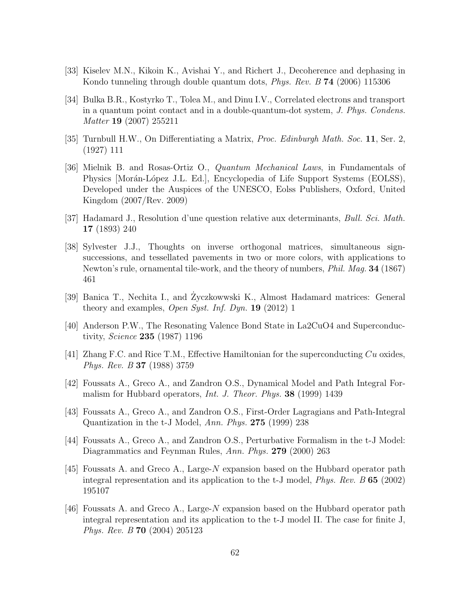- <span id="page-62-1"></span><span id="page-62-0"></span>[33] Kiselev M.N., Kikoin K., Avishai Y., and Richert J., Decoherence and dephasing in Kondo tunneling through double quantum dots, *Phys. Rev. B* 74 (2006) 115306
- [34] Bulka B.R., Kostyrko T., Tolea M., and Dinu I.V., Correlated electrons and transport in a quantum point contact and in a double-quantum-dot system, *J. Phys. Condens. Matter* 19 (2007) 255211
- <span id="page-62-3"></span><span id="page-62-2"></span>[35] Turnbull H.W., On Differentiating a Matrix, *Proc. Edinburgh Math. Soc.* 11, Ser. 2, (1927) 111
- [36] Mielnik B. and Rosas-Ortiz O., *Quantum Mechanical Laws*, in Fundamentals of Physics [Morán-López J.L. Ed.], Encyclopedia of Life Support Systems (EOLSS), Developed under the Auspices of the UNESCO, Eolss Publishers, Oxford, United Kingdom (2007/Rev. 2009)
- <span id="page-62-5"></span><span id="page-62-4"></span>[37] Hadamard J., Resolution d'une question relative aux determinants, *Bull. Sci. Math.* 17 (1893) 240
- [38] Sylvester J.J., Thoughts on inverse orthogonal matrices, simultaneous signsuccessions, and tessellated pavements in two or more colors, with applications to Newton's rule, ornamental tile-work, and the theory of numbers, *Phil. Mag.* 34 (1867) 461
- <span id="page-62-6"></span>[39] Banica T., Nechita I., and Zyczkowwski K., Almost Hadamard matrices: General theory and examples, *Open Syst. Inf. Dyn.* 19 (2012) 1
- <span id="page-62-7"></span>[40] Anderson P.W., The Resonating Valence Bond State in La2CuO4 and Superconductivity, *Science* 235 (1987) 1196
- <span id="page-62-8"></span>[41] Zhang F.C. and Rice T.M., Effective Hamiltonian for the superconducting  $Cu$  oxides, *Phys. Rev. B* 37 (1988) 3759
- <span id="page-62-9"></span>[42] Foussats A., Greco A., and Zandron O.S., Dynamical Model and Path Integral Formalism for Hubbard operators, *Int. J. Theor. Phys.* 38 (1999) 1439
- <span id="page-62-11"></span><span id="page-62-10"></span>[43] Foussats A., Greco A., and Zandron O.S., First-Order Lagragians and Path-Integral Quantization in the t-J Model, *Ann. Phys.* 275 (1999) 238
- [44] Foussats A., Greco A., and Zandron O.S., Perturbative Formalism in the t-J Model: Diagrammatics and Feynman Rules, *Ann. Phys.* 279 (2000) 263
- <span id="page-62-12"></span>[45] Foussats A. and Greco A., Large-N expansion based on the Hubbard operator path integral representation and its application to the t-J model, *Phys. Rev. B* 65 (2002) 195107
- [46] Foussats A. and Greco A., Large-N expansion based on the Hubbard operator path integral representation and its application to the t-J model II. The case for finite J, *Phys. Rev. B* 70 (2004) 205123